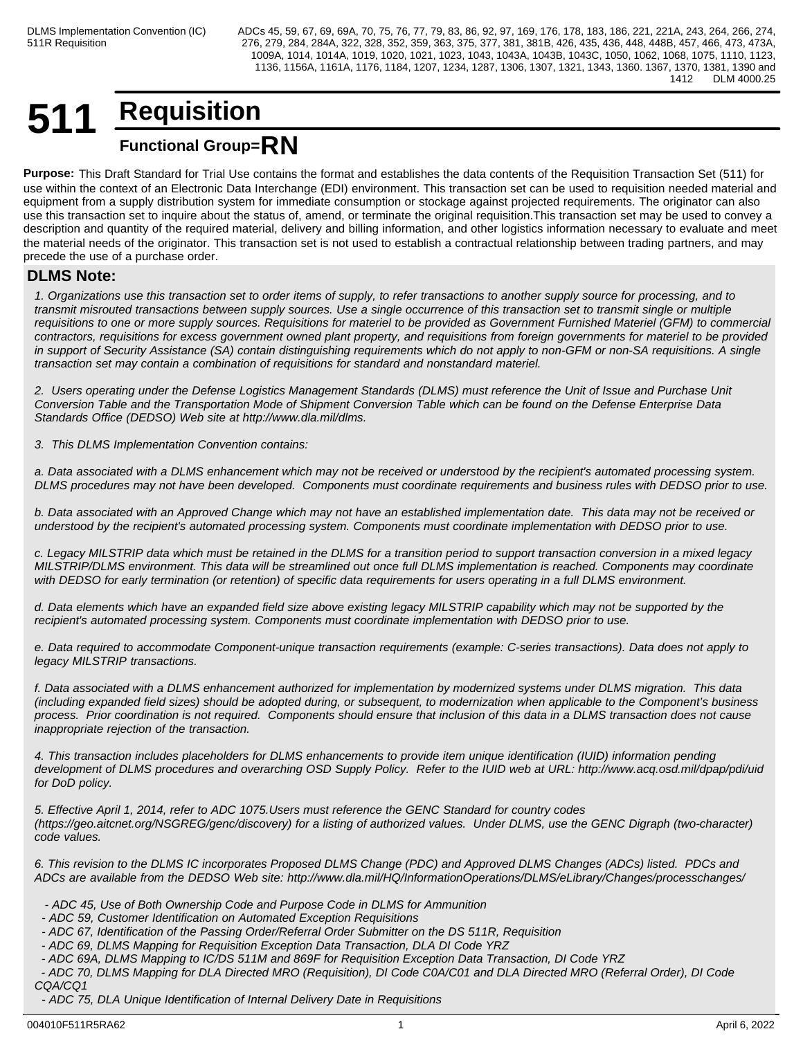# **511 Requisition Functional Group=RN**

**Purpose:** This Draft Standard for Trial Use contains the format and establishes the data contents of the Requisition Transaction Set (511) for use within the context of an Electronic Data Interchange (EDI) environment. This transaction set can be used to requisition needed material and equipment from a supply distribution system for immediate consumption or stockage against projected requirements. The originator can also use this transaction set to inquire about the status of, amend, or terminate the original requisition.This transaction set may be used to convey a description and quantity of the required material, delivery and billing information, and other logistics information necessary to evaluate and meet the material needs of the originator. This transaction set is not used to establish a contractual relationship between trading partners, and may precede the use of a purchase order.

# **DLMS Note:**

*1. Organizations use this transaction set to order items of supply, to refer transactions to another supply source for processing, and to transmit misrouted transactions between supply sources. Use a single occurrence of this transaction set to transmit single or multiple requisitions to one or more supply sources. Requisitions for materiel to be provided as Government Furnished Materiel (GFM) to commercial contractors, requisitions for excess government owned plant property, and requisitions from foreign governments for materiel to be provided in support of Security Assistance (SA) contain distinguishing requirements which do not apply to non-GFM or non-SA requisitions. A single transaction set may contain a combination of requisitions for standard and nonstandard materiel.*

*2. Users operating under the Defense Logistics Management Standards (DLMS) must reference the Unit of Issue and Purchase Unit Conversion Table and the Transportation Mode of Shipment Conversion Table which can be found on the Defense Enterprise Data Standards Office (DEDSO) Web site at http://www.dla.mil/dlms.*

*3. This DLMS Implementation Convention contains:*

*a. Data associated with a DLMS enhancement which may not be received or understood by the recipient's automated processing system. DLMS procedures may not have been developed. Components must coordinate requirements and business rules with DEDSO prior to use.*

*b. Data associated with an Approved Change which may not have an established implementation date. This data may not be received or understood by the recipient's automated processing system. Components must coordinate implementation with DEDSO prior to use.*

*c. Legacy MILSTRIP data which must be retained in the DLMS for a transition period to support transaction conversion in a mixed legacy MILSTRIP/DLMS environment. This data will be streamlined out once full DLMS implementation is reached. Components may coordinate with DEDSO for early termination (or retention) of specific data requirements for users operating in a full DLMS environment.*

*d. Data elements which have an expanded field size above existing legacy MILSTRIP capability which may not be supported by the recipient's automated processing system. Components must coordinate implementation with DEDSO prior to use.*

*e. Data required to accommodate Component-unique transaction requirements (example: C-series transactions). Data does not apply to legacy MILSTRIP transactions.*

*f. Data associated with a DLMS enhancement authorized for implementation by modernized systems under DLMS migration. This data (including expanded field sizes) should be adopted during, or subsequent, to modernization when applicable to the Component's business process. Prior coordination is not required. Components should ensure that inclusion of this data in a DLMS transaction does not cause inappropriate rejection of the transaction.*

*4. This transaction includes placeholders for DLMS enhancements to provide item unique identification (IUID) information pending development of DLMS procedures and overarching OSD Supply Policy. Refer to the IUID web at URL: http://www.acq.osd.mil/dpap/pdi/uid for DoD policy.*

*5. Effective April 1, 2014, refer to ADC 1075.Users must reference the GENC Standard for country codes (https://geo.aitcnet.org/NSGREG/genc/discovery) for a listing of authorized values. Under DLMS, use the GENC Digraph (two-character) code values.*

*6. This revision to the DLMS IC incorporates Proposed DLMS Change (PDC) and Approved DLMS Changes (ADCs) listed. PDCs and ADCs are available from the DEDSO Web site: http://www.dla.mil/HQ/InformationOperations/DLMS/eLibrary/Changes/processchanges/*

- *ADC 45, Use of Both Ownership Code and Purpose Code in DLMS for Ammunition*
- *ADC 59, Customer Identification on Automated Exception Requisitions*
- *ADC 67, Identification of the Passing Order/Referral Order Submitter on the DS 511R, Requisition*
- *ADC 69, DLMS Mapping for Requisition Exception Data Transaction, DLA DI Code YRZ*
- *ADC 69A, DLMS Mapping to IC/DS 511M and 869F for Requisition Exception Data Transaction, DI Code YRZ*

 *- ADC 70, DLMS Mapping for DLA Directed MRO (Requisition), DI Code C0A/C01 and DLA Directed MRO (Referral Order), DI Code CQA/CQ1*

 *- ADC 75, DLA Unique Identification of Internal Delivery Date in Requisitions*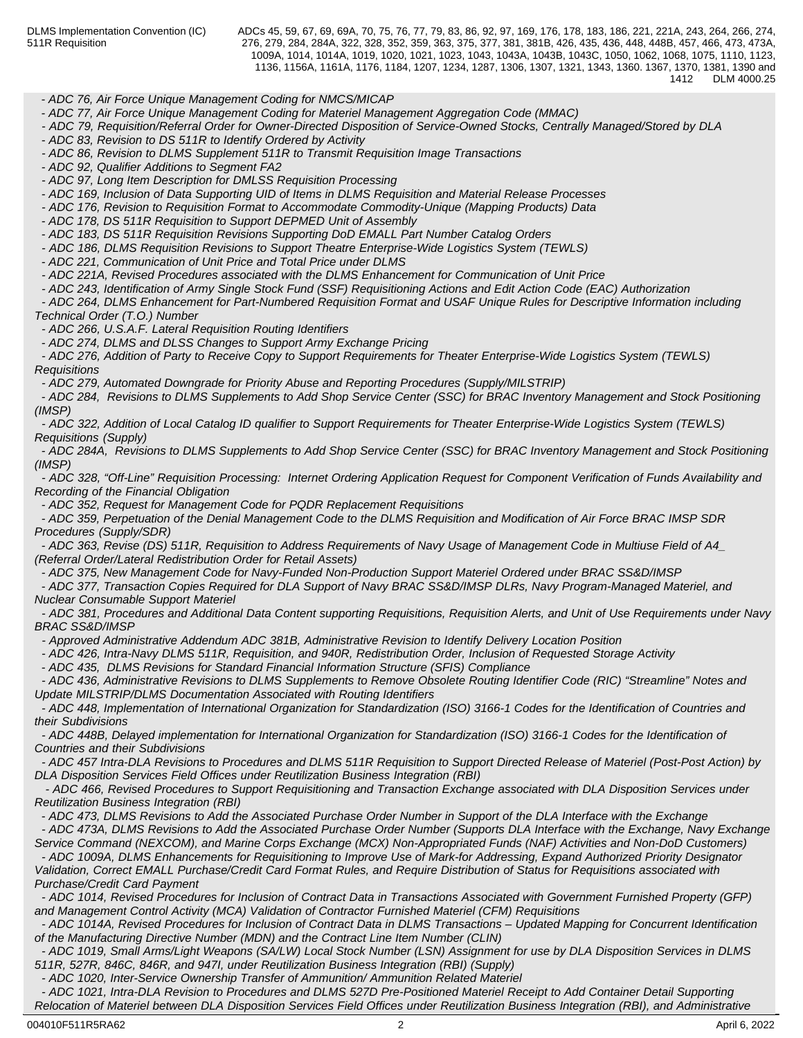*- ADC 76, Air Force Unique Management Coding for NMCS/MICAP*

 *- ADC 77, Air Force Unique Management Coding for Materiel Management Aggregation Code (MMAC)*

 *- ADC 79, Requisition/Referral Order for Owner-Directed Disposition of Service-Owned Stocks, Centrally Managed/Stored by DLA*

 *- ADC 83, Revision to DS 511R to Identify Ordered by Activity*

 *- ADC 86, Revision to DLMS Supplement 511R to Transmit Requisition Image Transactions*

 *- ADC 92, Qualifier Additions to Segment FA2*

 *- ADC 97, Long Item Description for DMLSS Requisition Processing*

 *- ADC 169, Inclusion of Data Supporting UID of Items in DLMS Requisition and Material Release Processes*

 *- ADC 176, Revision to Requisition Format to Accommodate Commodity-Unique (Mapping Products) Data*

 *- ADC 178, DS 511R Requisition to Support DEPMED Unit of Assembly*

 *- ADC 183, DS 511R Requisition Revisions Supporting DoD EMALL Part Number Catalog Orders*

 *- ADC 186, DLMS Requisition Revisions to Support Theatre Enterprise-Wide Logistics System (TEWLS)*

 *- ADC 221, Communication of Unit Price and Total Price under DLMS*

 *- ADC 221A, Revised Procedures associated with the DLMS Enhancement for Communication of Unit Price*

 *- ADC 243, Identification of Army Single Stock Fund (SSF) Requisitioning Actions and Edit Action Code (EAC) Authorization* 

 *- ADC 264, DLMS Enhancement for Part-Numbered Requisition Format and USAF Unique Rules for Descriptive Information including Technical Order (T.O.) Number* 

 *- ADC 266, U.S.A.F. Lateral Requisition Routing Identifiers*

 *- ADC 274, DLMS and DLSS Changes to Support Army Exchange Pricing*

 *- ADC 276, Addition of Party to Receive Copy to Support Requirements for Theater Enterprise-Wide Logistics System (TEWLS) Requisitions*

 *- ADC 279, Automated Downgrade for Priority Abuse and Reporting Procedures (Supply/MILSTRIP)*

 *- ADC 284, Revisions to DLMS Supplements to Add Shop Service Center (SSC) for BRAC Inventory Management and Stock Positioning (IMSP)*

 *- ADC 322, Addition of Local Catalog ID qualifier to Support Requirements for Theater Enterprise-Wide Logistics System (TEWLS) Requisitions (Supply)*

 *- ADC 284A, Revisions to DLMS Supplements to Add Shop Service Center (SSC) for BRAC Inventory Management and Stock Positioning (IMSP)*

 *- ADC 328, "Off-Line" Requisition Processing: Internet Ordering Application Request for Component Verification of Funds Availability and Recording of the Financial Obligation*

 *- ADC 352, Request for Management Code for PQDR Replacement Requisitions*

 *- ADC 359, Perpetuation of the Denial Management Code to the DLMS Requisition and Modification of Air Force BRAC IMSP SDR Procedures (Supply/SDR)*

 *- ADC 363, Revise (DS) 511R, Requisition to Address Requirements of Navy Usage of Management Code in Multiuse Field of A4\_ (Referral Order/Lateral Redistribution Order for Retail Assets)*

 *- ADC 375, New Management Code for Navy-Funded Non-Production Support Materiel Ordered under BRAC SS&D/IMSP*

 *- ADC 377, Transaction Copies Required for DLA Support of Navy BRAC SS&D/IMSP DLRs, Navy Program-Managed Materiel, and Nuclear Consumable Support Materiel*

 *- ADC 381, Procedures and Additional Data Content supporting Requisitions, Requisition Alerts, and Unit of Use Requirements under Navy BRAC SS&D/IMSP*

 *- Approved Administrative Addendum ADC 381B, Administrative Revision to Identify Delivery Location Position*

 *- ADC 426, Intra-Navy DLMS 511R, Requisition, and 940R, Redistribution Order, Inclusion of Requested Storage Activity*

 *- ADC 435, DLMS Revisions for Standard Financial Information Structure (SFIS) Compliance* 

 *- ADC 436, Administrative Revisions to DLMS Supplements to Remove Obsolete Routing Identifier Code (RIC) "Streamline" Notes and Update MILSTRIP/DLMS Documentation Associated with Routing Identifiers*

 *- ADC 448, Implementation of International Organization for Standardization (ISO) 3166-1 Codes for the Identification of Countries and their Subdivisions*

 *- ADC 448B, Delayed implementation for International Organization for Standardization (ISO) 3166-1 Codes for the Identification of Countries and their Subdivisions*

 *- ADC 457 Intra-DLA Revisions to Procedures and DLMS 511R Requisition to Support Directed Release of Materiel (Post-Post Action) by DLA Disposition Services Field Offices under Reutilization Business Integration (RBI)*

 *- ADC 466, Revised Procedures to Support Requisitioning and Transaction Exchange associated with DLA Disposition Services under Reutilization Business Integration (RBI)*

 *- ADC 473, DLMS Revisions to Add the Associated Purchase Order Number in Support of the DLA Interface with the Exchange*

 *- ADC 473A, DLMS Revisions to Add the Associated Purchase Order Number (Supports DLA Interface with the Exchange, Navy Exchange Service Command (NEXCOM), and Marine Corps Exchange (MCX) Non-Appropriated Funds (NAF) Activities and Non-DoD Customers)*

 *- ADC 1009A, DLMS Enhancements for Requisitioning to Improve Use of Mark-for Addressing, Expand Authorized Priority Designator Validation, Correct EMALL Purchase/Credit Card Format Rules, and Require Distribution of Status for Requisitions associated with*

*Purchase/Credit Card Payment*

 *- ADC 1014, Revised Procedures for Inclusion of Contract Data in Transactions Associated with Government Furnished Property (GFP) and Management Control Activity (MCA) Validation of Contractor Furnished Materiel (CFM) Requisitions*

 *- ADC 1014A, Revised Procedures for Inclusion of Contract Data in DLMS Transactions – Updated Mapping for Concurrent Identification of the Manufacturing Directive Number (MDN) and the Contract Line Item Number (CLIN)*

 *- ADC 1019, Small Arms/Light Weapons (SA/LW) Local Stock Number (LSN) Assignment for use by DLA Disposition Services in DLMS 511R, 527R, 846C, 846R, and 947I, under Reutilization Business Integration (RBI) (Supply)*

 *- ADC 1020, Inter-Service Ownership Transfer of Ammunition/ Ammunition Related Materiel*

 *- ADC 1021, Intra-DLA Revision to Procedures and DLMS 527D Pre-Positioned Materiel Receipt to Add Container Detail Supporting Relocation of Materiel between DLA Disposition Services Field Offices under Reutilization Business Integration (RBI), and Administrative*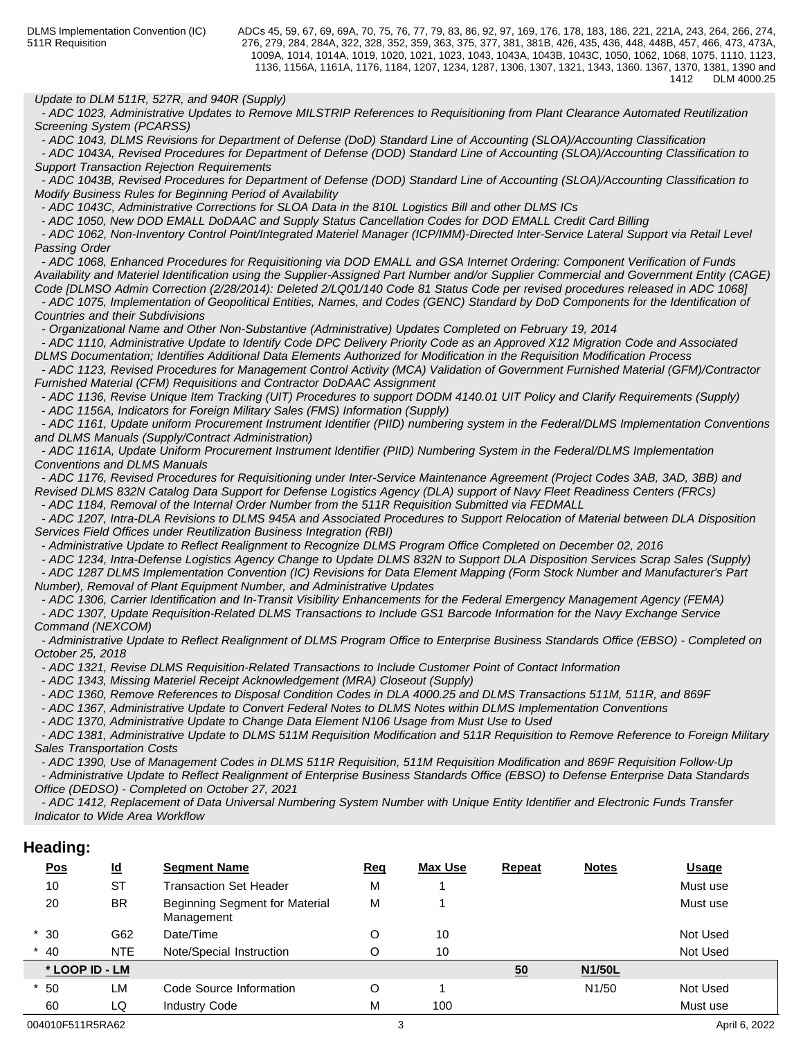### *Update to DLM 511R, 527R, and 940R (Supply)*

 *- ADC 1023, Administrative Updates to Remove MILSTRIP References to Requisitioning from Plant Clearance Automated Reutilization Screening System (PCARSS)*

 *- ADC 1043, DLMS Revisions for Department of Defense (DoD) Standard Line of Accounting (SLOA)/Accounting Classification*

 *- ADC 1043A, Revised Procedures for Department of Defense (DOD) Standard Line of Accounting (SLOA)/Accounting Classification to Support Transaction Rejection Requirements*

 *- ADC 1043B, Revised Procedures for Department of Defense (DOD) Standard Line of Accounting (SLOA)/Accounting Classification to Modify Business Rules for Beginning Period of Availability*

 *- ADC 1043C, Administrative Corrections for SLOA Data in the 810L Logistics Bill and other DLMS ICs* 

 *- ADC 1050, New DOD EMALL DoDAAC and Supply Status Cancellation Codes for DOD EMALL Credit Card Billing*

 *- ADC 1062, Non-Inventory Control Point/Integrated Materiel Manager (ICP/IMM)-Directed Inter-Service Lateral Support via Retail Level Passing Order*

 *- ADC 1068, Enhanced Procedures for Requisitioning via DOD EMALL and GSA Internet Ordering: Component Verification of Funds Availability and Materiel Identification using the Supplier-Assigned Part Number and/or Supplier Commercial and Government Entity (CAGE) Code [DLMSO Admin Correction (2/28/2014): Deleted 2/LQ01/140 Code 81 Status Code per revised procedures released in ADC 1068]*

 *- ADC 1075, Implementation of Geopolitical Entities, Names, and Codes (GENC) Standard by DoD Components for the Identification of Countries and their Subdivisions*

 *- Organizational Name and Other Non-Substantive (Administrative) Updates Completed on February 19, 2014*

 *- ADC 1110, Administrative Update to Identify Code DPC Delivery Priority Code as an Approved X12 Migration Code and Associated DLMS Documentation; Identifies Additional Data Elements Authorized for Modification in the Requisition Modification Process*

 *- ADC 1123, Revised Procedures for Management Control Activity (MCA) Validation of Government Furnished Material (GFM)/Contractor Furnished Material (CFM) Requisitions and Contractor DoDAAC Assignment*

 *- ADC 1136, Revise Unique Item Tracking (UIT) Procedures to support DODM 4140.01 UIT Policy and Clarify Requirements (Supply) - ADC 1156A, Indicators for Foreign Military Sales (FMS) Information (Supply)* 

 *- ADC 1161, Update uniform Procurement Instrument Identifier (PIID) numbering system in the Federal/DLMS Implementation Conventions and DLMS Manuals (Supply/Contract Administration)*

 *- ADC 1161A, Update Uniform Procurement Instrument Identifier (PIID) Numbering System in the Federal/DLMS Implementation Conventions and DLMS Manuals*

 *- ADC 1176, Revised Procedures for Requisitioning under Inter-Service Maintenance Agreement (Project Codes 3AB, 3AD, 3BB) and Revised DLMS 832N Catalog Data Support for Defense Logistics Agency (DLA) support of Navy Fleet Readiness Centers (FRCs)*

 *- ADC 1184, Removal of the Internal Order Number from the 511R Requisition Submitted via FEDMALL*

 *- ADC 1207, Intra-DLA Revisions to DLMS 945A and Associated Procedures to Support Relocation of Material between DLA Disposition Services Field Offices under Reutilization Business Integration (RBI)*

 *- Administrative Update to Reflect Realignment to Recognize DLMS Program Office Completed on December 02, 2016*

 *- ADC 1234, Intra-Defense Logistics Agency Change to Update DLMS 832N to Support DLA Disposition Services Scrap Sales (Supply) - ADC 1287 DLMS Implementation Convention (IC) Revisions for Data Element Mapping (Form Stock Number and Manufacturer's Part*

*Number), Removal of Plant Equipment Number, and Administrative Updates - ADC 1306, Carrier Identification and In-Transit Visibility Enhancements for the Federal Emergency Management Agency (FEMA)*

 *- ADC 1307, Update Requisition-Related DLMS Transactions to Include GS1 Barcode Information for the Navy Exchange Service Command (NEXCOM)* 

 *- Administrative Update to Reflect Realignment of DLMS Program Office to Enterprise Business Standards Office (EBSO) - Completed on October 25, 2018*

 *- ADC 1321, Revise DLMS Requisition-Related Transactions to Include Customer Point of Contact Information*

 *- ADC 1343, Missing Materiel Receipt Acknowledgement (MRA) Closeout (Supply)*

 *- ADC 1360, Remove References to Disposal Condition Codes in DLA 4000.25 and DLMS Transactions 511M, 511R, and 869F*

 *- ADC 1367, Administrative Update to Convert Federal Notes to DLMS Notes within DLMS Implementation Conventions* 

 *- ADC 1370, Administrative Update to Change Data Element N106 Usage from Must Use to Used* 

 *- ADC 1381, Administrative Update to DLMS 511M Requisition Modification and 511R Requisition to Remove Reference to Foreign Military Sales Transportation Costs*

 *- ADC 1390, Use of Management Codes in DLMS 511R Requisition, 511M Requisition Modification and 869F Requisition Follow-Up*

 *- Administrative Update to Reflect Realignment of Enterprise Business Standards Office (EBSO) to Defense Enterprise Data Standards Office (DEDSO) - Completed on October 27, 2021*

 *- ADC 1412, Replacement of Data Universal Numbering System Number with Unique Entity Identifier and Electronic Funds Transfer Indicator to Wide Area Workflow*

# **Heading:**

| <u>Pos</u>     | $\underline{\mathsf{Id}}$ | <b>Segment Name</b>                          | <u>Req</u> | Max Use | <b>Repeat</b> | <b>Notes</b>       | <b>Usage</b> |
|----------------|---------------------------|----------------------------------------------|------------|---------|---------------|--------------------|--------------|
| 10             | <b>ST</b>                 | <b>Transaction Set Header</b>                | М          |         |               |                    | Must use     |
| 20             | <b>BR</b>                 | Beginning Segment for Material<br>Management | М          |         |               |                    | Must use     |
| $*30$          | G62                       | Date/Time                                    | O          | 10      |               |                    | Not Used     |
| $*$ 40         | <b>NTE</b>                | Note/Special Instruction                     | O          | 10      |               |                    | Not Used     |
| * LOOP ID - LM |                           |                                              |            |         | 50            | <b>N1/50L</b>      |              |
| $*50$          | <b>LM</b>                 | Code Source Information                      | O          |         |               | N <sub>1</sub> /50 | Not Used     |
| 60             | LQ                        | <b>Industry Code</b>                         | Μ          | 100     |               |                    | Must use     |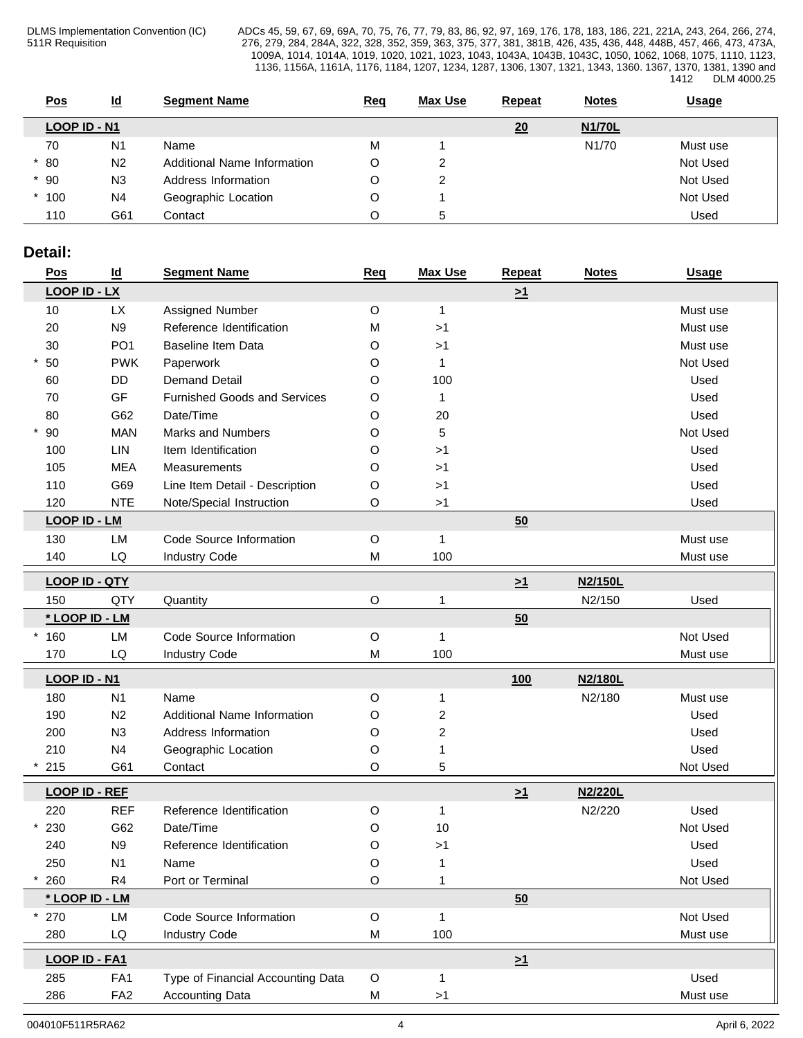| Pos          | <u>ld</u>      | <b>Segment Name</b>         | <u>Req</u> | <b>Max Use</b> | <b>Repeat</b> | <b>Notes</b>       | <u>Usage</u> |
|--------------|----------------|-----------------------------|------------|----------------|---------------|--------------------|--------------|
| LOOP ID - N1 |                |                             |            |                | 20            | <b>N1/70L</b>      |              |
| 70           | N <sub>1</sub> | Name                        | M          |                |               | N <sub>1</sub> /70 | Must use     |
| $*80$        | N <sub>2</sub> | Additional Name Information | $\cap$     | ⌒              |               |                    | Not Used     |
| $*90$        | N <sub>3</sub> | Address Information         | O          |                |               |                    | Not Used     |
| $*100$       | N4             | Geographic Location         | O          |                |               |                    | Not Used     |
| 110          | G61            | Contact                     | O          | $\mathbf{D}$   |               |                    | Used         |

# **Detail:**

| <u>Pos</u>            | $\underline{\mathsf{Id}}$ | <b>Segment Name</b>                 | <u>Req</u>  | <b>Max Use</b>          | <b>Repeat</b> | <b>Notes</b> | <b>Usage</b> |
|-----------------------|---------------------------|-------------------------------------|-------------|-------------------------|---------------|--------------|--------------|
| <b>LOOP ID - LX</b>   |                           |                                     |             |                         | $\geq 1$      |              |              |
| 10                    | <b>LX</b>                 | Assigned Number                     | O           | $\mathbf{1}$            |               |              | Must use     |
| 20                    | N <sub>9</sub>            | Reference Identification            | M           | >1                      |               |              | Must use     |
| 30                    | PO <sub>1</sub>           | Baseline Item Data                  | O           | >1                      |               |              | Must use     |
| $*50$                 | <b>PWK</b>                | Paperwork                           | O           | $\mathbf{1}$            |               |              | Not Used     |
| 60                    | DD                        | <b>Demand Detail</b>                | O           | 100                     |               |              | Used         |
| 70                    | GF                        | <b>Furnished Goods and Services</b> | O           | $\mathbf{1}$            |               |              | Used         |
| 80                    | G62                       | Date/Time                           | O           | 20                      |               |              | Used         |
| $*90$                 | <b>MAN</b>                | <b>Marks and Numbers</b>            | O           | 5                       |               |              | Not Used     |
| 100                   | <b>LIN</b>                | Item Identification                 | O           | >1                      |               |              | Used         |
| 105                   | <b>MEA</b>                | Measurements                        | O           | >1                      |               |              | Used         |
| 110                   | G69                       | Line Item Detail - Description      | O           | >1                      |               |              | Used         |
| 120                   | <b>NTE</b>                | Note/Special Instruction            | O           | >1                      |               |              | Used         |
| <b>LOOP ID - LM</b>   |                           |                                     |             |                         | 50            |              |              |
| 130                   | LM                        | Code Source Information             | $\circ$     | $\mathbf{1}$            |               |              | Must use     |
| 140                   | LQ                        | <b>Industry Code</b>                | M           | 100                     |               |              | Must use     |
| <b>LOOP ID - QTY</b>  |                           |                                     |             |                         |               | N2/150L      |              |
|                       | QTY                       |                                     |             |                         | $\geq 1$      | N2/150       |              |
| 150<br>* LOOP ID - LM |                           | Quantity                            | O           | 1                       |               |              | Used         |
|                       |                           |                                     |             |                         | 50            |              |              |
| $*160$                | LM                        | Code Source Information             | $\circ$     | $\mathbf{1}$            |               |              | Not Used     |
| 170                   | LQ                        | <b>Industry Code</b>                | M           | 100                     |               |              | Must use     |
| LOOP ID - N1          |                           |                                     |             |                         | 100           | N2/180L      |              |
| 180                   | N1                        | Name                                | $\circ$     | $\mathbf{1}$            |               | N2/180       | Must use     |
| 190                   | N2                        | Additional Name Information         | O           | $\overline{\mathbf{c}}$ |               |              | Used         |
| 200                   | N3                        | Address Information                 | O           | 2                       |               |              | Used         |
| 210                   | N <sub>4</sub>            | Geographic Location                 | O           | 1                       |               |              | Used         |
| 215                   | G61                       | Contact                             | O           | 5                       |               |              | Not Used     |
| <b>LOOP ID - REF</b>  |                           |                                     |             |                         | $\geq 1$      | N2/220L      |              |
| 220                   | <b>REF</b>                | Reference Identification            | O           | 1                       |               | N2/220       | Used         |
| 230                   | G62                       | Date/Time                           | O           | 10                      |               |              | Not Used     |
| 240                   | N <sub>9</sub>            | Reference Identification            | O           | >1                      |               |              | Used         |
| 250                   | N1                        | Name                                | O           | $\mathbf{1}$            |               |              | Used         |
| 260                   | R <sub>4</sub>            | Port or Terminal                    | O           |                         |               |              | Not Used     |
| * LOOP ID - LM        |                           |                                     |             |                         | 50            |              |              |
| $*270$                | LM                        | Code Source Information             | $\mathsf O$ | $\mathbf{1}$            |               |              | Not Used     |
| 280                   | $\mathsf{LQ}$             | <b>Industry Code</b>                | M           | 100                     |               |              | Must use     |
|                       |                           |                                     |             |                         |               |              |              |
| <b>LOOP ID - FA1</b>  |                           |                                     |             |                         | $\geq 1$      |              |              |
| 285                   | FA <sub>1</sub>           | Type of Financial Accounting Data   | $\circ$     | -1                      |               |              | Used         |
| 286                   | FA <sub>2</sub>           | <b>Accounting Data</b>              | M           | >1                      |               |              | Must use     |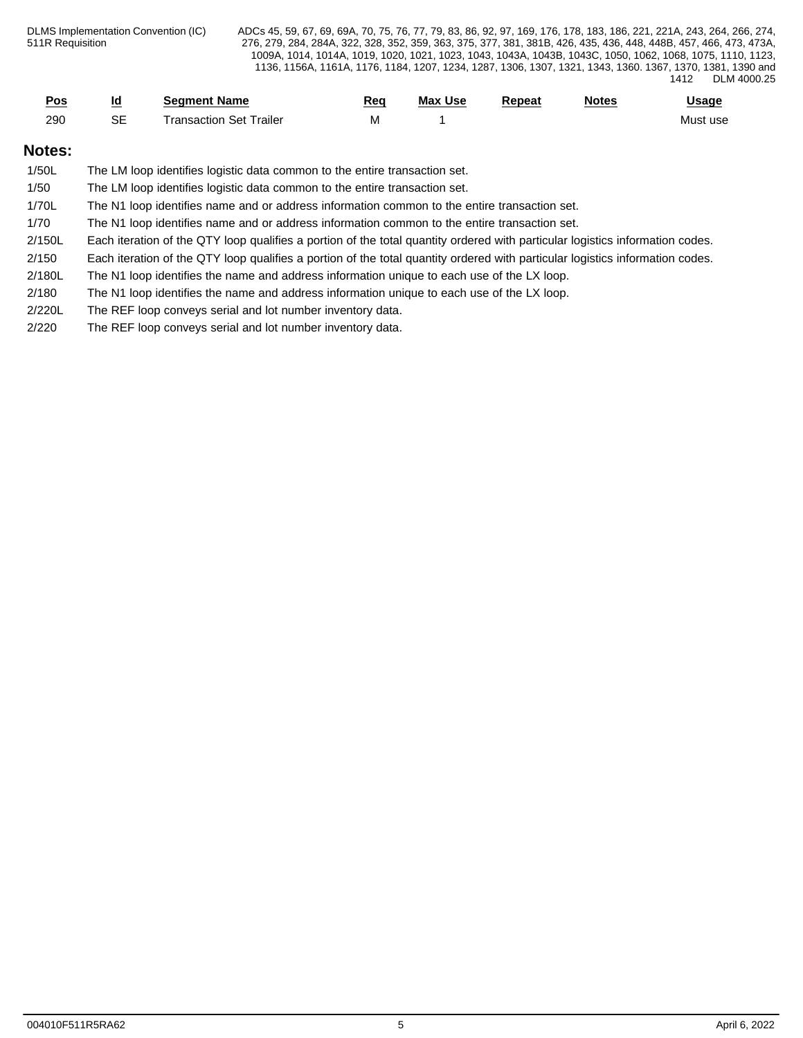| <u>Pos</u> | <u>ia</u>    | <b>Seament Name</b>         | <u>Rec</u> | <b>Max Use</b> | Repeat | <b>Notes</b> | <b>Jsage</b> |
|------------|--------------|-----------------------------|------------|----------------|--------|--------------|--------------|
| 200<br>zou | $\sim$<br>ు౬ | Trailer<br>l ransaction Set | IVI        |                |        |              | Must use     |

# **Notes:**

| 1/50L  | The LM loop identifies logistic data common to the entire transaction set.                                                    |
|--------|-------------------------------------------------------------------------------------------------------------------------------|
| 1/50   | The LM loop identifies logistic data common to the entire transaction set.                                                    |
| 1/70L  | The N1 loop identifies name and or address information common to the entire transaction set.                                  |
| 1/70   | The N1 loop identifies name and or address information common to the entire transaction set.                                  |
| 2/150L | Each iteration of the QTY loop qualifies a portion of the total quantity ordered with particular logistics information codes. |
| 2/150  | Each iteration of the QTY loop qualifies a portion of the total quantity ordered with particular logistics information codes. |
| 2/180L | The N1 loop identifies the name and address information unique to each use of the LX loop.                                    |
| 2/180  | The N1 loop identifies the name and address information unique to each use of the LX loop.                                    |
| 2/220L | The REF loop conveys serial and lot number inventory data.                                                                    |
| 2/220  | The REF loop conveys serial and lot number inventory data.                                                                    |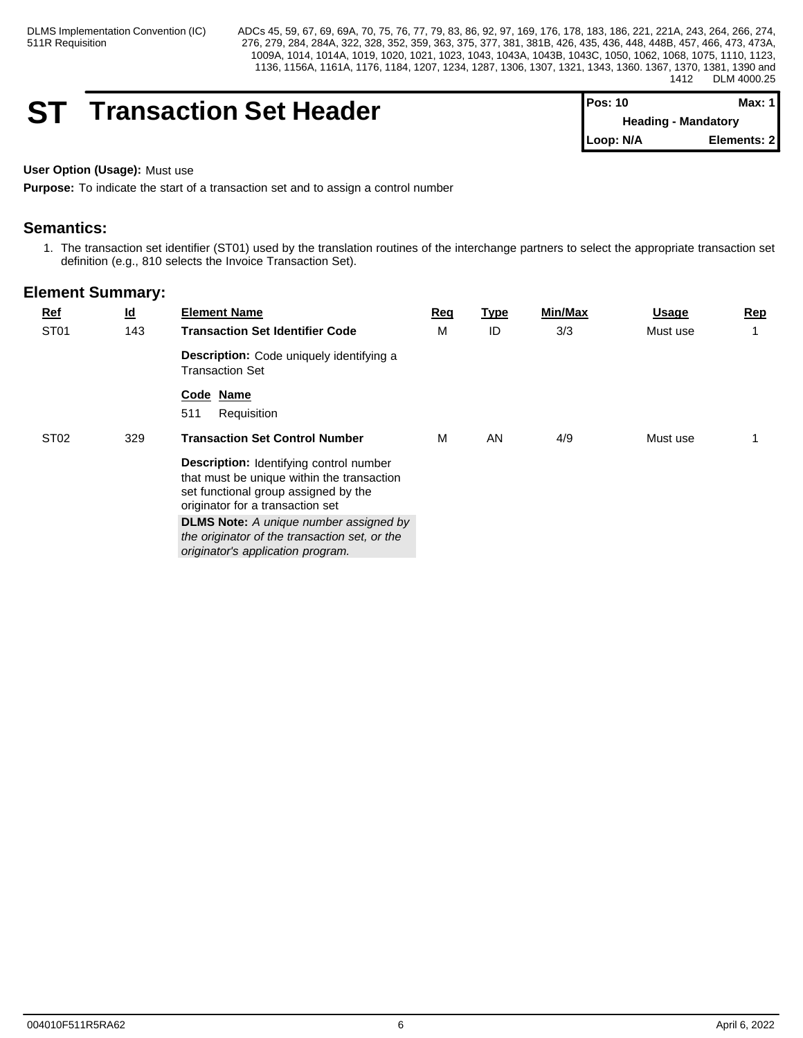# **ST** Transaction Set Header

| $Pos: 10$ | Max: 1 I                   |  |
|-----------|----------------------------|--|
|           | <b>Heading - Mandatory</b> |  |
| Loop: N/A | Elements: 21               |  |

# **User Option (Usage):** Must use

**Purpose:** To indicate the start of a transaction set and to assign a control number

# **Semantics:**

1. The transaction set identifier (ST01) used by the translation routines of the interchange partners to select the appropriate transaction set definition (e.g., 810 selects the Invoice Transaction Set).

| $Ref$            | $\underline{\mathsf{Id}}$ | <b>Element Name</b>                                                                                                                                                                                                                                                                                             | Req | <u>Type</u> | Min/Max | <u>Usage</u> | Rep |
|------------------|---------------------------|-----------------------------------------------------------------------------------------------------------------------------------------------------------------------------------------------------------------------------------------------------------------------------------------------------------------|-----|-------------|---------|--------------|-----|
| ST <sub>01</sub> | 143                       | <b>Transaction Set Identifier Code</b>                                                                                                                                                                                                                                                                          | M   | ID          | 3/3     | Must use     |     |
|                  |                           | <b>Description:</b> Code uniquely identifying a<br><b>Transaction Set</b>                                                                                                                                                                                                                                       |     |             |         |              |     |
|                  |                           | Code Name<br>511<br>Requisition                                                                                                                                                                                                                                                                                 |     |             |         |              |     |
| ST <sub>02</sub> | 329                       | <b>Transaction Set Control Number</b>                                                                                                                                                                                                                                                                           | M   | AN          | 4/9     | Must use     |     |
|                  |                           | <b>Description:</b> Identifying control number<br>that must be unique within the transaction<br>set functional group assigned by the<br>originator for a transaction set<br><b>DLMS Note:</b> A unique number assigned by<br>the originator of the transaction set, or the<br>originator's application program. |     |             |         |              |     |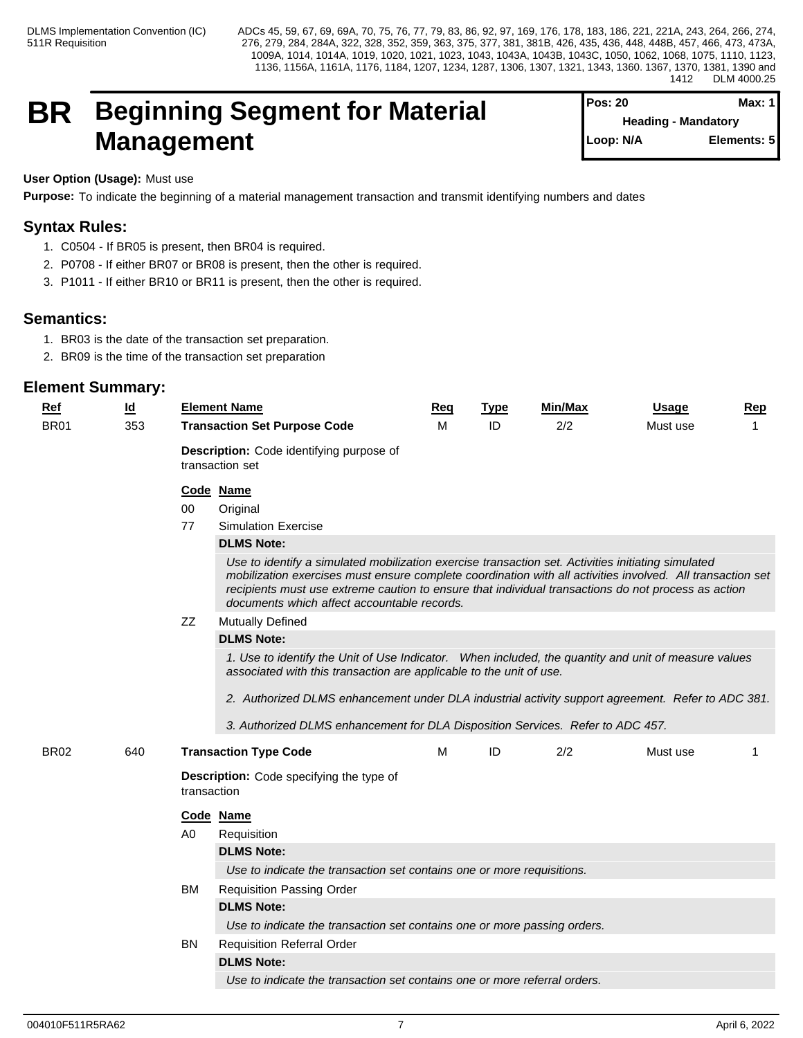# **BR Beginning Segment for Material Management**

| $Pos: 20$                  | Max: 1      |
|----------------------------|-------------|
| <b>Heading - Mandatory</b> |             |
| Loop: N/A                  | Elements: 5 |
|                            |             |

# **User Option (Usage):** Must use

**Purpose:** To indicate the beginning of a material management transaction and transmit identifying numbers and dates

# **Syntax Rules:**

- 1. C0504 If BR05 is present, then BR04 is required.
- 2. P0708 If either BR07 or BR08 is present, then the other is required.
- 3. P1011 If either BR10 or BR11 is present, then the other is required.

# **Semantics:**

- 1. BR03 is the date of the transaction set preparation.
- 2. BR09 is the time of the transaction set preparation

| Ref         | $\underline{\mathsf{Id}}$ | <b>Element Name</b>                                            |                                                                                                                                                                                                                                                                                                                                                                        | <b>Req</b> | <b>Type</b> | <b>Min/Max</b> | <b>Usage</b> | Rep            |  |  |  |
|-------------|---------------------------|----------------------------------------------------------------|------------------------------------------------------------------------------------------------------------------------------------------------------------------------------------------------------------------------------------------------------------------------------------------------------------------------------------------------------------------------|------------|-------------|----------------|--------------|----------------|--|--|--|
| <b>BR01</b> | 353                       |                                                                | <b>Transaction Set Purpose Code</b>                                                                                                                                                                                                                                                                                                                                    | M          | ID          | 2/2            | Must use     | $\overline{1}$ |  |  |  |
|             |                           | transaction set                                                | Description: Code identifying purpose of                                                                                                                                                                                                                                                                                                                               |            |             |                |              |                |  |  |  |
|             |                           | Code Name                                                      |                                                                                                                                                                                                                                                                                                                                                                        |            |             |                |              |                |  |  |  |
|             |                           | 00                                                             | Original                                                                                                                                                                                                                                                                                                                                                               |            |             |                |              |                |  |  |  |
|             |                           | 77                                                             | <b>Simulation Exercise</b>                                                                                                                                                                                                                                                                                                                                             |            |             |                |              |                |  |  |  |
|             |                           |                                                                | <b>DLMS Note:</b>                                                                                                                                                                                                                                                                                                                                                      |            |             |                |              |                |  |  |  |
|             |                           |                                                                | Use to identify a simulated mobilization exercise transaction set. Activities initiating simulated<br>mobilization exercises must ensure complete coordination with all activities involved. All transaction set<br>recipients must use extreme caution to ensure that individual transactions do not process as action<br>documents which affect accountable records. |            |             |                |              |                |  |  |  |
|             |                           | ZZ                                                             | <b>Mutually Defined</b>                                                                                                                                                                                                                                                                                                                                                |            |             |                |              |                |  |  |  |
|             |                           |                                                                | <b>DLMS Note:</b>                                                                                                                                                                                                                                                                                                                                                      |            |             |                |              |                |  |  |  |
|             |                           |                                                                | 1. Use to identify the Unit of Use Indicator. When included, the quantity and unit of measure values<br>associated with this transaction are applicable to the unit of use.<br>2. Authorized DLMS enhancement under DLA industrial activity support agreement. Refer to ADC 381.                                                                                       |            |             |                |              |                |  |  |  |
|             |                           |                                                                |                                                                                                                                                                                                                                                                                                                                                                        |            |             |                |              |                |  |  |  |
|             |                           |                                                                | 3. Authorized DLMS enhancement for DLA Disposition Services. Refer to ADC 457.                                                                                                                                                                                                                                                                                         |            |             |                |              |                |  |  |  |
| <b>BR02</b> | 640                       |                                                                | <b>Transaction Type Code</b>                                                                                                                                                                                                                                                                                                                                           | M          | ID          | 2/2            | Must use     |                |  |  |  |
|             |                           | <b>Description:</b> Code specifying the type of<br>transaction |                                                                                                                                                                                                                                                                                                                                                                        |            |             |                |              |                |  |  |  |
|             |                           | Code Name                                                      |                                                                                                                                                                                                                                                                                                                                                                        |            |             |                |              |                |  |  |  |
|             |                           | A <sub>0</sub>                                                 | Requisition                                                                                                                                                                                                                                                                                                                                                            |            |             |                |              |                |  |  |  |
|             |                           |                                                                | <b>DLMS Note:</b>                                                                                                                                                                                                                                                                                                                                                      |            |             |                |              |                |  |  |  |
|             |                           |                                                                | Use to indicate the transaction set contains one or more requisitions.                                                                                                                                                                                                                                                                                                 |            |             |                |              |                |  |  |  |
|             |                           | <b>BM</b>                                                      | <b>Requisition Passing Order</b>                                                                                                                                                                                                                                                                                                                                       |            |             |                |              |                |  |  |  |
|             |                           |                                                                | <b>DLMS Note:</b>                                                                                                                                                                                                                                                                                                                                                      |            |             |                |              |                |  |  |  |
|             |                           |                                                                | Use to indicate the transaction set contains one or more passing orders.                                                                                                                                                                                                                                                                                               |            |             |                |              |                |  |  |  |
|             |                           | BN                                                             | <b>Requisition Referral Order</b>                                                                                                                                                                                                                                                                                                                                      |            |             |                |              |                |  |  |  |
|             |                           |                                                                | <b>DLMS Note:</b>                                                                                                                                                                                                                                                                                                                                                      |            |             |                |              |                |  |  |  |
|             |                           |                                                                | Use to indicate the transaction set contains one or more referral orders.                                                                                                                                                                                                                                                                                              |            |             |                |              |                |  |  |  |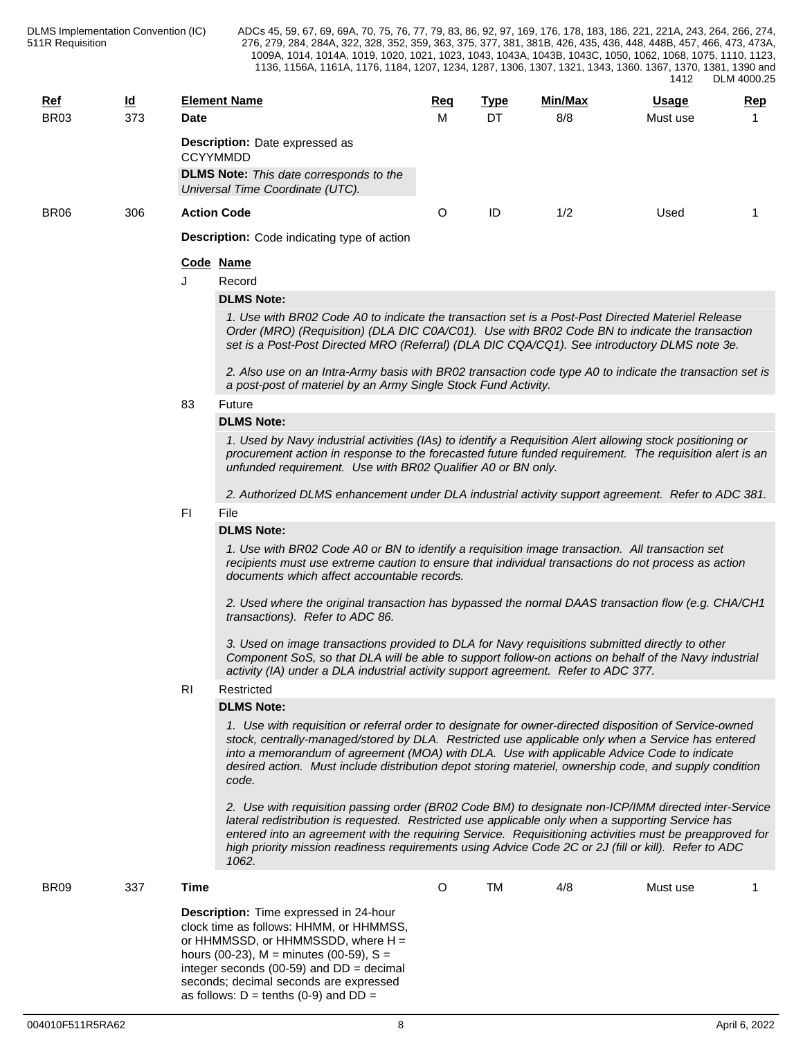| <b>Ref</b>       | <u>ld</u> |                    | <b>Element Name</b>                                                                                                                                                                                                                                                                                                                                                                                                                   | <u>Req</u> | <b>Type</b> | Min/Max | <u>Usage</u> | <u>Rep</u> |  |  |  |  |
|------------------|-----------|--------------------|---------------------------------------------------------------------------------------------------------------------------------------------------------------------------------------------------------------------------------------------------------------------------------------------------------------------------------------------------------------------------------------------------------------------------------------|------------|-------------|---------|--------------|------------|--|--|--|--|
| BR <sub>03</sub> | 373       | <b>Date</b>        |                                                                                                                                                                                                                                                                                                                                                                                                                                       | м          | DT          | 8/8     | Must use     |            |  |  |  |  |
|                  |           | <b>CCYYMMDD</b>    | <b>Description:</b> Date expressed as<br><b>DLMS Note:</b> This date corresponds to the<br>Universal Time Coordinate (UTC).                                                                                                                                                                                                                                                                                                           |            |             |         |              |            |  |  |  |  |
| BR06             | 306       | <b>Action Code</b> |                                                                                                                                                                                                                                                                                                                                                                                                                                       | O          | ID          | 1/2     | Used         | -1         |  |  |  |  |
|                  |           |                    | <b>Description:</b> Code indicating type of action                                                                                                                                                                                                                                                                                                                                                                                    |            |             |         |              |            |  |  |  |  |
|                  |           | Code Name          |                                                                                                                                                                                                                                                                                                                                                                                                                                       |            |             |         |              |            |  |  |  |  |
|                  |           |                    | Record                                                                                                                                                                                                                                                                                                                                                                                                                                |            |             |         |              |            |  |  |  |  |
|                  |           |                    | <b>DLMS Note:</b>                                                                                                                                                                                                                                                                                                                                                                                                                     |            |             |         |              |            |  |  |  |  |
|                  |           |                    | 1. Use with BR02 Code A0 to indicate the transaction set is a Post-Post Directed Materiel Release<br>Order (MRO) (Requisition) (DLA DIC C0A/C01). Use with BR02 Code BN to indicate the transaction<br>set is a Post-Post Directed MRO (Referral) (DLA DIC CQA/CQ1). See introductory DLMS note 3e.                                                                                                                                   |            |             |         |              |            |  |  |  |  |
|                  |           |                    | 2. Also use on an Intra-Army basis with BR02 transaction code type A0 to indicate the transaction set is<br>a post-post of materiel by an Army Single Stock Fund Activity.                                                                                                                                                                                                                                                            |            |             |         |              |            |  |  |  |  |
|                  |           | 83                 | Future                                                                                                                                                                                                                                                                                                                                                                                                                                |            |             |         |              |            |  |  |  |  |
|                  |           |                    | <b>DLMS Note:</b>                                                                                                                                                                                                                                                                                                                                                                                                                     |            |             |         |              |            |  |  |  |  |
|                  |           |                    | 1. Used by Navy industrial activities (IAs) to identify a Requisition Alert allowing stock positioning or<br>procurement action in response to the forecasted future funded requirement. The requisition alert is an<br>unfunded requirement. Use with BR02 Qualifier A0 or BN only.                                                                                                                                                  |            |             |         |              |            |  |  |  |  |
|                  |           |                    | 2. Authorized DLMS enhancement under DLA industrial activity support agreement. Refer to ADC 381.                                                                                                                                                                                                                                                                                                                                     |            |             |         |              |            |  |  |  |  |
|                  |           | FI.                | File                                                                                                                                                                                                                                                                                                                                                                                                                                  |            |             |         |              |            |  |  |  |  |
|                  |           |                    | <b>DLMS Note:</b>                                                                                                                                                                                                                                                                                                                                                                                                                     |            |             |         |              |            |  |  |  |  |
|                  |           |                    | 1. Use with BR02 Code A0 or BN to identify a requisition image transaction. All transaction set<br>recipients must use extreme caution to ensure that individual transactions do not process as action<br>documents which affect accountable records.                                                                                                                                                                                 |            |             |         |              |            |  |  |  |  |
|                  |           |                    | 2. Used where the original transaction has bypassed the normal DAAS transaction flow (e.g. CHA/CH1<br>transactions). Refer to ADC 86.                                                                                                                                                                                                                                                                                                 |            |             |         |              |            |  |  |  |  |
|                  |           |                    | 3. Used on image transactions provided to DLA for Navy requisitions submitted directly to other<br>Component SoS, so that DLA will be able to support follow-on actions on behalf of the Navy industrial<br>activity (IA) under a DLA industrial activity support agreement. Refer to ADC 377.                                                                                                                                        |            |             |         |              |            |  |  |  |  |
|                  |           | R <sub>l</sub>     | Restricted                                                                                                                                                                                                                                                                                                                                                                                                                            |            |             |         |              |            |  |  |  |  |
|                  |           |                    | <b>DLMS Note:</b>                                                                                                                                                                                                                                                                                                                                                                                                                     |            |             |         |              |            |  |  |  |  |
|                  |           |                    | 1. Use with requisition or referral order to designate for owner-directed disposition of Service-owned<br>stock, centrally-managed/stored by DLA. Restricted use applicable only when a Service has entered<br>into a memorandum of agreement (MOA) with DLA. Use with applicable Advice Code to indicate<br>desired action. Must include distribution depot storing materiel, ownership code, and supply condition<br>code.          |            |             |         |              |            |  |  |  |  |
|                  |           |                    | 2. Use with requisition passing order (BR02 Code BM) to designate non-ICP/IMM directed inter-Service<br>lateral redistribution is requested. Restricted use applicable only when a supporting Service has<br>entered into an agreement with the requiring Service. Requisitioning activities must be preapproved for<br>high priority mission readiness requirements using Advice Code 2C or 2J (fill or kill). Refer to ADC<br>1062. |            |             |         |              |            |  |  |  |  |
| BR <sub>09</sub> | 337       | <b>Time</b>        |                                                                                                                                                                                                                                                                                                                                                                                                                                       | O          | <b>TM</b>   | 4/8     | Must use     |            |  |  |  |  |
|                  |           |                    | Description: Time expressed in 24-hour<br>clock time as follows: HHMM, or HHMMSS,<br>or HHMMSSD, or HHMMSSDD, where $H =$<br>hours (00-23), $M =$ minutes (00-59), $S =$<br>integer seconds (00-59) and $DD = decimal$<br>seconds; decimal seconds are expressed                                                                                                                                                                      |            |             |         |              |            |  |  |  |  |

as follows:  $D = \text{tenths} (0-9)$  and  $DD =$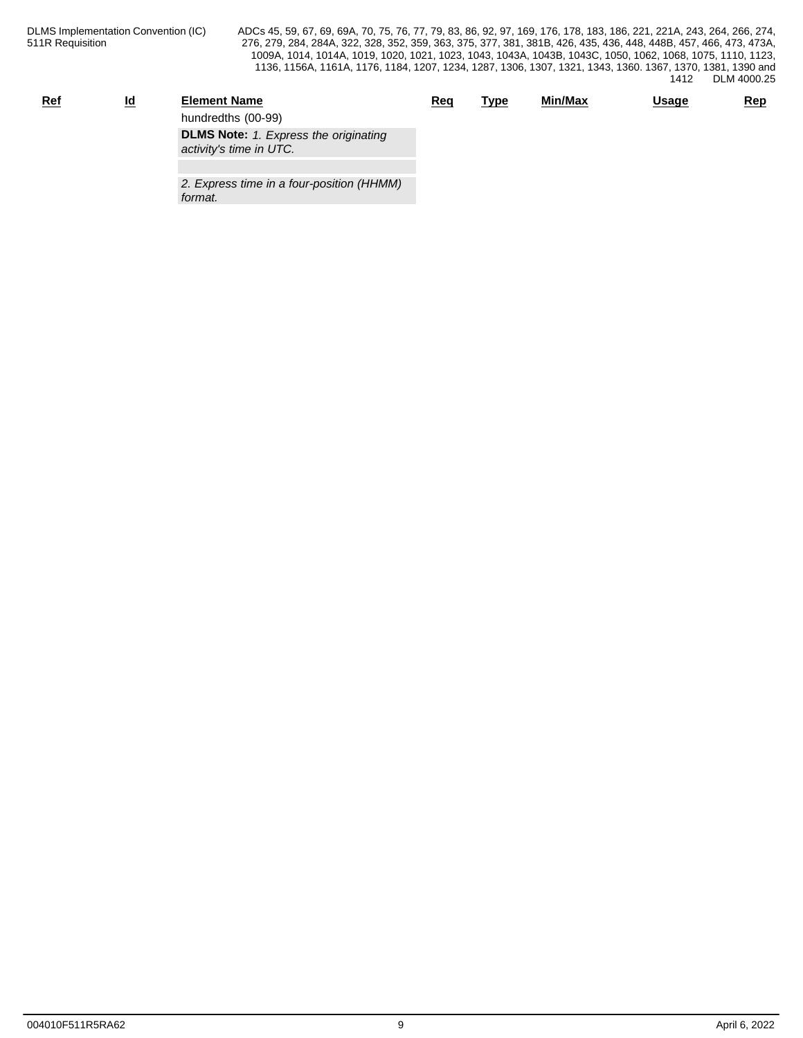| <u>Ref</u> | <u>ia</u> | <b>Element Name</b>                          | Req | <u>Type</u> | Min/Max | <u>Usage</u> | Rep |
|------------|-----------|----------------------------------------------|-----|-------------|---------|--------------|-----|
|            |           | hundredths (00-99)                           |     |             |         |              |     |
|            |           | <b>DLMS Note:</b> 1. Express the originating |     |             |         |              |     |
|            |           | activity's time in UTC.                      |     |             |         |              |     |
|            |           | ----<br>.<br>.                               |     |             |         |              |     |

*2. Express time in a four-position (HHMM) format.*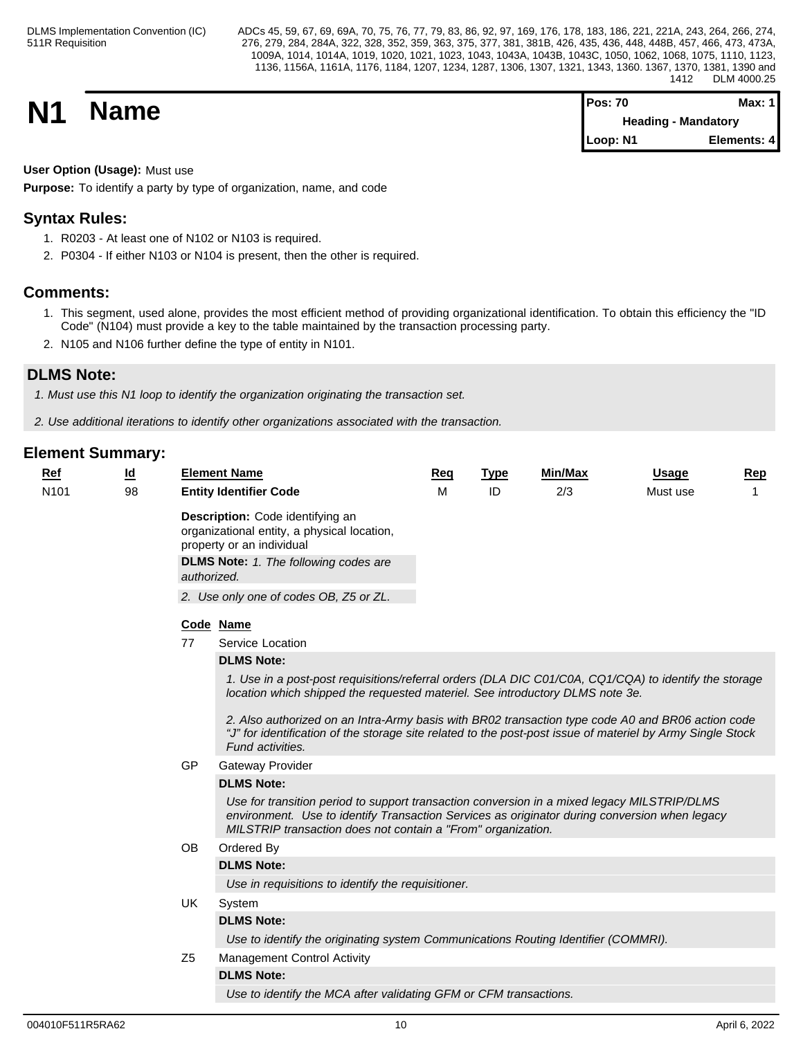**N1 Name Pos: 70 Max: 1 Max: 1 Max: 1 Max: 1 Max: 1 Max: 1 Max: 1 Max: 1 Heading - Mandatory Loop: N1 Elements: 4**

# **User Option (Usage):** Must use

**Purpose:** To identify a party by type of organization, name, and code

# **Syntax Rules:**

- 1. R0203 At least one of N102 or N103 is required.
- 2. P0304 If either N103 or N104 is present, then the other is required.

# **Comments:**

- 1. This segment, used alone, provides the most efficient method of providing organizational identification. To obtain this efficiency the "ID Code" (N104) must provide a key to the table maintained by the transaction processing party.
- 2. N105 and N106 further define the type of entity in N101.

# **DLMS Note:**

*1. Must use this N1 loop to identify the organization originating the transaction set.*

*2. Use additional iterations to identify other organizations associated with the transaction.*

| $Ref$            | <u>ld</u> |                | <b>Element Name</b>                                                                                                                                                                                                                                                                                                                                                                                                           | Req | <b>Type</b> | Min/Max | <b>Usage</b> | Rep |
|------------------|-----------|----------------|-------------------------------------------------------------------------------------------------------------------------------------------------------------------------------------------------------------------------------------------------------------------------------------------------------------------------------------------------------------------------------------------------------------------------------|-----|-------------|---------|--------------|-----|
| N <sub>101</sub> | 98        |                | <b>Entity Identifier Code</b>                                                                                                                                                                                                                                                                                                                                                                                                 | M   | ID          | 2/3     | Must use     | 1   |
|                  |           | authorized.    | Description: Code identifying an<br>organizational entity, a physical location,<br>property or an individual<br><b>DLMS Note:</b> 1. The following codes are<br>2. Use only one of codes OB, Z5 or ZL.                                                                                                                                                                                                                        |     |             |         |              |     |
|                  |           |                |                                                                                                                                                                                                                                                                                                                                                                                                                               |     |             |         |              |     |
|                  |           |                | Code Name                                                                                                                                                                                                                                                                                                                                                                                                                     |     |             |         |              |     |
|                  |           | 77             | Service Location                                                                                                                                                                                                                                                                                                                                                                                                              |     |             |         |              |     |
|                  |           |                | <b>DLMS Note:</b>                                                                                                                                                                                                                                                                                                                                                                                                             |     |             |         |              |     |
|                  |           |                | 1. Use in a post-post requisitions/referral orders (DLA DIC C01/C0A, CQ1/CQA) to identify the storage<br>location which shipped the requested materiel. See introductory DLMS note 3e.<br>2. Also authorized on an Intra-Army basis with BR02 transaction type code A0 and BR06 action code<br>"J" for identification of the storage site related to the post-post issue of materiel by Army Single Stock<br>Fund activities. |     |             |         |              |     |
|                  |           | GP             | <b>Gateway Provider</b>                                                                                                                                                                                                                                                                                                                                                                                                       |     |             |         |              |     |
|                  |           |                | <b>DLMS Note:</b>                                                                                                                                                                                                                                                                                                                                                                                                             |     |             |         |              |     |
|                  |           |                | Use for transition period to support transaction conversion in a mixed legacy MILSTRIP/DLMS<br>environment. Use to identify Transaction Services as originator during conversion when legacy<br>MILSTRIP transaction does not contain a "From" organization.                                                                                                                                                                  |     |             |         |              |     |
|                  |           | <b>OB</b>      | Ordered By                                                                                                                                                                                                                                                                                                                                                                                                                    |     |             |         |              |     |
|                  |           |                | <b>DLMS Note:</b>                                                                                                                                                                                                                                                                                                                                                                                                             |     |             |         |              |     |
|                  |           |                | Use in requisitions to identify the requisitioner.                                                                                                                                                                                                                                                                                                                                                                            |     |             |         |              |     |
|                  |           | UK             | System                                                                                                                                                                                                                                                                                                                                                                                                                        |     |             |         |              |     |
|                  |           |                | <b>DLMS Note:</b>                                                                                                                                                                                                                                                                                                                                                                                                             |     |             |         |              |     |
|                  |           |                | Use to identify the originating system Communications Routing Identifier (COMMRI).                                                                                                                                                                                                                                                                                                                                            |     |             |         |              |     |
|                  |           | Z <sub>5</sub> | <b>Management Control Activity</b>                                                                                                                                                                                                                                                                                                                                                                                            |     |             |         |              |     |
|                  |           |                | <b>DLMS Note:</b>                                                                                                                                                                                                                                                                                                                                                                                                             |     |             |         |              |     |
|                  |           |                | Use to identify the MCA after validating GFM or CFM transactions.                                                                                                                                                                                                                                                                                                                                                             |     |             |         |              |     |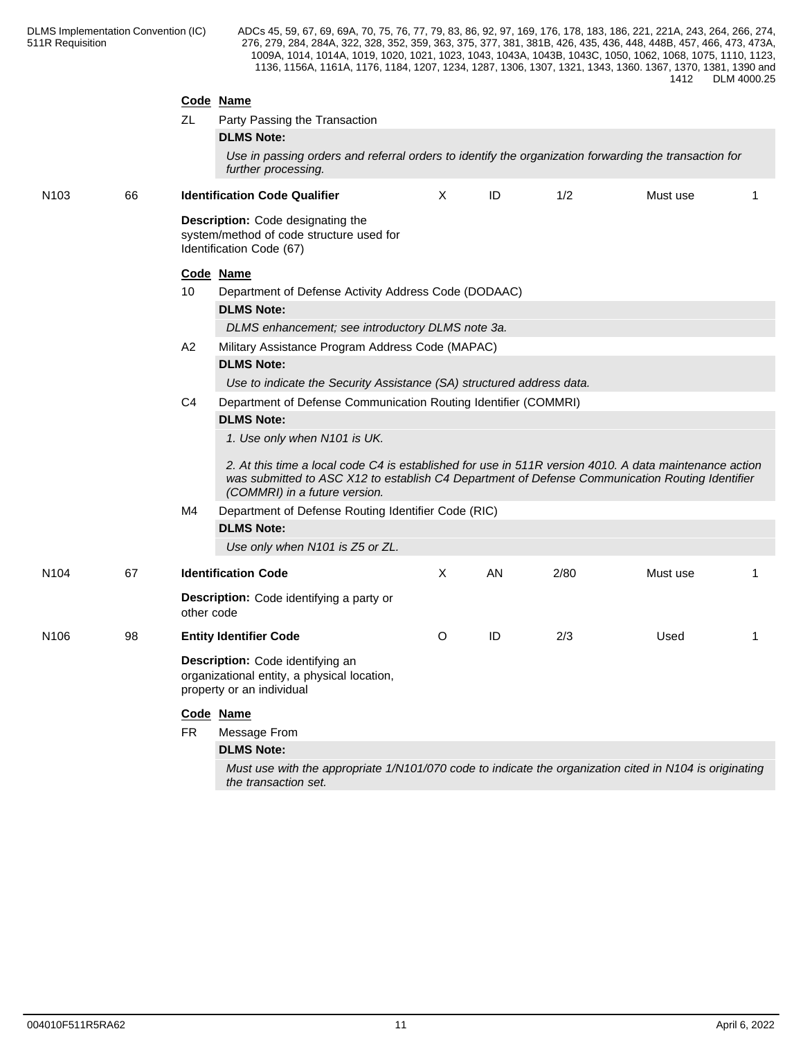|                  |    | ZL         | Code Name<br>Party Passing the Transaction<br><b>DLMS Note:</b><br>Use in passing orders and referral orders to identify the organization forwarding the transaction for<br>further processing.                                                                                                 |         |    |      |          |   |  |  |  |
|------------------|----|------------|-------------------------------------------------------------------------------------------------------------------------------------------------------------------------------------------------------------------------------------------------------------------------------------------------|---------|----|------|----------|---|--|--|--|
| N <sub>103</sub> | 66 |            | <b>Identification Code Qualifier</b>                                                                                                                                                                                                                                                            | X       | ID | 1/2  | Must use | 1 |  |  |  |
|                  |    |            | Description: Code designating the<br>system/method of code structure used for<br>Identification Code (67)                                                                                                                                                                                       |         |    |      |          |   |  |  |  |
|                  |    |            | Code Name                                                                                                                                                                                                                                                                                       |         |    |      |          |   |  |  |  |
|                  |    | 10         | Department of Defense Activity Address Code (DODAAC)                                                                                                                                                                                                                                            |         |    |      |          |   |  |  |  |
|                  |    | A2         | <b>DLMS Note:</b>                                                                                                                                                                                                                                                                               |         |    |      |          |   |  |  |  |
|                  |    |            | DLMS enhancement; see introductory DLMS note 3a.                                                                                                                                                                                                                                                |         |    |      |          |   |  |  |  |
|                  |    |            | Military Assistance Program Address Code (MAPAC)                                                                                                                                                                                                                                                |         |    |      |          |   |  |  |  |
|                  |    |            | <b>DLMS Note:</b>                                                                                                                                                                                                                                                                               |         |    |      |          |   |  |  |  |
|                  |    |            | Use to indicate the Security Assistance (SA) structured address data.                                                                                                                                                                                                                           |         |    |      |          |   |  |  |  |
|                  |    | C4         | Department of Defense Communication Routing Identifier (COMMRI)                                                                                                                                                                                                                                 |         |    |      |          |   |  |  |  |
|                  |    |            | <b>DLMS Note:</b><br>1. Use only when N101 is UK.<br>2. At this time a local code C4 is established for use in 511R version 4010. A data maintenance action<br>was submitted to ASC X12 to establish C4 Department of Defense Communication Routing Identifier<br>(COMMRI) in a future version. |         |    |      |          |   |  |  |  |
|                  |    | M4         | Department of Defense Routing Identifier Code (RIC)                                                                                                                                                                                                                                             |         |    |      |          |   |  |  |  |
|                  |    |            | <b>DLMS Note:</b>                                                                                                                                                                                                                                                                               |         |    |      |          |   |  |  |  |
|                  |    |            | Use only when N101 is Z5 or ZL.                                                                                                                                                                                                                                                                 |         |    |      |          |   |  |  |  |
| N <sub>104</sub> | 67 |            | <b>Identification Code</b>                                                                                                                                                                                                                                                                      | X       | AN | 2/80 | Must use | 1 |  |  |  |
|                  |    | other code | Description: Code identifying a party or                                                                                                                                                                                                                                                        |         |    |      |          |   |  |  |  |
| N <sub>106</sub> | 98 |            | <b>Entity Identifier Code</b>                                                                                                                                                                                                                                                                   | $\circ$ | ID | 2/3  | Used     | 1 |  |  |  |
|                  |    |            | Description: Code identifying an<br>organizational entity, a physical location,<br>property or an individual                                                                                                                                                                                    |         |    |      |          |   |  |  |  |
|                  |    |            | Code Name                                                                                                                                                                                                                                                                                       |         |    |      |          |   |  |  |  |
|                  |    | <b>FR</b>  | Message From                                                                                                                                                                                                                                                                                    |         |    |      |          |   |  |  |  |
|                  |    |            | <b>DLMS Note:</b>                                                                                                                                                                                                                                                                               |         |    |      |          |   |  |  |  |
|                  |    |            | Must use with the appropriate 1/N101/070 code to indicate the organization cited in N104 is originating                                                                                                                                                                                         |         |    |      |          |   |  |  |  |
|                  |    |            | the transaction set.                                                                                                                                                                                                                                                                            |         |    |      |          |   |  |  |  |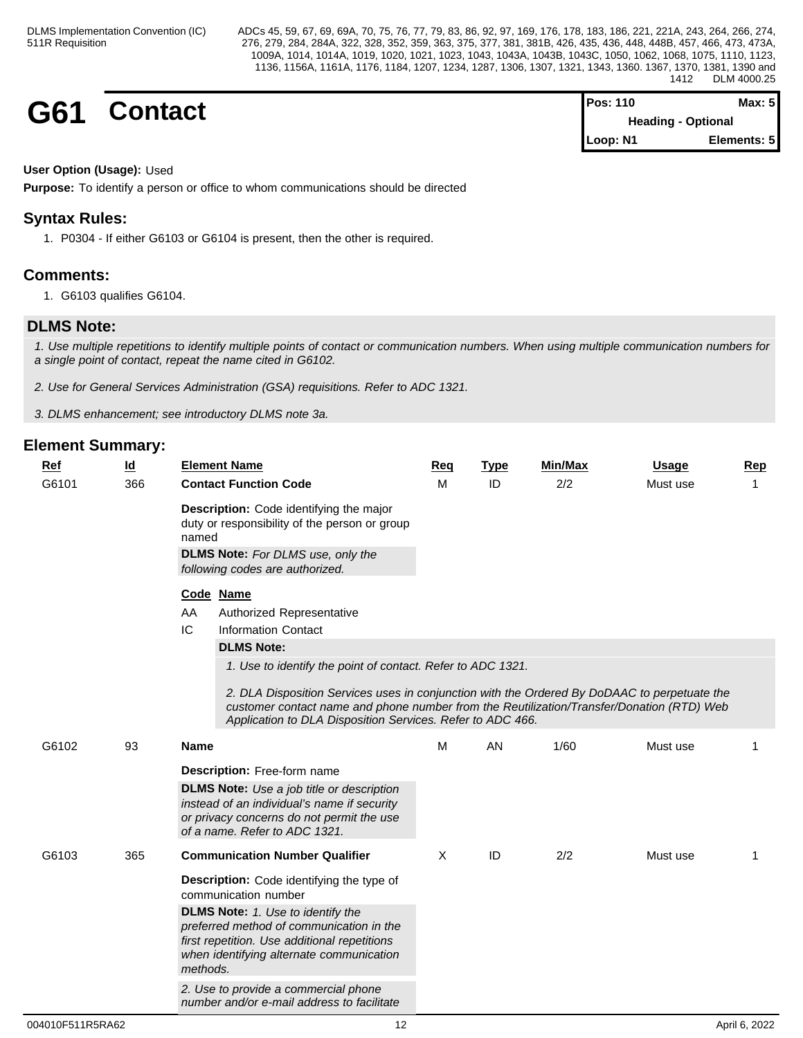| G61 | Contact | <b>Pos: 110</b>                       | Max: $5$    |  |
|-----|---------|---------------------------------------|-------------|--|
|     |         | <b>Heading - Optional</b><br>Loop: N1 | Elements: 5 |  |
|     |         |                                       |             |  |

# **User Option (Usage):** Used

**Purpose:** To identify a person or office to whom communications should be directed

# **Syntax Rules:**

1. P0304 - If either G6103 or G6104 is present, then the other is required.

# **Comments:**

1. G6103 qualifies G6104.

# **DLMS Note:**

*1. Use multiple repetitions to identify multiple points of contact or communication numbers. When using multiple communication numbers for a single point of contact, repeat the name cited in G6102.*

*2. Use for General Services Administration (GSA) requisitions. Refer to ADC 1321.*

*3. DLMS enhancement; see introductory DLMS note 3a.*

| <u>Ref</u><br>G6101 | <u>ld</u><br>366 | <b>Element Name</b><br><b>Contact Function Code</b>                                                                                                                                                                                                                                                                    | Req<br>м | <u>Type</u><br>ID | <b>Min/Max</b><br>2/2 | <b>Usage</b><br>Must use | Rep<br>$\mathbf{1}$ |
|---------------------|------------------|------------------------------------------------------------------------------------------------------------------------------------------------------------------------------------------------------------------------------------------------------------------------------------------------------------------------|----------|-------------------|-----------------------|--------------------------|---------------------|
|                     |                  | Description: Code identifying the major<br>duty or responsibility of the person or group<br>named<br><b>DLMS Note:</b> For DLMS use, only the<br>following codes are authorized.                                                                                                                                       |          |                   |                       |                          |                     |
|                     |                  | Code Name<br>AA<br>Authorized Representative<br>IC<br><b>Information Contact</b><br><b>DLMS Note:</b>                                                                                                                                                                                                                  |          |                   |                       |                          |                     |
|                     |                  | 1. Use to identify the point of contact. Refer to ADC 1321.<br>2. DLA Disposition Services uses in conjunction with the Ordered By DoDAAC to perpetuate the<br>customer contact name and phone number from the Reutilization/Transfer/Donation (RTD) Web<br>Application to DLA Disposition Services. Refer to ADC 466. |          |                   |                       |                          |                     |
| G6102               | 93               | Name                                                                                                                                                                                                                                                                                                                   | M        | AN                | 1/60                  | Must use                 |                     |
|                     |                  | <b>Description:</b> Free-form name<br><b>DLMS Note:</b> Use a job title or description<br>instead of an individual's name if security<br>or privacy concerns do not permit the use<br>of a name. Refer to ADC 1321.                                                                                                    |          |                   |                       |                          |                     |
| G6103               | 365              | <b>Communication Number Qualifier</b>                                                                                                                                                                                                                                                                                  | X        | ID                | 2/2                   | Must use                 | -1                  |
|                     |                  | <b>Description:</b> Code identifying the type of<br>communication number                                                                                                                                                                                                                                               |          |                   |                       |                          |                     |
|                     |                  | <b>DLMS Note:</b> 1. Use to identify the<br>preferred method of communication in the<br>first repetition. Use additional repetitions<br>when identifying alternate communication<br>methods.                                                                                                                           |          |                   |                       |                          |                     |
|                     |                  | 2. Use to provide a commercial phone<br>number and/or e-mail address to facilitate                                                                                                                                                                                                                                     |          |                   |                       |                          |                     |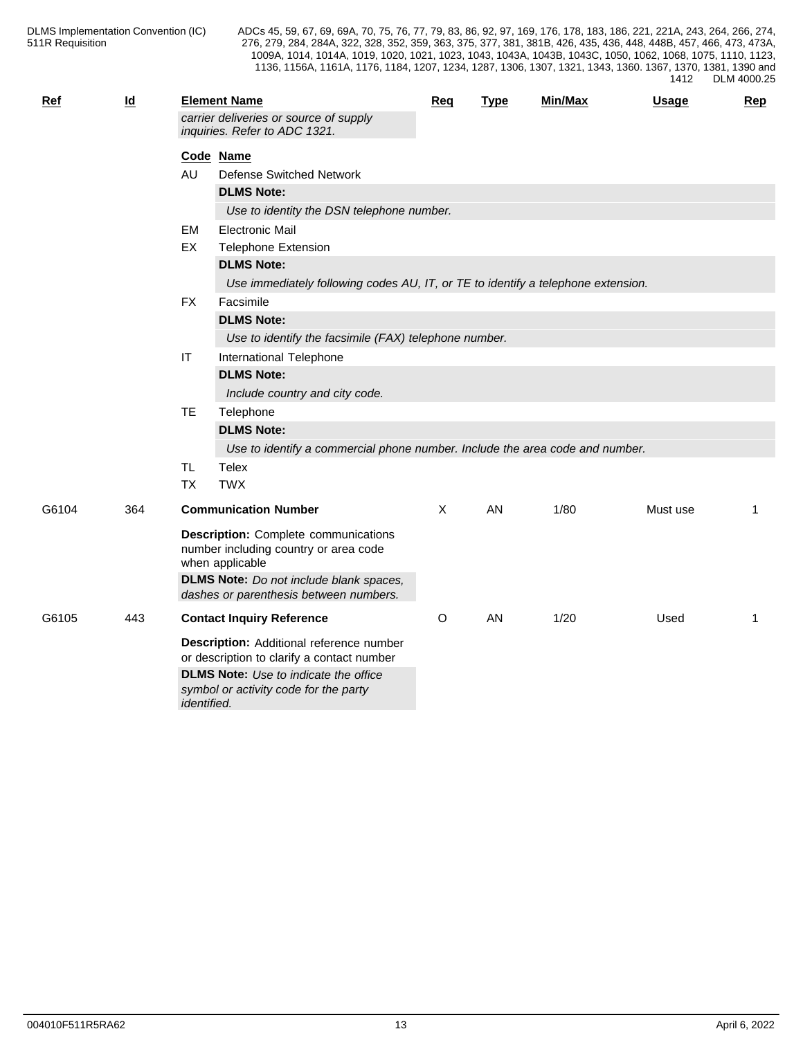| <b>Ref</b> | $\underline{\mathsf{Id}}$ |             | <b>Element Name</b>                                                                                                                                                                                 | Req | <b>Type</b> | Min/Max | <b>Usage</b> | <b>Rep</b> |
|------------|---------------------------|-------------|-----------------------------------------------------------------------------------------------------------------------------------------------------------------------------------------------------|-----|-------------|---------|--------------|------------|
|            |                           |             | carrier deliveries or source of supply<br>inquiries. Refer to ADC 1321.                                                                                                                             |     |             |         |              |            |
|            |                           |             | Code Name                                                                                                                                                                                           |     |             |         |              |            |
|            |                           | AU          | <b>Defense Switched Network</b>                                                                                                                                                                     |     |             |         |              |            |
|            |                           |             | <b>DLMS Note:</b>                                                                                                                                                                                   |     |             |         |              |            |
|            |                           |             | Use to identity the DSN telephone number.                                                                                                                                                           |     |             |         |              |            |
|            |                           | EM          | <b>Electronic Mail</b>                                                                                                                                                                              |     |             |         |              |            |
|            |                           | EX          | <b>Telephone Extension</b>                                                                                                                                                                          |     |             |         |              |            |
|            |                           |             | <b>DLMS Note:</b>                                                                                                                                                                                   |     |             |         |              |            |
|            |                           |             | Use immediately following codes AU, IT, or TE to identify a telephone extension.                                                                                                                    |     |             |         |              |            |
|            |                           | <b>FX</b>   | Facsimile                                                                                                                                                                                           |     |             |         |              |            |
|            |                           |             | <b>DLMS Note:</b>                                                                                                                                                                                   |     |             |         |              |            |
|            |                           |             | Use to identify the facsimile (FAX) telephone number.                                                                                                                                               |     |             |         |              |            |
|            |                           | $\sf IT$    | International Telephone                                                                                                                                                                             |     |             |         |              |            |
|            |                           |             | <b>DLMS Note:</b>                                                                                                                                                                                   |     |             |         |              |            |
|            |                           |             | Include country and city code.                                                                                                                                                                      |     |             |         |              |            |
|            |                           | <b>TE</b>   | Telephone                                                                                                                                                                                           |     |             |         |              |            |
|            |                           |             | <b>DLMS Note:</b>                                                                                                                                                                                   |     |             |         |              |            |
|            |                           |             | Use to identify a commercial phone number. Include the area code and number.                                                                                                                        |     |             |         |              |            |
|            |                           | <b>TL</b>   | <b>Telex</b>                                                                                                                                                                                        |     |             |         |              |            |
|            |                           | <b>TX</b>   | <b>TWX</b>                                                                                                                                                                                          |     |             |         |              |            |
| G6104      | 364                       |             | <b>Communication Number</b>                                                                                                                                                                         | X   | AN          | 1/80    | Must use     | 1          |
|            |                           |             | <b>Description:</b> Complete communications<br>number including country or area code<br>when applicable<br><b>DLMS Note:</b> Do not include blank spaces,<br>dashes or parenthesis between numbers. |     |             |         |              |            |
| G6105      | 443                       |             | <b>Contact Inquiry Reference</b>                                                                                                                                                                    | O   | AN          | 1/20    | Used         | 1          |
|            |                           |             | Description: Additional reference number<br>or description to clarify a contact number                                                                                                              |     |             |         |              |            |
|            |                           | identified. | <b>DLMS Note:</b> Use to indicate the office<br>symbol or activity code for the party                                                                                                               |     |             |         |              |            |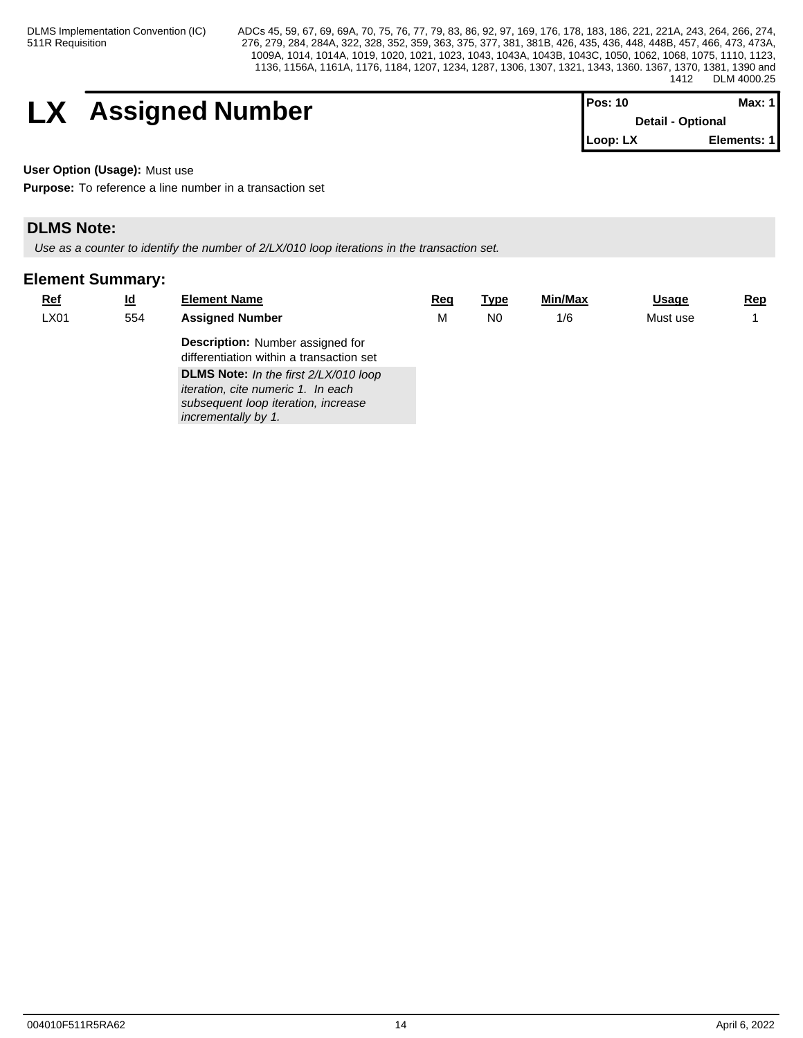# **LX** Assigned Number

| <b>Pos: 10</b> | Max: 11                  |
|----------------|--------------------------|
|                | <b>Detail - Optional</b> |
| Loop: LX       | Elements: 1              |

**User Option (Usage):** Must use

**Purpose:** To reference a line number in a transaction set

# **DLMS Note:**

*Use as a counter to identify the number of 2/LX/010 loop iterations in the transaction set.*

| $Ref$ | $\underline{\mathsf{Id}}$ | <b>Element Name</b>                                                                 | Req | <u>Type</u>    | Min/Max | <b>Usage</b> | <u>Rep</u> |
|-------|---------------------------|-------------------------------------------------------------------------------------|-----|----------------|---------|--------------|------------|
| LX01  | 554                       | <b>Assigned Number</b>                                                              | M   | N <sub>0</sub> | 1/6     | Must use     |            |
|       |                           | <b>Description:</b> Number assigned for<br>differentiation within a transaction set |     |                |         |              |            |
|       |                           | DLMS Note: In the first 2/LX/010 loop<br><i>iteration, cite numeric 1. In each</i>  |     |                |         |              |            |
|       |                           | subsequent loop iteration, increase<br>incrementally by 1.                          |     |                |         |              |            |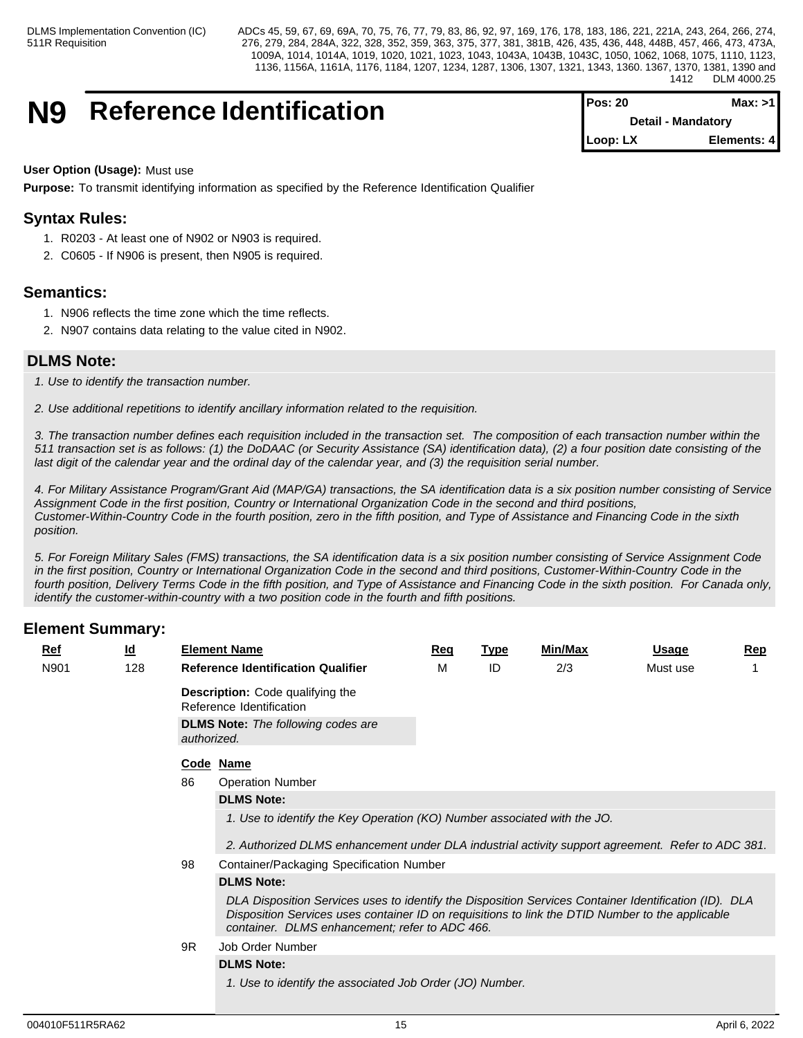# **N9** Reference Identification

| <b>IPos: 20</b> | Max: >11                  |
|-----------------|---------------------------|
|                 | <b>Detail - Mandatory</b> |
| $Loop: LX$      | Elements: 4               |

**User Option (Usage):** Must use

**Purpose:** To transmit identifying information as specified by the Reference Identification Qualifier

# **Syntax Rules:**

- 1. R0203 At least one of N902 or N903 is required.
- 2. C0605 If N906 is present, then N905 is required.

# **Semantics:**

- 1. N906 reflects the time zone which the time reflects.
- 2. N907 contains data relating to the value cited in N902.

# **DLMS Note:**

*1. Use to identify the transaction number.*

*2. Use additional repetitions to identify ancillary information related to the requisition.*

*3. The transaction number defines each requisition included in the transaction set. The composition of each transaction number within the 511 transaction set is as follows: (1) the DoDAAC (or Security Assistance (SA) identification data), (2) a four position date consisting of the last digit of the calendar year and the ordinal day of the calendar year, and (3) the requisition serial number.*

*4. For Military Assistance Program/Grant Aid (MAP/GA) transactions, the SA identification data is a six position number consisting of Service Assignment Code in the first position, Country or International Organization Code in the second and third positions, Customer-Within-Country Code in the fourth position, zero in the fifth position, and Type of Assistance and Financing Code in the sixth position.*

*5. For Foreign Military Sales (FMS) transactions, the SA identification data is a six position number consisting of Service Assignment Code in the first position, Country or International Organization Code in the second and third positions, Customer-Within-Country Code in the fourth position, Delivery Terms Code in the fifth position, and Type of Assistance and Financing Code in the sixth position. For Canada only, identify the customer-within-country with a two position code in the fourth and fifth positions.*

| Ref  |  | $\underline{\mathsf{Id}}$ |             | <b>Element Name</b>                                                                                                                                                                                                                                         | Req | <u>Type</u> | Min/Max | <b>Usage</b> | $\mathbf{Rep}$ |  |  |  |
|------|--|---------------------------|-------------|-------------------------------------------------------------------------------------------------------------------------------------------------------------------------------------------------------------------------------------------------------------|-----|-------------|---------|--------------|----------------|--|--|--|
| N901 |  | 128                       |             | <b>Reference Identification Qualifier</b>                                                                                                                                                                                                                   | м   | ID          | 2/3     | Must use     |                |  |  |  |
|      |  |                           |             | <b>Description:</b> Code qualifying the<br>Reference Identification                                                                                                                                                                                         |     |             |         |              |                |  |  |  |
|      |  |                           | authorized. | <b>DLMS Note:</b> The following codes are                                                                                                                                                                                                                   |     |             |         |              |                |  |  |  |
|      |  |                           |             | Code Name                                                                                                                                                                                                                                                   |     |             |         |              |                |  |  |  |
|      |  |                           | 86          | <b>Operation Number</b>                                                                                                                                                                                                                                     |     |             |         |              |                |  |  |  |
|      |  |                           |             | <b>DLMS Note:</b>                                                                                                                                                                                                                                           |     |             |         |              |                |  |  |  |
|      |  |                           |             | 1. Use to identify the Key Operation (KO) Number associated with the JO.                                                                                                                                                                                    |     |             |         |              |                |  |  |  |
|      |  |                           |             | 2. Authorized DLMS enhancement under DLA industrial activity support agreement. Refer to ADC 381.                                                                                                                                                           |     |             |         |              |                |  |  |  |
|      |  |                           | 98          | Container/Packaging Specification Number                                                                                                                                                                                                                    |     |             |         |              |                |  |  |  |
|      |  |                           |             | <b>DLMS Note:</b>                                                                                                                                                                                                                                           |     |             |         |              |                |  |  |  |
|      |  |                           |             | DLA Disposition Services uses to identify the Disposition Services Container Identification (ID). DLA<br>Disposition Services uses container ID on requisitions to link the DTID Number to the applicable<br>container. DLMS enhancement; refer to ADC 466. |     |             |         |              |                |  |  |  |
|      |  |                           | 9R          | Job Order Number                                                                                                                                                                                                                                            |     |             |         |              |                |  |  |  |
|      |  |                           |             | <b>DLMS Note:</b>                                                                                                                                                                                                                                           |     |             |         |              |                |  |  |  |
|      |  |                           |             | 1. Use to identify the associated Job Order (JO) Number.                                                                                                                                                                                                    |     |             |         |              |                |  |  |  |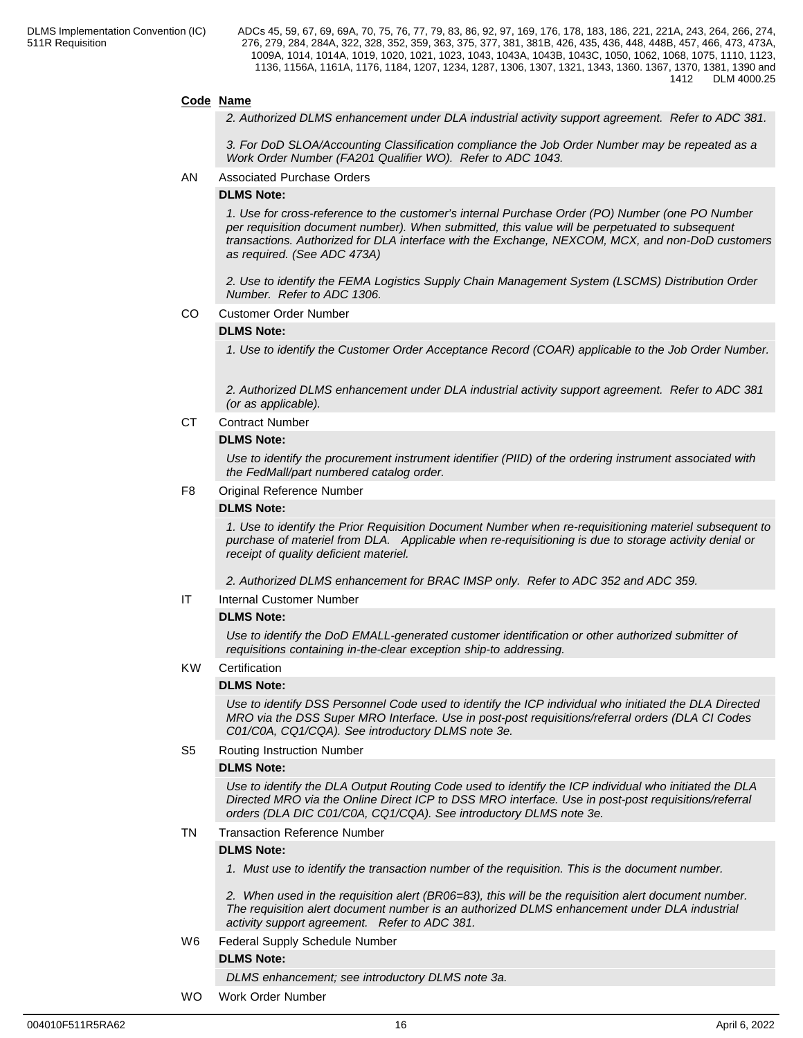### **Code Name**

*2. Authorized DLMS enhancement under DLA industrial activity support agreement. Refer to ADC 381.*

*3. For DoD SLOA/Accounting Classification compliance the Job Order Number may be repeated as a Work Order Number (FA201 Qualifier WO). Refer to ADC 1043.*

AN Associated Purchase Orders

#### **DLMS Note:**

*1. Use for cross-reference to the customer's internal Purchase Order (PO) Number (one PO Number per requisition document number). When submitted, this value will be perpetuated to subsequent transactions. Authorized for DLA interface with the Exchange, NEXCOM, MCX, and non-DoD customers as required. (See ADC 473A)*

*2. Use to identify the FEMA Logistics Supply Chain Management System (LSCMS) Distribution Order Number. Refer to ADC 1306.*

CO Customer Order Number

#### **DLMS Note:**

*1. Use to identify the Customer Order Acceptance Record (COAR) applicable to the Job Order Number.*

*2. Authorized DLMS enhancement under DLA industrial activity support agreement. Refer to ADC 381 (or as applicable).*

CT Contract Number

#### **DLMS Note:**

*Use to identify the procurement instrument identifier (PIID) of the ordering instrument associated with the FedMall/part numbered catalog order.*

#### F8 Original Reference Number

#### **DLMS Note:**

*1. Use to identify the Prior Requisition Document Number when re-requisitioning materiel subsequent to purchase of materiel from DLA. Applicable when re-requisitioning is due to storage activity denial or receipt of quality deficient materiel.* 

*2. Authorized DLMS enhancement for BRAC IMSP only. Refer to ADC 352 and ADC 359.*

### IT Internal Customer Number

## **DLMS Note:**

*Use to identify the DoD EMALL-generated customer identification or other authorized submitter of requisitions containing in-the-clear exception ship-to addressing.*

# KW Certification

#### **DLMS Note:**

*Use to identify DSS Personnel Code used to identify the ICP individual who initiated the DLA Directed MRO via the DSS Super MRO Interface. Use in post-post requisitions/referral orders (DLA CI Codes C01/C0A, CQ1/CQA). See introductory DLMS note 3e.*

### S5 Routing Instruction Number

### **DLMS Note:**

*Use to identify the DLA Output Routing Code used to identify the ICP individual who initiated the DLA Directed MRO via the Online Direct ICP to DSS MRO interface. Use in post-post requisitions/referral orders (DLA DIC C01/C0A, CQ1/CQA). See introductory DLMS note 3e.*

#### TN Transaction Reference Number

#### **DLMS Note:**

*1. Must use to identify the transaction number of the requisition. This is the document number.*

*2. When used in the requisition alert (BR06=83), this will be the requisition alert document number. The requisition alert document number is an authorized DLMS enhancement under DLA industrial activity support agreement. Refer to ADC 381.*

W6 Federal Supply Schedule Number

### **DLMS Note:**

*DLMS enhancement; see introductory DLMS note 3a.*

WO Work Order Number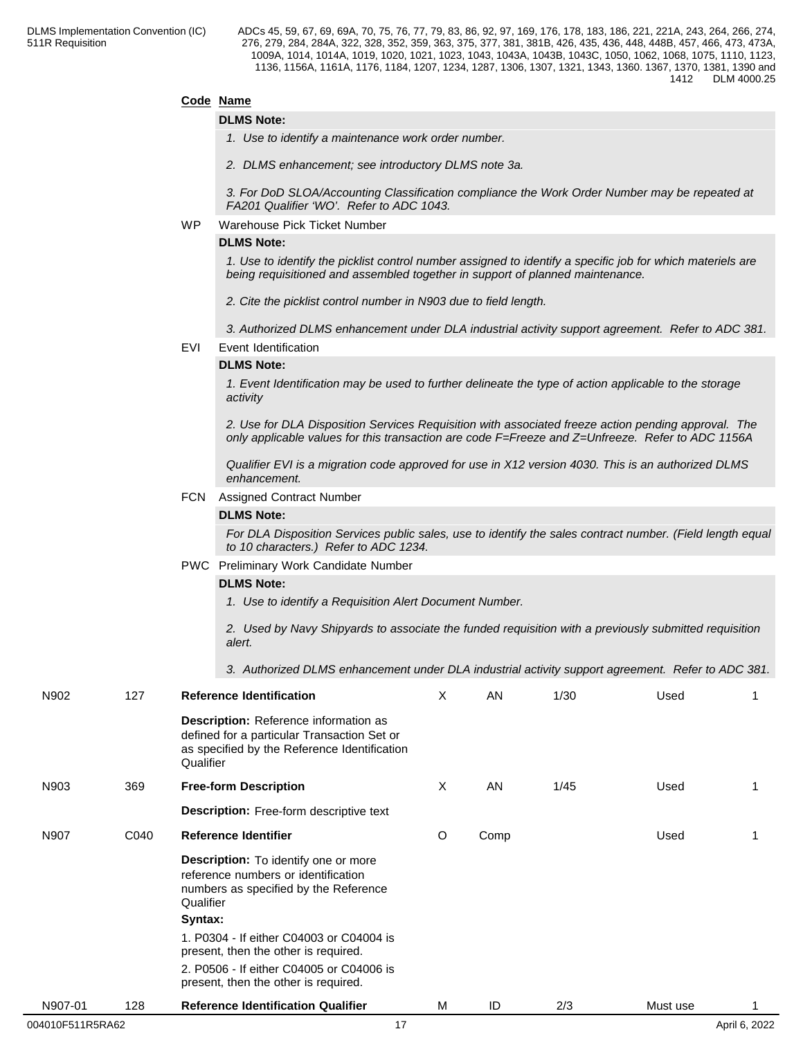# **Code Name**

#### **DLMS Note:**

*1. Use to identify a maintenance work order number.*

*2. DLMS enhancement; see introductory DLMS note 3a.*

*3. For DoD SLOA/Accounting Classification compliance the Work Order Number may be repeated at FA201 Qualifier 'WO'. Refer to ADC 1043.*

#### WP Warehouse Pick Ticket Number

# **DLMS Note:**

*1. Use to identify the picklist control number assigned to identify a specific job for which materiels are being requisitioned and assembled together in support of planned maintenance.* 

*2. Cite the picklist control number in N903 due to field length.*

*3. Authorized DLMS enhancement under DLA industrial activity support agreement. Refer to ADC 381.*

EVI Event Identification

#### **DLMS Note:**

*1. Event Identification may be used to further delineate the type of action applicable to the storage activity*

*2. Use for DLA Disposition Services Requisition with associated freeze action pending approval. The only applicable values for this transaction are code F=Freeze and Z=Unfreeze. Refer to ADC 1156A*

*Qualifier EVI is a migration code approved for use in X12 version 4030. This is an authorized DLMS enhancement.*

#### FCN Assigned Contract Number

#### **DLMS Note:**

*For DLA Disposition Services public sales, use to identify the sales contract number. (Field length equal to 10 characters.) Refer to ADC 1234.*

PWC Preliminary Work Candidate Number

#### **DLMS Note:**

*1. Use to identify a Requisition Alert Document Number.* 

*2. Used by Navy Shipyards to associate the funded requisition with a previously submitted requisition alert.* 

*3. Authorized DLMS enhancement under DLA industrial activity support agreement. Refer to ADC 381.*

| N902             | 127  | <b>Reference Identification</b>                                                                                                                          | X | AN   | 1/30 | Used     |               |
|------------------|------|----------------------------------------------------------------------------------------------------------------------------------------------------------|---|------|------|----------|---------------|
|                  |      | <b>Description:</b> Reference information as<br>defined for a particular Transaction Set or<br>as specified by the Reference Identification<br>Qualifier |   |      |      |          |               |
| N903             | 369  | <b>Free-form Description</b>                                                                                                                             | X | AN   | 1/45 | Used     |               |
|                  |      | Description: Free-form descriptive text                                                                                                                  |   |      |      |          |               |
| N907             | C040 | Reference Identifier                                                                                                                                     | O | Comp |      | Used     |               |
|                  |      | Description: To identify one or more<br>reference numbers or identification<br>numbers as specified by the Reference<br>Qualifier<br>Syntax:             |   |      |      |          |               |
|                  |      | 1. P0304 - If either C04003 or C04004 is<br>present, then the other is required.                                                                         |   |      |      |          |               |
|                  |      | 2. P0506 - If either C04005 or C04006 is<br>present, then the other is required.                                                                         |   |      |      |          |               |
| N907-01          | 128  | <b>Reference Identification Qualifier</b>                                                                                                                | M | ID   | 2/3  | Must use |               |
| 004010F511R5RA62 |      | 17                                                                                                                                                       |   |      |      |          | April 6, 2022 |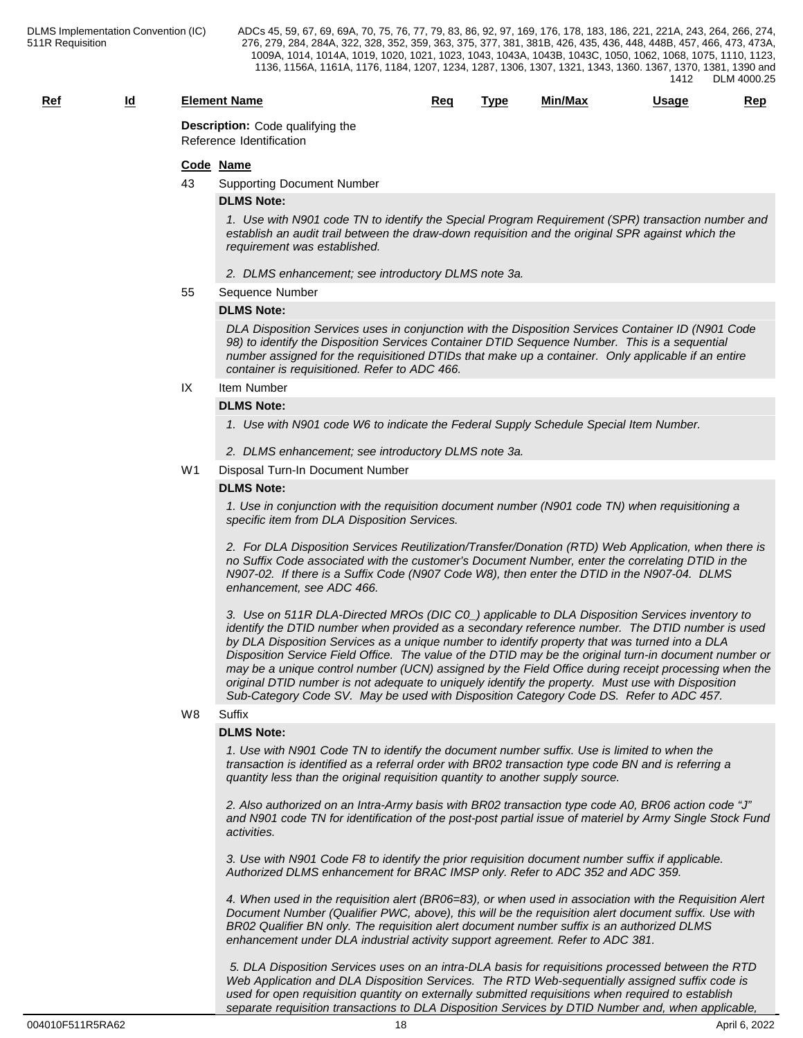# **Ref Id Element Name Req Type Min/Max Usage Rep**

**Description:** Code qualifying the Reference Identification

#### **Code Name**

43 Supporting Document Number

#### **DLMS Note:**

*1. Use with N901 code TN to identify the Special Program Requirement (SPR) transaction number and establish an audit trail between the draw-down requisition and the original SPR against which the requirement was established.* 

- *2. DLMS enhancement; see introductory DLMS note 3a.*
- 55 Sequence Number

#### **DLMS Note:**

*DLA Disposition Services uses in conjunction with the Disposition Services Container ID (N901 Code 98) to identify the Disposition Services Container DTID Sequence Number. This is a sequential number assigned for the requisitioned DTIDs that make up a container. Only applicable if an entire container is requisitioned. Refer to ADC 466.*

# IX Item Number

# **DLMS Note:**

*1. Use with N901 code W6 to indicate the Federal Supply Schedule Special Item Number.*

- *2. DLMS enhancement; see introductory DLMS note 3a.*
- W1 Disposal Turn-In Document Number

#### **DLMS Note:**

*1. Use in conjunction with the requisition document number (N901 code TN) when requisitioning a specific item from DLA Disposition Services.* 

*2. For DLA Disposition Services Reutilization/Transfer/Donation (RTD) Web Application, when there is no Suffix Code associated with the customer's Document Number, enter the correlating DTID in the N907-02. If there is a Suffix Code (N907 Code W8), then enter the DTID in the N907-04. DLMS enhancement, see ADC 466.*

*3. Use on 511R DLA-Directed MROs (DIC C0\_) applicable to DLA Disposition Services inventory to identify the DTID number when provided as a secondary reference number. The DTID number is used by DLA Disposition Services as a unique number to identify property that was turned into a DLA Disposition Service Field Office. The value of the DTID may be the original turn-in document number or may be a unique control number (UCN) assigned by the Field Office during receipt processing when the original DTID number is not adequate to uniquely identify the property. Must use with Disposition Sub-Category Code SV. May be used with Disposition Category Code DS. Refer to ADC 457.*

#### W8 Suffix **Suffix Suffix Suffix Suffix Suffix Suffix SUFFIX SUFFIX SUFFIX**

#### **DLMS Note:**

*1. Use with N901 Code TN to identify the document number suffix. Use is limited to when the transaction is identified as a referral order with BR02 transaction type code BN and is referring a quantity less than the original requisition quantity to another supply source.*

*2. Also authorized on an Intra-Army basis with BR02 transaction type code A0, BR06 action code "J" and N901 code TN for identification of the post-post partial issue of materiel by Army Single Stock Fund activities.*

*3. Use with N901 Code F8 to identify the prior requisition document number suffix if applicable. Authorized DLMS enhancement for BRAC IMSP only. Refer to ADC 352 and ADC 359.*

*4. When used in the requisition alert (BR06=83), or when used in association with the Requisition Alert Document Number (Qualifier PWC, above), this will be the requisition alert document suffix. Use with BR02 Qualifier BN only. The requisition alert document number suffix is an authorized DLMS enhancement under DLA industrial activity support agreement. Refer to ADC 381.*

 *5. DLA Disposition Services uses on an intra-DLA basis for requisitions processed between the RTD Web Application and DLA Disposition Services. The RTD Web-sequentially assigned suffix code is used for open requisition quantity on externally submitted requisitions when required to establish separate requisition transactions to DLA Disposition Services by DTID Number and, when applicable,*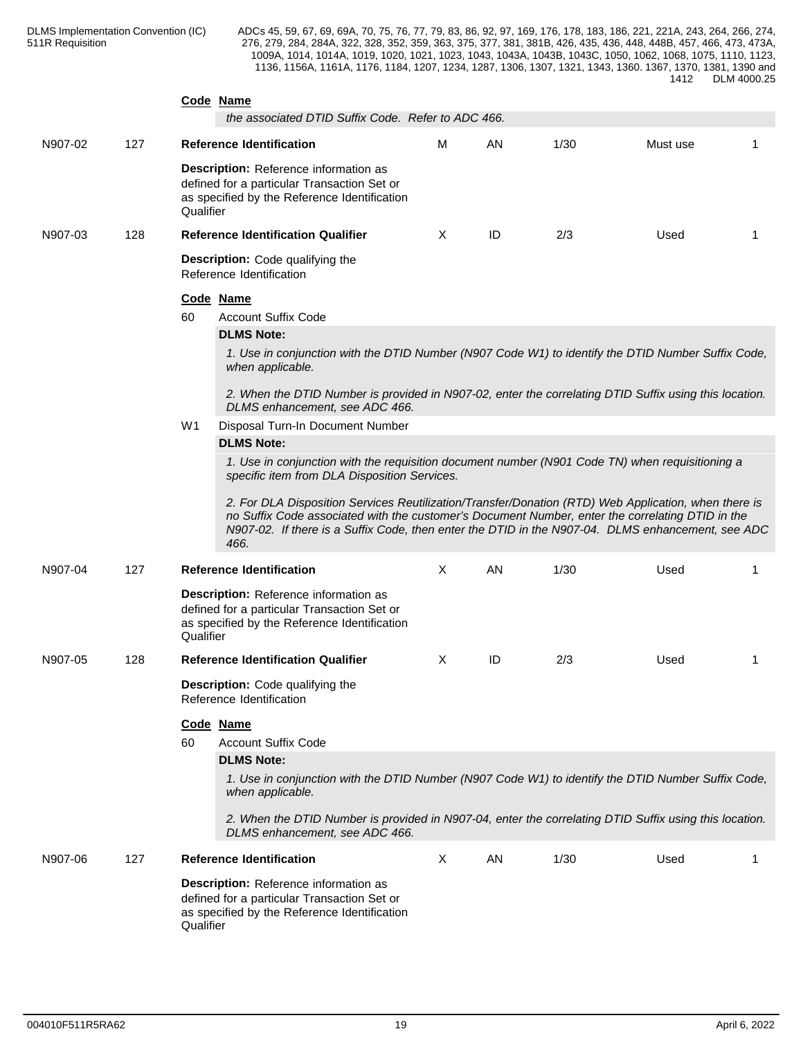|         |     | Code Name<br>the associated DTID Suffix Code. Refer to ADC 466.                                                                                                                                                                                                                                                                                                       |              |           |      |          |    |
|---------|-----|-----------------------------------------------------------------------------------------------------------------------------------------------------------------------------------------------------------------------------------------------------------------------------------------------------------------------------------------------------------------------|--------------|-----------|------|----------|----|
| N907-02 | 127 | <b>Reference Identification</b>                                                                                                                                                                                                                                                                                                                                       | м            | AN        | 1/30 | Must use | -1 |
|         |     | Description: Reference information as<br>defined for a particular Transaction Set or<br>as specified by the Reference Identification<br>Qualifier                                                                                                                                                                                                                     |              |           |      |          |    |
| N907-03 | 128 | <b>Reference Identification Qualifier</b>                                                                                                                                                                                                                                                                                                                             | $\times$     | ID        | 2/3  | Used     | -1 |
|         |     | <b>Description:</b> Code qualifying the<br>Reference Identification                                                                                                                                                                                                                                                                                                   |              |           |      |          |    |
|         |     | Code Name                                                                                                                                                                                                                                                                                                                                                             |              |           |      |          |    |
|         |     | <b>Account Suffix Code</b><br>60                                                                                                                                                                                                                                                                                                                                      |              |           |      |          |    |
|         |     | <b>DLMS Note:</b>                                                                                                                                                                                                                                                                                                                                                     |              |           |      |          |    |
|         |     | 1. Use in conjunction with the DTID Number (N907 Code W1) to identify the DTID Number Suffix Code,<br>when applicable.                                                                                                                                                                                                                                                |              |           |      |          |    |
|         |     | 2. When the DTID Number is provided in N907-02, enter the correlating DTID Suffix using this location.<br>DLMS enhancement, see ADC 466.                                                                                                                                                                                                                              |              |           |      |          |    |
|         |     | Disposal Turn-In Document Number<br>W1                                                                                                                                                                                                                                                                                                                                |              |           |      |          |    |
|         |     | <b>DLMS Note:</b><br>1. Use in conjunction with the requisition document number (N901 Code TN) when requisitioning a                                                                                                                                                                                                                                                  |              |           |      |          |    |
|         |     | specific item from DLA Disposition Services.<br>2. For DLA Disposition Services Reutilization/Transfer/Donation (RTD) Web Application, when there is<br>no Suffix Code associated with the customer's Document Number, enter the correlating DTID in the<br>N907-02. If there is a Suffix Code, then enter the DTID in the N907-04. DLMS enhancement, see ADC<br>466. |              |           |      |          |    |
| N907-04 | 127 | <b>Reference Identification</b>                                                                                                                                                                                                                                                                                                                                       | $\times$     | <b>AN</b> | 1/30 | Used     | -1 |
|         |     | Description: Reference information as<br>defined for a particular Transaction Set or<br>as specified by the Reference Identification<br>Qualifier                                                                                                                                                                                                                     |              |           |      |          |    |
| N907-05 | 128 | <b>Reference Identification Qualifier</b>                                                                                                                                                                                                                                                                                                                             | X            | ID        | 2/3  | Used     | -1 |
|         |     | <b>Description:</b> Code qualifying the<br>Reference Identification                                                                                                                                                                                                                                                                                                   |              |           |      |          |    |
|         |     | Code Name                                                                                                                                                                                                                                                                                                                                                             |              |           |      |          |    |
|         |     | 60<br><b>Account Suffix Code</b>                                                                                                                                                                                                                                                                                                                                      |              |           |      |          |    |
|         |     | <b>DLMS Note:</b>                                                                                                                                                                                                                                                                                                                                                     |              |           |      |          |    |
|         |     | 1. Use in conjunction with the DTID Number (N907 Code W1) to identify the DTID Number Suffix Code,<br>when applicable.                                                                                                                                                                                                                                                |              |           |      |          |    |
|         |     | 2. When the DTID Number is provided in N907-04, enter the correlating DTID Suffix using this location.<br>DLMS enhancement, see ADC 466.                                                                                                                                                                                                                              |              |           |      |          |    |
| N907-06 | 127 | <b>Reference Identification</b>                                                                                                                                                                                                                                                                                                                                       | $\mathsf{X}$ | AN        | 1/30 | Used     | -1 |
|         |     | Description: Reference information as<br>defined for a particular Transaction Set or<br>as specified by the Reference Identification<br>Qualifier                                                                                                                                                                                                                     |              |           |      |          |    |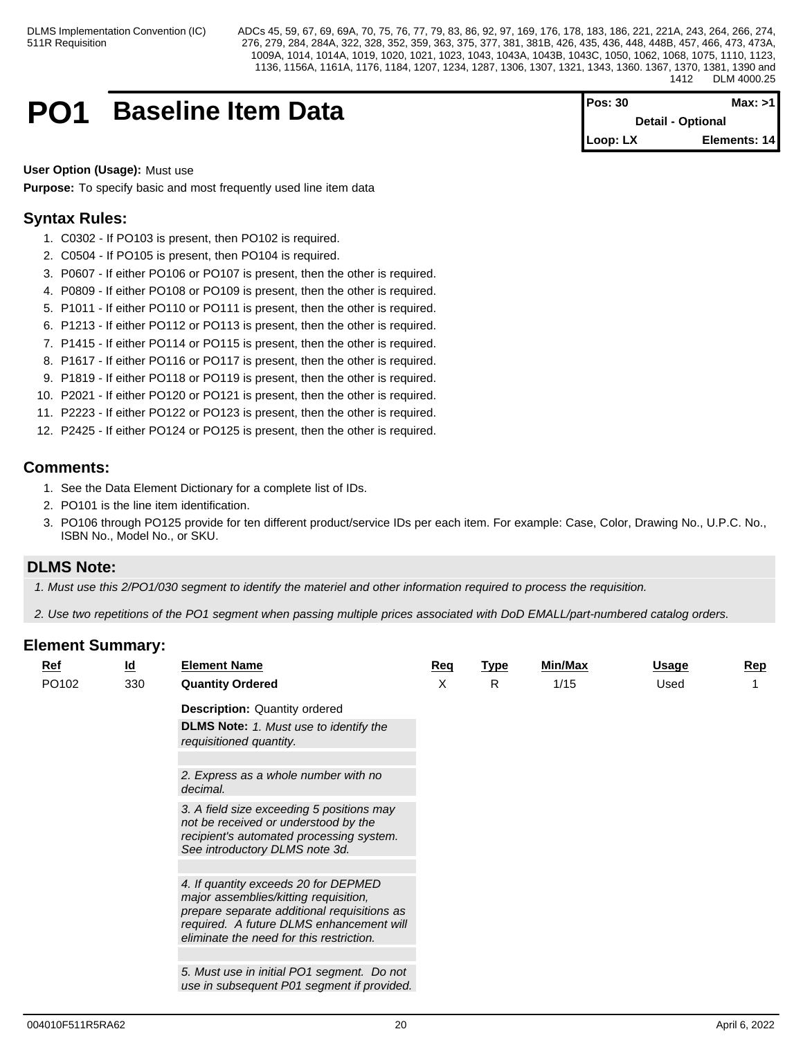# **PO1** Baseline Item Data

| <b>Pos: 30</b> | Max: >11                 |
|----------------|--------------------------|
|                | <b>Detail - Optional</b> |
| $Loop: LX$     | Elements: 14             |

**User Option (Usage):** Must use

**Purpose:** To specify basic and most frequently used line item data

# **Syntax Rules:**

- 1. C0302 If PO103 is present, then PO102 is required.
- 2. C0504 If PO105 is present, then PO104 is required.
- 3. P0607 If either PO106 or PO107 is present, then the other is required.
- 4. P0809 If either PO108 or PO109 is present, then the other is required.
- 5. P1011 If either PO110 or PO111 is present, then the other is required.
- 6. P1213 If either PO112 or PO113 is present, then the other is required.
- 7. P1415 If either PO114 or PO115 is present, then the other is required.
- 8. P1617 If either PO116 or PO117 is present, then the other is required.
- 9. P1819 If either PO118 or PO119 is present, then the other is required.
- 10. P2021 If either PO120 or PO121 is present, then the other is required.
- 11. P2223 If either PO122 or PO123 is present, then the other is required.
- 12. P2425 If either PO124 or PO125 is present, then the other is required.

# **Comments:**

- 1. See the Data Element Dictionary for a complete list of IDs.
- 2. PO101 is the line item identification.
- 3. PO106 through PO125 provide for ten different product/service IDs per each item. For example: Case, Color, Drawing No., U.P.C. No., ISBN No., Model No., or SKU.

# **DLMS Note:**

*1. Must use this 2/PO1/030 segment to identify the materiel and other information required to process the requisition.*

*2. Use two repetitions of the PO1 segment when passing multiple prices associated with DoD EMALL/part-numbered catalog orders.*

| <b>Ref</b> | $\underline{\mathsf{Id}}$ | <b>Element Name</b>                                                                                                                                                                                                  | Req | <b>Type</b> | <b>Min/Max</b> | Usage | <b>Rep</b> |
|------------|---------------------------|----------------------------------------------------------------------------------------------------------------------------------------------------------------------------------------------------------------------|-----|-------------|----------------|-------|------------|
| PO102      | 330                       | <b>Quantity Ordered</b>                                                                                                                                                                                              | X   | R           | 1/15           | Used  |            |
|            |                           | <b>Description: Quantity ordered</b>                                                                                                                                                                                 |     |             |                |       |            |
|            |                           | <b>DLMS Note:</b> 1. Must use to identify the<br>requisitioned quantity.                                                                                                                                             |     |             |                |       |            |
|            |                           |                                                                                                                                                                                                                      |     |             |                |       |            |
|            |                           | 2. Express as a whole number with no<br>decimal.                                                                                                                                                                     |     |             |                |       |            |
|            |                           | 3. A field size exceeding 5 positions may<br>not be received or understood by the<br>recipient's automated processing system.<br>See introductory DLMS note 3d.                                                      |     |             |                |       |            |
|            |                           |                                                                                                                                                                                                                      |     |             |                |       |            |
|            |                           | 4. If quantity exceeds 20 for DEPMED<br>major assemblies/kitting requisition,<br>prepare separate additional requisitions as<br>required. A future DLMS enhancement will<br>eliminate the need for this restriction. |     |             |                |       |            |
|            |                           |                                                                                                                                                                                                                      |     |             |                |       |            |
|            |                           | 5. Must use in initial PO1 segment. Do not<br>use in subsequent P01 segment if provided.                                                                                                                             |     |             |                |       |            |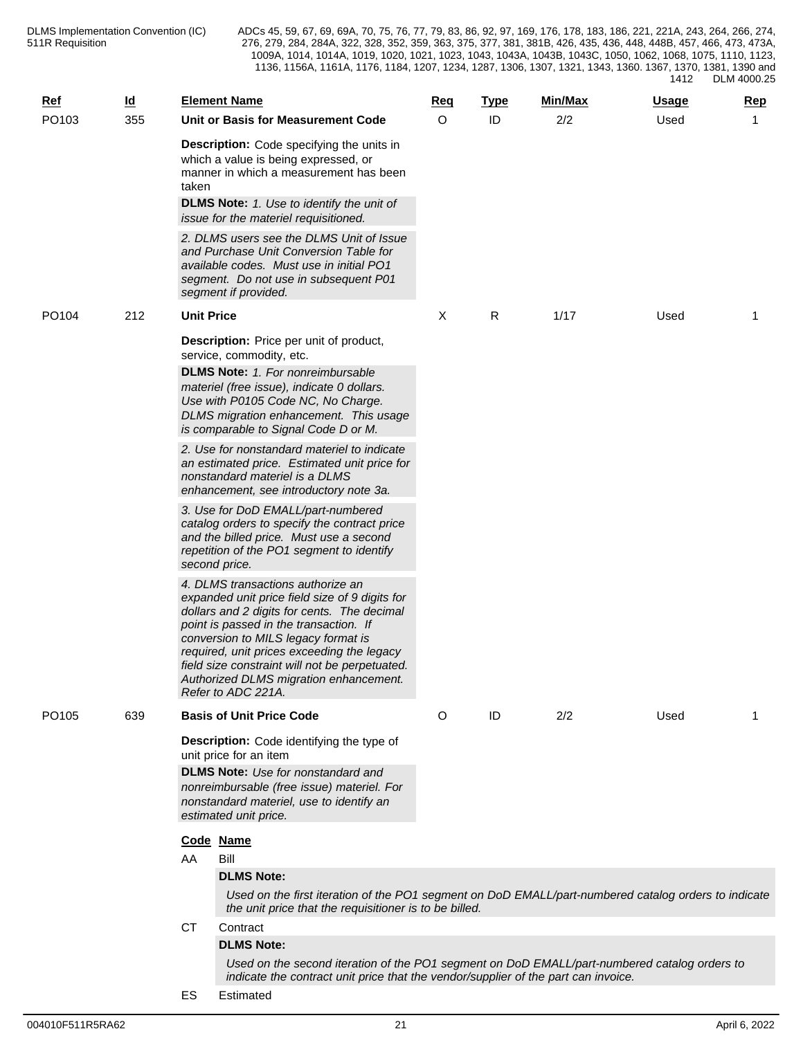| <u>Ref</u>        | <u>ld</u> |                   | <b>Element Name</b>                                                                                                                                                                                                                                                                                                                                                                 | <u>Req</u> | <b>Type</b> | Min/Max | <u>Usage</u> | Rep |
|-------------------|-----------|-------------------|-------------------------------------------------------------------------------------------------------------------------------------------------------------------------------------------------------------------------------------------------------------------------------------------------------------------------------------------------------------------------------------|------------|-------------|---------|--------------|-----|
| PO103             | 355       |                   | Unit or Basis for Measurement Code                                                                                                                                                                                                                                                                                                                                                  | $\circ$    | ID          | 2/2     | Used         | 1   |
|                   |           | taken             | <b>Description:</b> Code specifying the units in<br>which a value is being expressed, or<br>manner in which a measurement has been<br><b>DLMS Note:</b> 1. Use to identify the unit of<br>issue for the materiel requisitioned.<br>2. DLMS users see the DLMS Unit of Issue                                                                                                         |            |             |         |              |     |
|                   |           |                   | and Purchase Unit Conversion Table for<br>available codes. Must use in initial PO1<br>segment. Do not use in subsequent P01<br>segment if provided.                                                                                                                                                                                                                                 |            |             |         |              |     |
| PO104             | 212       | <b>Unit Price</b> |                                                                                                                                                                                                                                                                                                                                                                                     | Χ          | R           | 1/17    | Used         | 1   |
|                   |           |                   | <b>Description:</b> Price per unit of product,<br>service, commodity, etc.<br><b>DLMS Note:</b> 1. For nonreimbursable                                                                                                                                                                                                                                                              |            |             |         |              |     |
|                   |           |                   | materiel (free issue), indicate 0 dollars.<br>Use with P0105 Code NC, No Charge.<br>DLMS migration enhancement. This usage<br>is comparable to Signal Code D or M.                                                                                                                                                                                                                  |            |             |         |              |     |
|                   |           |                   | 2. Use for nonstandard materiel to indicate<br>an estimated price. Estimated unit price for<br>nonstandard materiel is a DLMS<br>enhancement, see introductory note 3a.                                                                                                                                                                                                             |            |             |         |              |     |
|                   |           |                   | 3. Use for DoD EMALL/part-numbered<br>catalog orders to specify the contract price<br>and the billed price. Must use a second<br>repetition of the PO1 segment to identify<br>second price.                                                                                                                                                                                         |            |             |         |              |     |
|                   |           |                   | 4. DLMS transactions authorize an<br>expanded unit price field size of 9 digits for<br>dollars and 2 digits for cents. The decimal<br>point is passed in the transaction. If<br>conversion to MILS legacy format is<br>required, unit prices exceeding the legacy<br>field size constraint will not be perpetuated.<br>Authorized DLMS migration enhancement.<br>Refer to ADC 221A. |            |             |         |              |     |
| PO <sub>105</sub> | 639       |                   | <b>Basis of Unit Price Code</b>                                                                                                                                                                                                                                                                                                                                                     | O          | ID          | 2/2     | Used         | 1   |
|                   |           |                   | <b>Description:</b> Code identifying the type of<br>unit price for an item<br><b>DLMS Note:</b> Use for nonstandard and<br>nonreimbursable (free issue) materiel. For<br>nonstandard materiel, use to identify an<br>estimated unit price.                                                                                                                                          |            |             |         |              |     |
|                   |           |                   | Code Name                                                                                                                                                                                                                                                                                                                                                                           |            |             |         |              |     |
|                   |           | AA                | Bill                                                                                                                                                                                                                                                                                                                                                                                |            |             |         |              |     |
|                   |           |                   | <b>DLMS Note:</b>                                                                                                                                                                                                                                                                                                                                                                   |            |             |         |              |     |
|                   |           |                   | Used on the first iteration of the PO1 segment on DoD EMALL/part-numbered catalog orders to indicate<br>the unit price that the requisitioner is to be billed.                                                                                                                                                                                                                      |            |             |         |              |     |
|                   |           | CT                | Contract                                                                                                                                                                                                                                                                                                                                                                            |            |             |         |              |     |
|                   |           |                   | <b>DLMS Note:</b>                                                                                                                                                                                                                                                                                                                                                                   |            |             |         |              |     |
|                   |           |                   | Used on the second iteration of the PO1 segment on DoD EMALL/part-numbered catalog orders to<br>indicate the contract unit price that the vendor/supplier of the part can invoice.                                                                                                                                                                                                  |            |             |         |              |     |

ES Estimated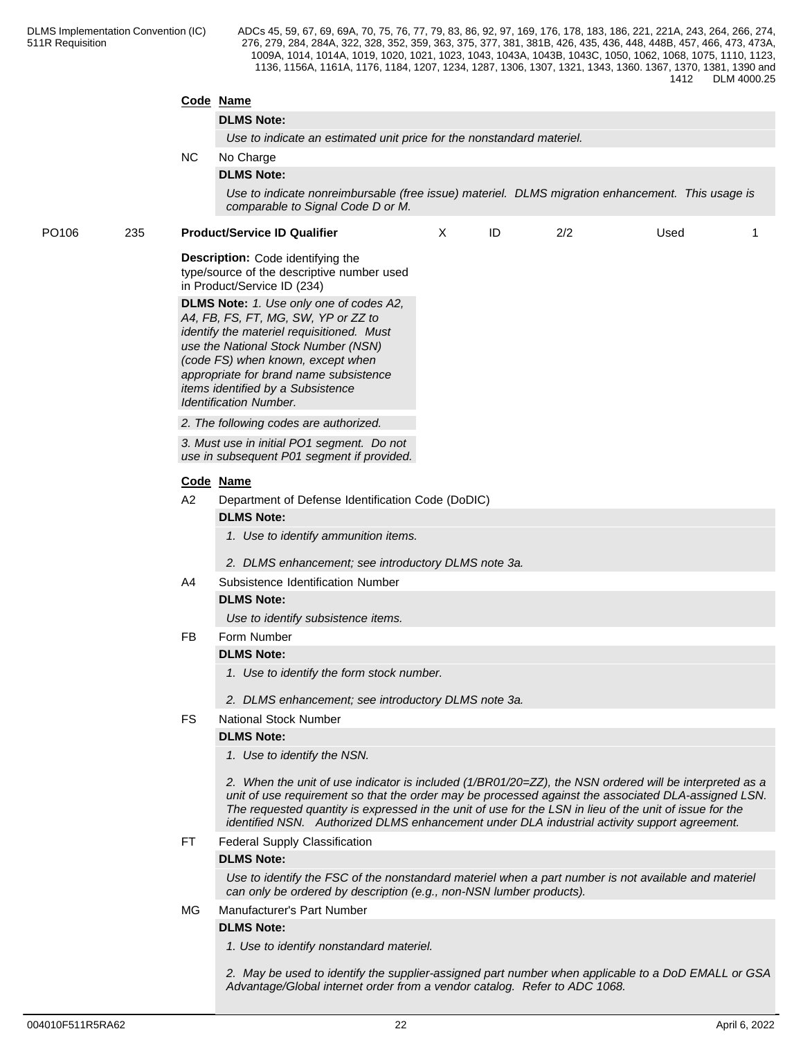|       |     |           | Code Name                                                                                                                                                                                                                                                                                                                                                                                                                |      |  |
|-------|-----|-----------|--------------------------------------------------------------------------------------------------------------------------------------------------------------------------------------------------------------------------------------------------------------------------------------------------------------------------------------------------------------------------------------------------------------------------|------|--|
|       |     |           | <b>DLMS Note:</b>                                                                                                                                                                                                                                                                                                                                                                                                        |      |  |
|       |     |           | Use to indicate an estimated unit price for the nonstandard materiel.                                                                                                                                                                                                                                                                                                                                                    |      |  |
|       |     | NC.       | No Charge                                                                                                                                                                                                                                                                                                                                                                                                                |      |  |
|       |     |           | <b>DLMS Note:</b>                                                                                                                                                                                                                                                                                                                                                                                                        |      |  |
|       |     |           | Use to indicate nonreimbursable (free issue) materiel. DLMS migration enhancement. This usage is<br>comparable to Signal Code D or M.                                                                                                                                                                                                                                                                                    |      |  |
| PO106 | 235 |           | <b>Product/Service ID Qualifier</b><br>ID<br>2/2<br>X                                                                                                                                                                                                                                                                                                                                                                    | Used |  |
|       |     |           | <b>Description:</b> Code identifying the<br>type/source of the descriptive number used<br>in Product/Service ID (234)<br>DLMS Note: 1. Use only one of codes A2,<br>A4, FB, FS, FT, MG, SW, YP or ZZ to<br>identify the materiel requisitioned. Must<br>use the National Stock Number (NSN)<br>(code FS) when known, except when<br>appropriate for brand name subsistence<br>items identified by a Subsistence          |      |  |
|       |     |           | Identification Number.                                                                                                                                                                                                                                                                                                                                                                                                   |      |  |
|       |     |           | 2. The following codes are authorized.                                                                                                                                                                                                                                                                                                                                                                                   |      |  |
|       |     |           | 3. Must use in initial PO1 segment. Do not<br>use in subsequent P01 segment if provided.                                                                                                                                                                                                                                                                                                                                 |      |  |
|       |     |           | Code Name                                                                                                                                                                                                                                                                                                                                                                                                                |      |  |
|       |     | A2        | Department of Defense Identification Code (DoDIC)                                                                                                                                                                                                                                                                                                                                                                        |      |  |
|       |     |           | <b>DLMS Note:</b><br>1. Use to identify ammunition items.<br>2. DLMS enhancement; see introductory DLMS note 3a.                                                                                                                                                                                                                                                                                                         |      |  |
|       |     | A4        | Subsistence Identification Number                                                                                                                                                                                                                                                                                                                                                                                        |      |  |
|       |     |           | <b>DLMS Note:</b>                                                                                                                                                                                                                                                                                                                                                                                                        |      |  |
|       |     |           | Use to identify subsistence items.                                                                                                                                                                                                                                                                                                                                                                                       |      |  |
|       |     | <b>FB</b> | Form Number                                                                                                                                                                                                                                                                                                                                                                                                              |      |  |
|       |     |           | <b>DLMS Note:</b>                                                                                                                                                                                                                                                                                                                                                                                                        |      |  |
|       |     |           | 1. Use to identify the form stock number.                                                                                                                                                                                                                                                                                                                                                                                |      |  |
|       |     |           | 2. DLMS enhancement; see introductory DLMS note 3a.                                                                                                                                                                                                                                                                                                                                                                      |      |  |
|       |     | <b>FS</b> | <b>National Stock Number</b>                                                                                                                                                                                                                                                                                                                                                                                             |      |  |
|       |     |           | <b>DLMS Note:</b>                                                                                                                                                                                                                                                                                                                                                                                                        |      |  |
|       |     |           | 1. Use to identify the NSN.                                                                                                                                                                                                                                                                                                                                                                                              |      |  |
|       |     |           | 2. When the unit of use indicator is included (1/BR01/20=ZZ), the NSN ordered will be interpreted as a<br>unit of use requirement so that the order may be processed against the associated DLA-assigned LSN.<br>The requested quantity is expressed in the unit of use for the LSN in lieu of the unit of issue for the<br>identified NSN. Authorized DLMS enhancement under DLA industrial activity support agreement. |      |  |
|       |     | FT.       | Federal Supply Classification                                                                                                                                                                                                                                                                                                                                                                                            |      |  |
|       |     |           | <b>DLMS Note:</b>                                                                                                                                                                                                                                                                                                                                                                                                        |      |  |
|       |     |           | Use to identify the FSC of the nonstandard materiel when a part number is not available and materiel<br>can only be ordered by description (e.g., non-NSN lumber products).                                                                                                                                                                                                                                              |      |  |
|       |     | MG        | Manufacturer's Part Number                                                                                                                                                                                                                                                                                                                                                                                               |      |  |
|       |     |           | <b>DLMS Note:</b><br>1. Use to identify nonstandard materiel.                                                                                                                                                                                                                                                                                                                                                            |      |  |
|       |     |           |                                                                                                                                                                                                                                                                                                                                                                                                                          |      |  |
|       |     |           | 2. May be used to identify the supplier-assigned part number when applicable to a DoD EMALL or GSA                                                                                                                                                                                                                                                                                                                       |      |  |

*Advantage/Global internet order from a vendor catalog. Refer to ADC 1068.*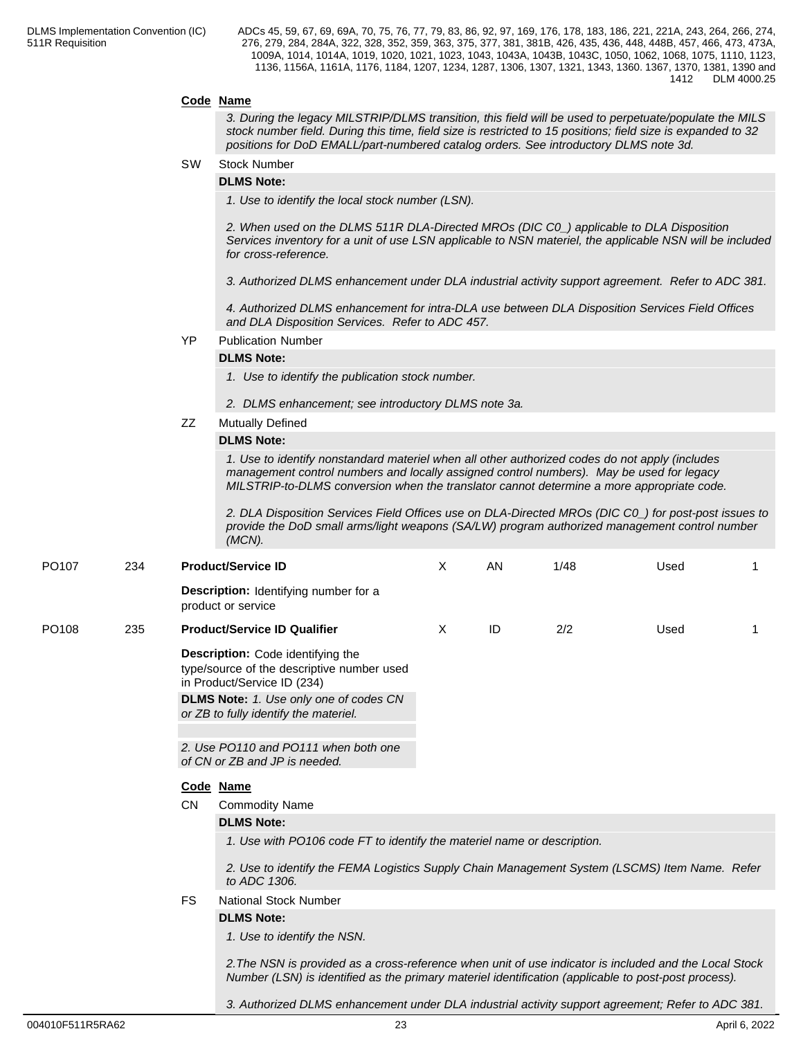# **Code Name**

*3. During the legacy MILSTRIP/DLMS transition, this field will be used to perpetuate/populate the MILS stock number field. During this time, field size is restricted to 15 positions; field size is expanded to 32 positions for DoD EMALL/part-numbered catalog orders. See introductory DLMS note 3d.*

#### SW Stock Number

### **DLMS Note:**

*1. Use to identify the local stock number (LSN).*

*2. When used on the DLMS 511R DLA-Directed MROs (DIC C0\_) applicable to DLA Disposition Services inventory for a unit of use LSN applicable to NSN materiel, the applicable NSN will be included for cross-reference.*

*3. Authorized DLMS enhancement under DLA industrial activity support agreement. Refer to ADC 381.*

*4. Authorized DLMS enhancement for intra-DLA use between DLA Disposition Services Field Offices and DLA Disposition Services. Refer to ADC 457.*

# YP Publication Number

### **DLMS Note:**

*1. Use to identify the publication stock number.*

- *2. DLMS enhancement; see introductory DLMS note 3a.*
- ZZ Mutually Defined

#### **DLMS Note:**

*1. Use to identify nonstandard materiel when all other authorized codes do not apply (includes management control numbers and locally assigned control numbers). May be used for legacy MILSTRIP-to-DLMS conversion when the translator cannot determine a more appropriate code.*

*2. DLA Disposition Services Field Offices use on DLA-Directed MROs (DIC C0\_) for post-post issues to provide the DoD small arms/light weapons (SA/LW) program authorized management control number (MCN).*

| PO <sub>107</sub> | 234 |                                                                                                               | <b>Product/Service ID</b>                                                                                                                                                                                      | X | <b>AN</b> | 1/48 | Used |  |  |  |  |
|-------------------|-----|---------------------------------------------------------------------------------------------------------------|----------------------------------------------------------------------------------------------------------------------------------------------------------------------------------------------------------------|---|-----------|------|------|--|--|--|--|
|                   |     |                                                                                                               | <b>Description:</b> Identifying number for a<br>product or service                                                                                                                                             |   |           |      |      |  |  |  |  |
| PO <sub>108</sub> | 235 |                                                                                                               | <b>Product/Service ID Qualifier</b>                                                                                                                                                                            | X | ID        | 2/2  | Used |  |  |  |  |
|                   |     |                                                                                                               | Description: Code identifying the<br>type/source of the descriptive number used<br>in Product/Service ID (234)                                                                                                 |   |           |      |      |  |  |  |  |
|                   |     |                                                                                                               | <b>DLMS Note:</b> 1. Use only one of codes CN<br>or ZB to fully identify the materiel.                                                                                                                         |   |           |      |      |  |  |  |  |
|                   |     |                                                                                                               |                                                                                                                                                                                                                |   |           |      |      |  |  |  |  |
|                   |     |                                                                                                               | 2. Use PO110 and PO111 when both one<br>of CN or ZB and JP is needed.                                                                                                                                          |   |           |      |      |  |  |  |  |
|                   |     |                                                                                                               | Code Name                                                                                                                                                                                                      |   |           |      |      |  |  |  |  |
|                   |     | <b>CN</b>                                                                                                     | <b>Commodity Name</b>                                                                                                                                                                                          |   |           |      |      |  |  |  |  |
|                   |     |                                                                                                               | <b>DLMS Note:</b>                                                                                                                                                                                              |   |           |      |      |  |  |  |  |
|                   |     |                                                                                                               | 1. Use with PO106 code FT to identify the materiel name or description.                                                                                                                                        |   |           |      |      |  |  |  |  |
|                   |     | 2. Use to identify the FEMA Logistics Supply Chain Management System (LSCMS) Item Name. Refer<br>to ADC 1306. |                                                                                                                                                                                                                |   |           |      |      |  |  |  |  |
|                   |     | <b>FS</b>                                                                                                     | <b>National Stock Number</b>                                                                                                                                                                                   |   |           |      |      |  |  |  |  |
|                   |     |                                                                                                               | <b>DLMS Note:</b>                                                                                                                                                                                              |   |           |      |      |  |  |  |  |
|                   |     |                                                                                                               | 1. Use to identify the NSN.                                                                                                                                                                                    |   |           |      |      |  |  |  |  |
|                   |     |                                                                                                               | 2. The NSN is provided as a cross-reference when unit of use indicator is included and the Local Stock<br>Number (LSN) is identified as the primary materiel identification (applicable to post-post process). |   |           |      |      |  |  |  |  |

*3. Authorized DLMS enhancement under DLA industrial activity support agreement; Refer to ADC 381.*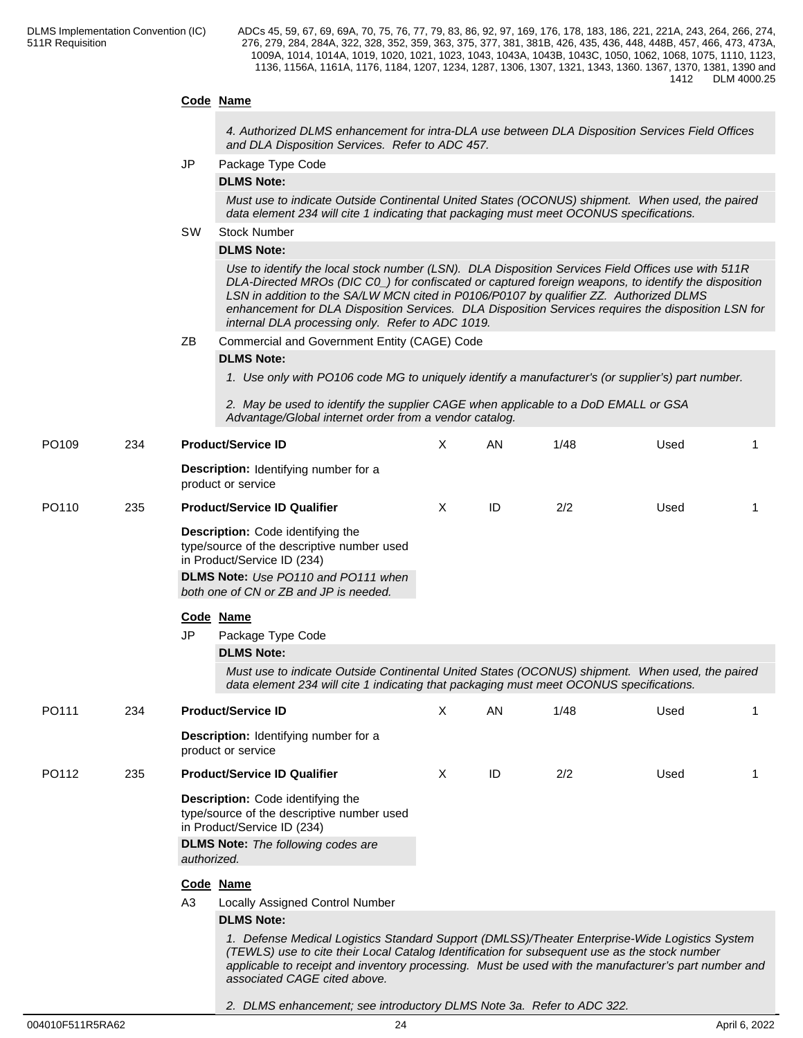# **Code Name**

*4. Authorized DLMS enhancement for intra-DLA use between DLA Disposition Services Field Offices and DLA Disposition Services. Refer to ADC 457.*

JP Package Type Code

# **DLMS Note:**

*Must use to indicate Outside Continental United States (OCONUS) shipment. When used, the paired data element 234 will cite 1 indicating that packaging must meet OCONUS specifications.*

#### SW Stock Number

### **DLMS Note:**

*Use to identify the local stock number (LSN). DLA Disposition Services Field Offices use with 511R DLA-Directed MROs (DIC C0\_) for confiscated or captured foreign weapons, to identify the disposition LSN in addition to the SA/LW MCN cited in P0106/P0107 by qualifier ZZ. Authorized DLMS enhancement for DLA Disposition Services. DLA Disposition Services requires the disposition LSN for internal DLA processing only. Refer to ADC 1019.*

ZB Commercial and Government Entity (CAGE) Code

#### **DLMS Note:**

*1. Use only with PO106 code MG to uniquely identify a manufacturer's (or supplier's) part number.*

*2. May be used to identify the supplier CAGE when applicable to a DoD EMALL or GSA Advantage/Global internet order from a vendor catalog.*

| PO109 | 234 | <b>Product/Service ID</b>                                                                                                                                                                                                                                                                                                               | X        | AN | 1/48 | Used |   |
|-------|-----|-----------------------------------------------------------------------------------------------------------------------------------------------------------------------------------------------------------------------------------------------------------------------------------------------------------------------------------------|----------|----|------|------|---|
|       |     | Description: Identifying number for a<br>product or service                                                                                                                                                                                                                                                                             |          |    |      |      |   |
| PO110 | 235 | <b>Product/Service ID Qualifier</b>                                                                                                                                                                                                                                                                                                     | X        | ID | 2/2  | Used | 1 |
|       |     | Description: Code identifying the<br>type/source of the descriptive number used<br>in Product/Service ID (234)<br>DLMS Note: Use PO110 and PO111 when<br>both one of CN or ZB and JP is needed.                                                                                                                                         |          |    |      |      |   |
|       |     | Code Name                                                                                                                                                                                                                                                                                                                               |          |    |      |      |   |
|       |     | JP<br>Package Type Code                                                                                                                                                                                                                                                                                                                 |          |    |      |      |   |
|       |     | <b>DLMS Note:</b>                                                                                                                                                                                                                                                                                                                       |          |    |      |      |   |
|       |     | Must use to indicate Outside Continental United States (OCONUS) shipment. When used, the paired<br>data element 234 will cite 1 indicating that packaging must meet OCONUS specifications.                                                                                                                                              |          |    |      |      |   |
| PO111 | 234 | <b>Product/Service ID</b>                                                                                                                                                                                                                                                                                                               | $\times$ | AN | 1/48 | Used |   |
|       |     | Description: Identifying number for a<br>product or service                                                                                                                                                                                                                                                                             |          |    |      |      |   |
| PO112 | 235 | <b>Product/Service ID Qualifier</b>                                                                                                                                                                                                                                                                                                     | X        | ID | 2/2  | Used |   |
|       |     | Description: Code identifying the<br>type/source of the descriptive number used<br>in Product/Service ID (234)<br><b>DLMS Note:</b> The following codes are                                                                                                                                                                             |          |    |      |      |   |
|       |     | authorized.                                                                                                                                                                                                                                                                                                                             |          |    |      |      |   |
|       |     | Code Name                                                                                                                                                                                                                                                                                                                               |          |    |      |      |   |
|       |     | A <sub>3</sub><br>Locally Assigned Control Number                                                                                                                                                                                                                                                                                       |          |    |      |      |   |
|       |     | <b>DLMS Note:</b>                                                                                                                                                                                                                                                                                                                       |          |    |      |      |   |
|       |     | 1. Defense Medical Logistics Standard Support (DMLSS)/Theater Enterprise-Wide Logistics System<br>(TEWLS) use to cite their Local Catalog Identification for subsequent use as the stock number<br>applicable to receipt and inventory processing. Must be used with the manufacturer's part number and<br>associated CAGE cited above. |          |    |      |      |   |

#### *2. DLMS enhancement; see introductory DLMS Note 3a. Refer to ADC 322.*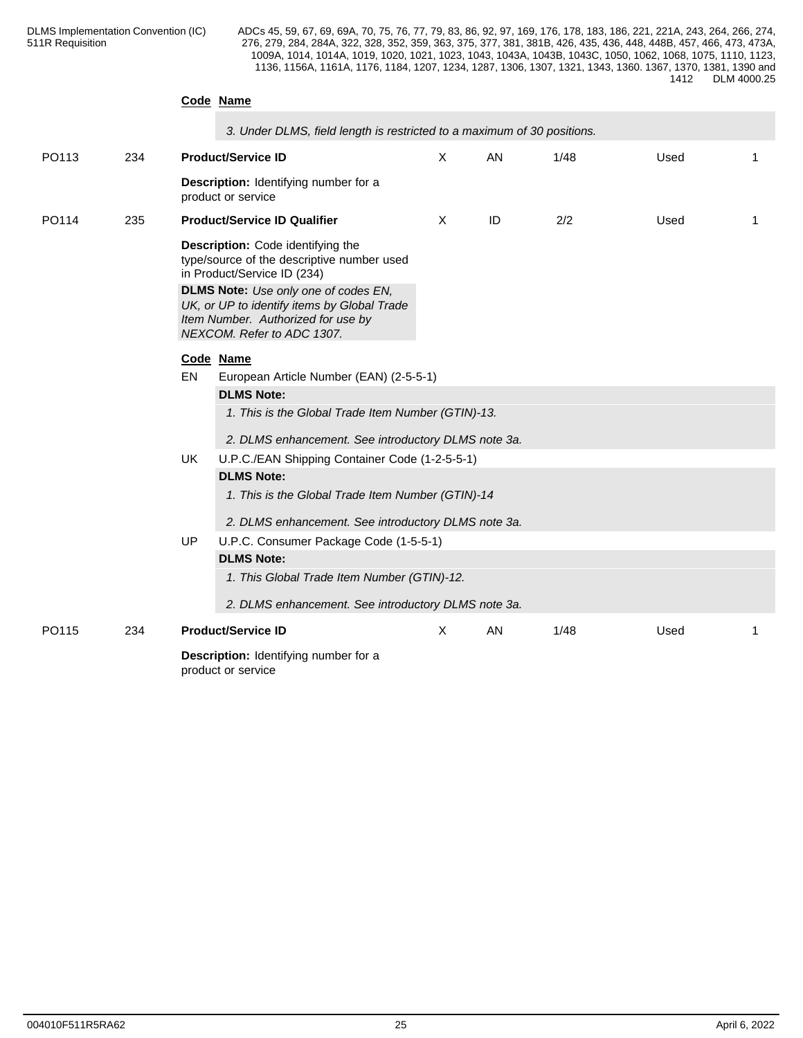|       |     |           | Code Name                                                                                                                                                      |          |    |      |      |                |  |  |  |
|-------|-----|-----------|----------------------------------------------------------------------------------------------------------------------------------------------------------------|----------|----|------|------|----------------|--|--|--|
|       |     |           | 3. Under DLMS, field length is restricted to a maximum of 30 positions.                                                                                        |          |    |      |      |                |  |  |  |
| PO113 | 234 |           | <b>Product/Service ID</b>                                                                                                                                      | X        | AN | 1/48 | Used |                |  |  |  |
|       |     |           | Description: Identifying number for a<br>product or service                                                                                                    |          |    |      |      |                |  |  |  |
| PO114 | 235 |           | <b>Product/Service ID Qualifier</b>                                                                                                                            | $\times$ | ID | 2/2  | Used | $\mathbf 1$    |  |  |  |
|       |     |           | Description: Code identifying the<br>type/source of the descriptive number used<br>in Product/Service ID (234)                                                 |          |    |      |      |                |  |  |  |
|       |     |           | <b>DLMS Note:</b> Use only one of codes EN,<br>UK, or UP to identify items by Global Trade<br>Item Number. Authorized for use by<br>NEXCOM. Refer to ADC 1307. |          |    |      |      |                |  |  |  |
|       |     |           | Code Name                                                                                                                                                      |          |    |      |      |                |  |  |  |
|       |     | EN        | European Article Number (EAN) (2-5-5-1)<br><b>DLMS Note:</b>                                                                                                   |          |    |      |      |                |  |  |  |
|       |     |           | 1. This is the Global Trade Item Number (GTIN)-13.                                                                                                             |          |    |      |      |                |  |  |  |
|       |     |           | 2. DLMS enhancement. See introductory DLMS note 3a.                                                                                                            |          |    |      |      |                |  |  |  |
|       |     | UK        | U.P.C./EAN Shipping Container Code (1-2-5-5-1)                                                                                                                 |          |    |      |      |                |  |  |  |
|       |     |           | <b>DLMS Note:</b>                                                                                                                                              |          |    |      |      |                |  |  |  |
|       |     |           | 1. This is the Global Trade Item Number (GTIN)-14                                                                                                              |          |    |      |      |                |  |  |  |
|       |     |           | 2. DLMS enhancement. See introductory DLMS note 3a.                                                                                                            |          |    |      |      |                |  |  |  |
|       |     | <b>UP</b> | U.P.C. Consumer Package Code (1-5-5-1)                                                                                                                         |          |    |      |      |                |  |  |  |
|       |     |           | <b>DLMS Note:</b>                                                                                                                                              |          |    |      |      |                |  |  |  |
|       |     |           | 1. This Global Trade Item Number (GTIN)-12.                                                                                                                    |          |    |      |      |                |  |  |  |
|       |     |           | 2. DLMS enhancement. See introductory DLMS note 3a.                                                                                                            |          |    |      |      |                |  |  |  |
| PO115 | 234 |           | <b>Product/Service ID</b>                                                                                                                                      | $\times$ | AN | 1/48 | Used | $\overline{1}$ |  |  |  |
|       |     |           | Description: Identifying number for a<br>product or service                                                                                                    |          |    |      |      |                |  |  |  |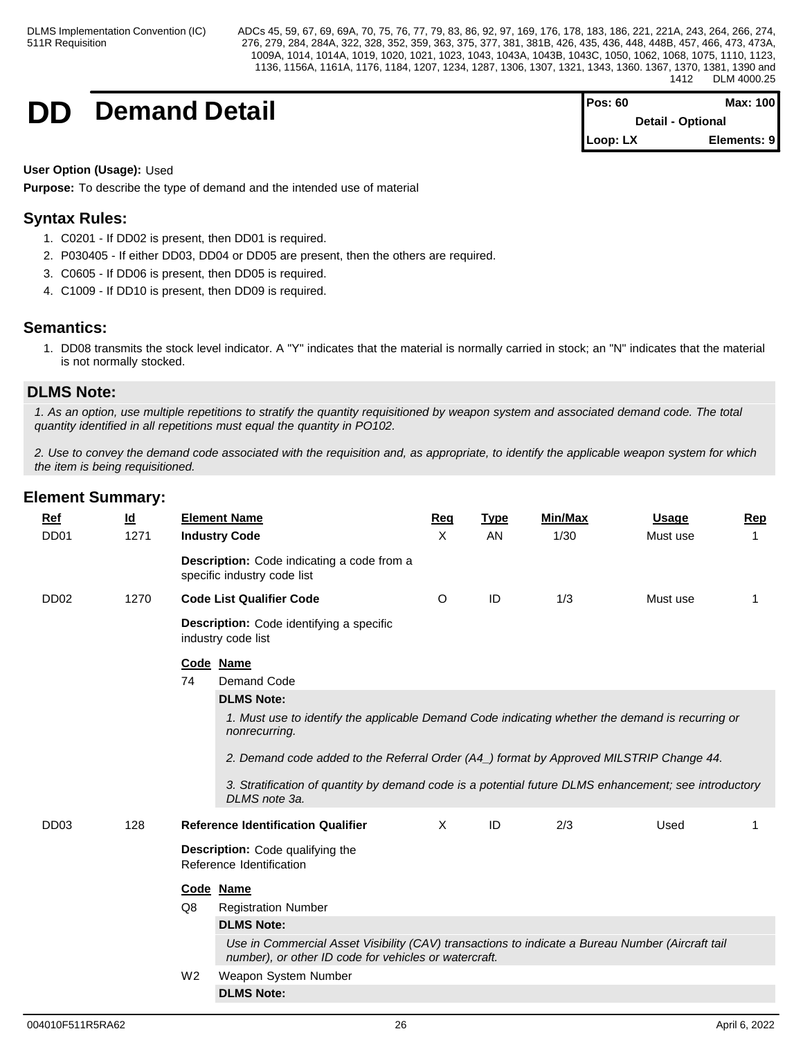**DD Demand Detail Pos: 60 Max: 100**

| $Pos: 60$  | Max: 100                 |
|------------|--------------------------|
|            | <b>Detail - Optional</b> |
| $Loop: LX$ | Elements: 9              |

**User Option (Usage):** Used

**Purpose:** To describe the type of demand and the intended use of material

# **Syntax Rules:**

- 1. C0201 If DD02 is present, then DD01 is required.
- 2. P030405 If either DD03, DD04 or DD05 are present, then the others are required.
- 3. C0605 If DD06 is present, then DD05 is required.
- 4. C1009 If DD10 is present, then DD09 is required.

# **Semantics:**

1. DD08 transmits the stock level indicator. A "Y" indicates that the material is normally carried in stock; an "N" indicates that the material is not normally stocked.

# **DLMS Note:**

*1. As an option, use multiple repetitions to stratify the quantity requisitioned by weapon system and associated demand code. The total quantity identified in all repetitions must equal the quantity in PO102.*

*2. Use to convey the demand code associated with the requisition and, as appropriate, to identify the applicable weapon system for which the item is being requisitioned.*

| <b>Ref</b><br>DD <sub>01</sub> | <u>ld</u><br>1271 | <b>Element Name</b><br><b>Industry Code</b>                                                                                                               | Req<br>X | <b>Type</b><br>AN | <b>Min/Max</b><br>1/30 | <b>Usage</b><br>Must use | <b>Rep</b><br>-1 |
|--------------------------------|-------------------|-----------------------------------------------------------------------------------------------------------------------------------------------------------|----------|-------------------|------------------------|--------------------------|------------------|
|                                |                   | Description: Code indicating a code from a<br>specific industry code list                                                                                 |          |                   |                        |                          |                  |
| DD <sub>02</sub>               | 1270              | <b>Code List Qualifier Code</b>                                                                                                                           | O        | ID                | 1/3                    | Must use                 | $\mathbf{1}$     |
|                                |                   | <b>Description:</b> Code identifying a specific<br>industry code list                                                                                     |          |                   |                        |                          |                  |
|                                |                   | Code Name                                                                                                                                                 |          |                   |                        |                          |                  |
|                                |                   | 74<br>Demand Code                                                                                                                                         |          |                   |                        |                          |                  |
|                                |                   | <b>DLMS Note:</b>                                                                                                                                         |          |                   |                        |                          |                  |
|                                |                   | 1. Must use to identify the applicable Demand Code indicating whether the demand is recurring or<br>nonrecurring.                                         |          |                   |                        |                          |                  |
|                                |                   | 2. Demand code added to the Referral Order (A4_) format by Approved MILSTRIP Change 44.                                                                   |          |                   |                        |                          |                  |
|                                |                   | 3. Stratification of quantity by demand code is a potential future DLMS enhancement; see introductory<br>DLMS note 3a.                                    |          |                   |                        |                          |                  |
| DD <sub>03</sub>               | 128               | <b>Reference Identification Qualifier</b>                                                                                                                 | $\times$ | ID                | 2/3                    | Used                     |                  |
|                                |                   | Description: Code qualifying the<br>Reference Identification                                                                                              |          |                   |                        |                          |                  |
|                                |                   | Code Name                                                                                                                                                 |          |                   |                        |                          |                  |
|                                |                   | Q8<br><b>Registration Number</b>                                                                                                                          |          |                   |                        |                          |                  |
|                                |                   | <b>DLMS Note:</b>                                                                                                                                         |          |                   |                        |                          |                  |
|                                |                   | Use in Commercial Asset Visibility (CAV) transactions to indicate a Bureau Number (Aircraft tail<br>number), or other ID code for vehicles or watercraft. |          |                   |                        |                          |                  |
|                                |                   | W <sub>2</sub><br>Weapon System Number                                                                                                                    |          |                   |                        |                          |                  |
|                                |                   | <b>DLMS Note:</b>                                                                                                                                         |          |                   |                        |                          |                  |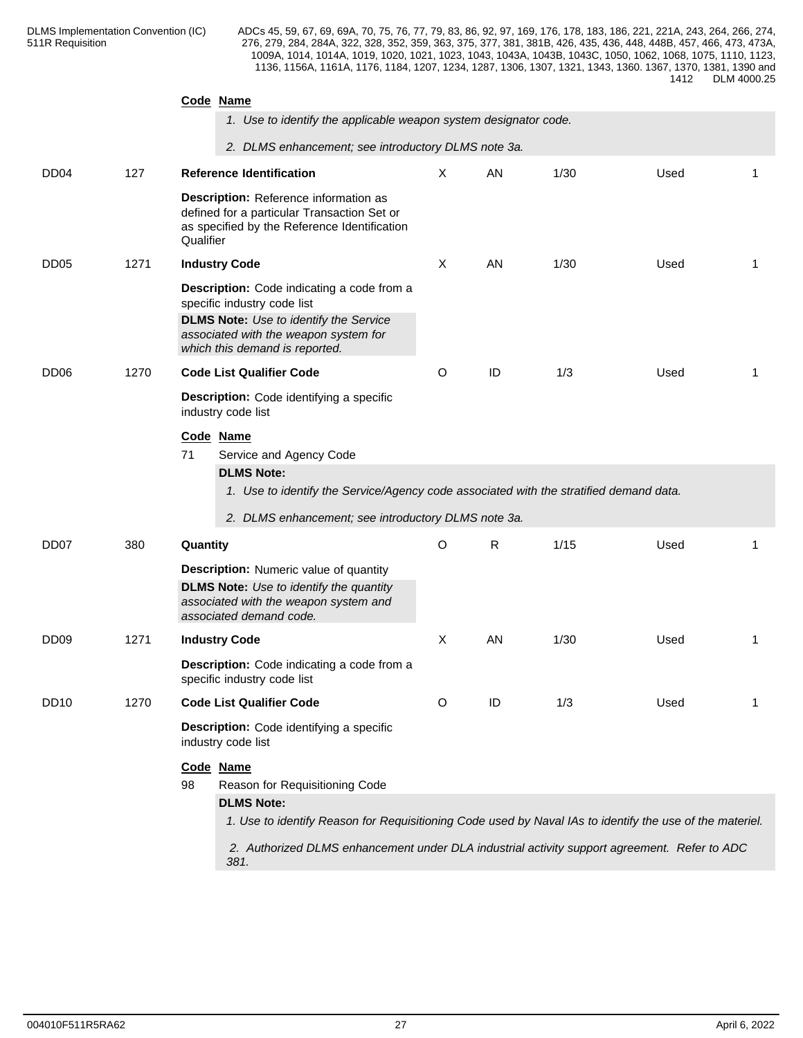|                  |      | Code Name               |                                                                                                                                                                                                                                                                 |         |    |      |      |   |
|------------------|------|-------------------------|-----------------------------------------------------------------------------------------------------------------------------------------------------------------------------------------------------------------------------------------------------------------|---------|----|------|------|---|
|                  |      |                         | 1. Use to identify the applicable weapon system designator code.                                                                                                                                                                                                |         |    |      |      |   |
|                  |      |                         | 2. DLMS enhancement; see introductory DLMS note 3a.<br><b>Reference Identification</b>                                                                                                                                                                          |         |    |      |      |   |
| DD <sub>04</sub> | 127  | Qualifier               | Description: Reference information as<br>defined for a particular Transaction Set or<br>as specified by the Reference Identification                                                                                                                            | X       | AN | 1/30 | Used | 1 |
| DD <sub>05</sub> | 1271 | <b>Industry Code</b>    |                                                                                                                                                                                                                                                                 | X       | AN | 1/30 | Used | 1 |
|                  |      |                         | Description: Code indicating a code from a<br>specific industry code list<br><b>DLMS Note:</b> Use to identify the Service<br>associated with the weapon system for<br>which this demand is reported.                                                           |         |    |      |      |   |
| DD <sub>06</sub> | 1270 |                         | <b>Code List Qualifier Code</b>                                                                                                                                                                                                                                 | $\circ$ | ID | 1/3  | Used | 1 |
|                  |      | industry code list      | Description: Code identifying a specific                                                                                                                                                                                                                        |         |    |      |      |   |
|                  |      | Code Name<br>71         | Service and Agency Code<br><b>DLMS Note:</b><br>1. Use to identify the Service/Agency code associated with the stratified demand data.<br>2. DLMS enhancement; see introductory DLMS note 3a.                                                                   |         |    |      |      |   |
| DD <sub>07</sub> | 380  | Quantity                |                                                                                                                                                                                                                                                                 | O       | R  | 1/15 | Used | 1 |
|                  |      |                         | <b>Description:</b> Numeric value of quantity<br><b>DLMS Note:</b> Use to identify the quantity<br>associated with the weapon system and<br>associated demand code.                                                                                             |         |    |      |      |   |
| DD <sub>09</sub> | 1271 | <b>Industry Code</b>    |                                                                                                                                                                                                                                                                 | Χ       | AN | 1/30 | Used | 1 |
|                  |      |                         | Description: Code indicating a code from a<br>specific industry code list                                                                                                                                                                                       |         |    |      |      |   |
| DD <sub>10</sub> | 1270 |                         | <b>Code List Qualifier Code</b>                                                                                                                                                                                                                                 | O       | ID | 1/3  | Used | 1 |
|                  |      | industry code list      | Description: Code identifying a specific                                                                                                                                                                                                                        |         |    |      |      |   |
|                  |      | Code Name<br>98<br>381. | Reason for Requisitioning Code<br><b>DLMS Note:</b><br>1. Use to identify Reason for Requisitioning Code used by Naval IAs to identify the use of the materiel.<br>2. Authorized DLMS enhancement under DLA industrial activity support agreement. Refer to ADC |         |    |      |      |   |
|                  |      |                         |                                                                                                                                                                                                                                                                 |         |    |      |      |   |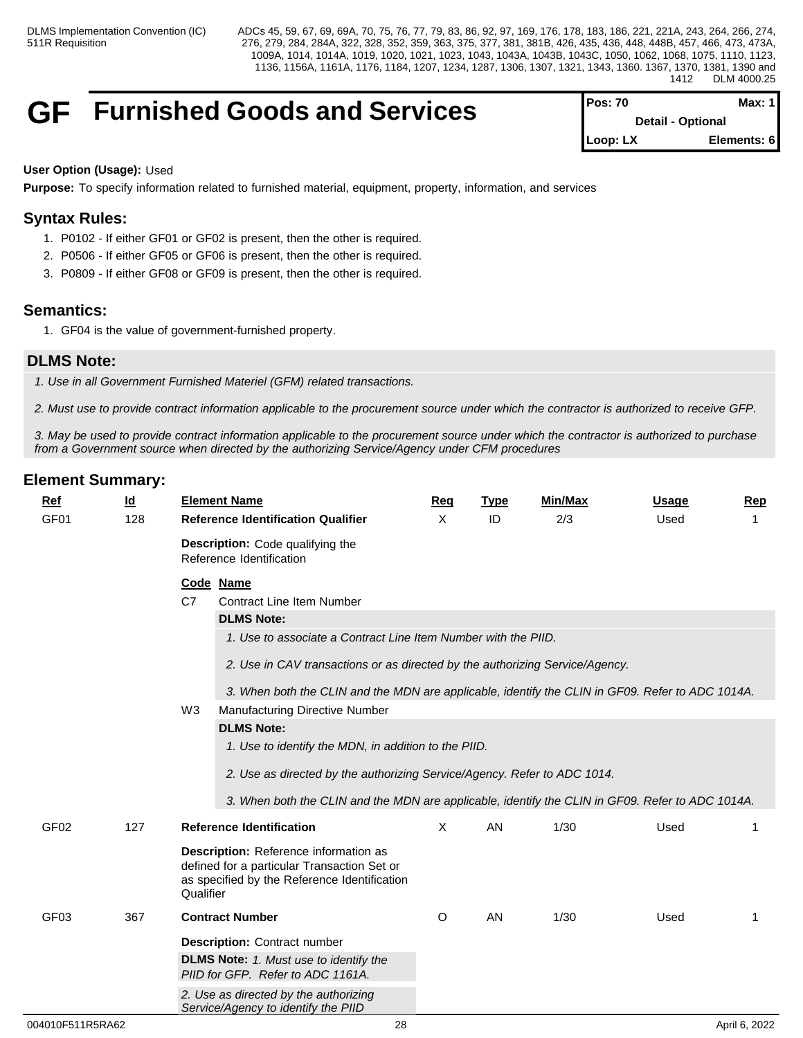# **GF** Furnished Goods and Services

| <b>IPos:</b> $70$ | Max: 1 I          |
|-------------------|-------------------|
|                   | Detail - Optional |
| $Loop: LX$        | Elements: 6       |

# **User Option (Usage):** Used

**Purpose:** To specify information related to furnished material, equipment, property, information, and services

# **Syntax Rules:**

- 1. P0102 If either GF01 or GF02 is present, then the other is required.
- 2. P0506 If either GF05 or GF06 is present, then the other is required.
- 3. P0809 If either GF08 or GF09 is present, then the other is required.

# **Semantics:**

1. GF04 is the value of government-furnished property.

# **DLMS Note:**

*1. Use in all Government Furnished Materiel (GFM) related transactions.*

*2. Must use to provide contract information applicable to the procurement source under which the contractor is authorized to receive GFP.* 

*3. May be used to provide contract information applicable to the procurement source under which the contractor is authorized to purchase from a Government source when directed by the authorizing Service/Agency under CFM procedures*

| <b>Ref</b>       | $\underline{\mathsf{Id}}$ | <b>Element Name</b>                                                                                                                                                                                                                                                                                                                                                                                                                                             | <b>Reg</b> | <b>Type</b> | <b>Min/Max</b> | <b>Usage</b> | <b>Rep</b> |
|------------------|---------------------------|-----------------------------------------------------------------------------------------------------------------------------------------------------------------------------------------------------------------------------------------------------------------------------------------------------------------------------------------------------------------------------------------------------------------------------------------------------------------|------------|-------------|----------------|--------------|------------|
| GF01             | 128                       | <b>Reference Identification Qualifier</b>                                                                                                                                                                                                                                                                                                                                                                                                                       | X          | ID          | 2/3            | Used         | 1          |
|                  |                           | Description: Code qualifying the<br>Reference Identification                                                                                                                                                                                                                                                                                                                                                                                                    |            |             |                |              |            |
|                  |                           | Code Name<br>C7<br><b>Contract Line Item Number</b><br><b>DLMS Note:</b><br>1. Use to associate a Contract Line Item Number with the PIID.<br>2. Use in CAV transactions or as directed by the authorizing Service/Agency.<br>3. When both the CLIN and the MDN are applicable, identify the CLIN in GF09. Refer to ADC 1014A.<br>W <sub>3</sub><br>Manufacturing Directive Number<br><b>DLMS Note:</b><br>1. Use to identify the MDN, in addition to the PIID. |            |             |                |              |            |
| GF <sub>02</sub> | 127                       | 2. Use as directed by the authorizing Service/Agency. Refer to ADC 1014.<br>3. When both the CLIN and the MDN are applicable, identify the CLIN in GF09. Refer to ADC 1014A.<br><b>Reference Identification</b>                                                                                                                                                                                                                                                 | $\times$   | AN          | 1/30           | Used         | -1         |
|                  |                           | Description: Reference information as<br>defined for a particular Transaction Set or<br>as specified by the Reference Identification<br>Qualifier                                                                                                                                                                                                                                                                                                               |            |             |                |              |            |
| GF <sub>03</sub> | 367                       | <b>Contract Number</b>                                                                                                                                                                                                                                                                                                                                                                                                                                          | O          | AN          | 1/30           | Used         | -1         |
|                  |                           | <b>Description: Contract number</b>                                                                                                                                                                                                                                                                                                                                                                                                                             |            |             |                |              |            |
|                  |                           | <b>DLMS Note:</b> 1. Must use to identify the<br>PIID for GFP. Refer to ADC 1161A.                                                                                                                                                                                                                                                                                                                                                                              |            |             |                |              |            |
|                  |                           | 2. Use as directed by the authorizing<br>Service/Agency to identify the PIID                                                                                                                                                                                                                                                                                                                                                                                    |            |             |                |              |            |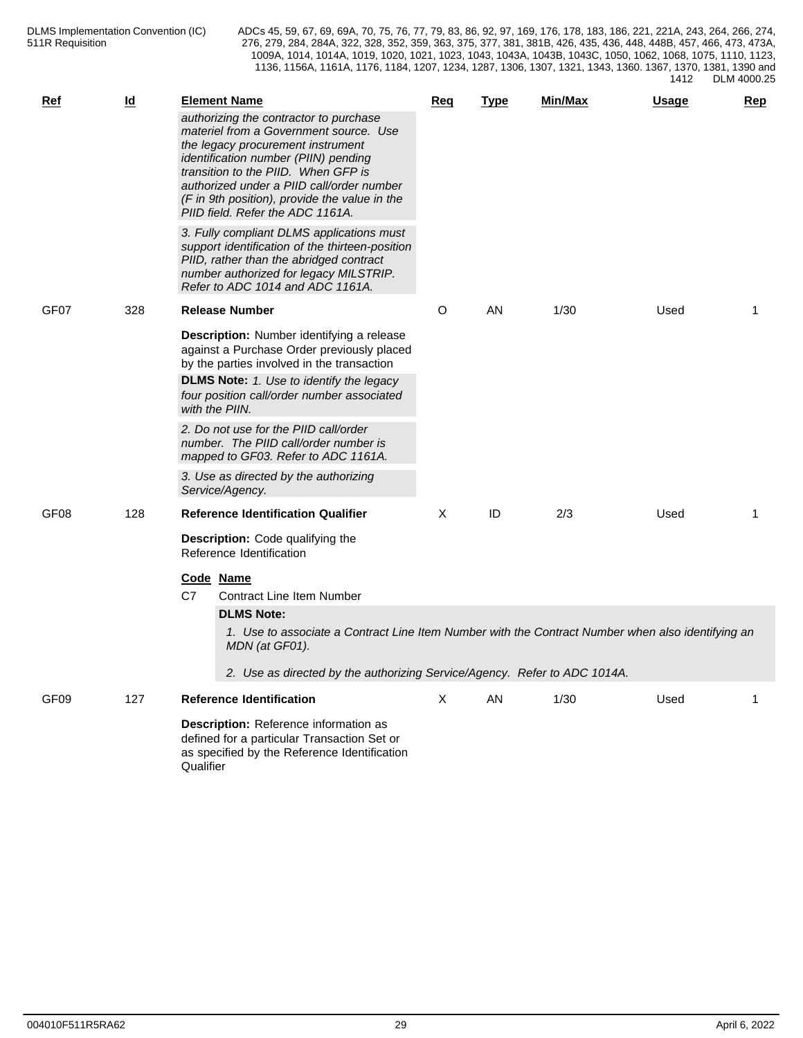| <b>Ref</b> | <u>ld</u> | <b>Element Name</b>                                                                                                                                                                                                                                                                                                                    | Req | <b>Type</b> | Min/Max | <b>Usage</b> | Rep |
|------------|-----------|----------------------------------------------------------------------------------------------------------------------------------------------------------------------------------------------------------------------------------------------------------------------------------------------------------------------------------------|-----|-------------|---------|--------------|-----|
|            |           | authorizing the contractor to purchase<br>materiel from a Government source. Use<br>the legacy procurement instrument<br>identification number (PIIN) pending<br>transition to the PIID. When GFP is<br>authorized under a PIID call/order number<br>(F in 9th position), provide the value in the<br>PIID field. Refer the ADC 1161A. |     |             |         |              |     |
|            |           | 3. Fully compliant DLMS applications must<br>support identification of the thirteen-position<br>PIID, rather than the abridged contract<br>number authorized for legacy MILSTRIP.<br>Refer to ADC 1014 and ADC 1161A.                                                                                                                  |     |             |         |              |     |
| GF07       | 328       | <b>Release Number</b>                                                                                                                                                                                                                                                                                                                  | O   | AN          | 1/30    | Used         |     |
|            |           | Description: Number identifying a release<br>against a Purchase Order previously placed<br>by the parties involved in the transaction<br><b>DLMS Note:</b> 1. Use to identify the legacy<br>four position call/order number associated                                                                                                 |     |             |         |              |     |
|            |           | with the PIIN.                                                                                                                                                                                                                                                                                                                         |     |             |         |              |     |
|            |           | 2. Do not use for the PIID call/order<br>number. The PIID call/order number is<br>mapped to GF03. Refer to ADC 1161A.                                                                                                                                                                                                                  |     |             |         |              |     |
|            |           | 3. Use as directed by the authorizing<br>Service/Agency.                                                                                                                                                                                                                                                                               |     |             |         |              |     |
| GF08       | 128       | <b>Reference Identification Qualifier</b>                                                                                                                                                                                                                                                                                              | Χ   | ID          | 2/3     | Used         | 1   |
|            |           | <b>Description:</b> Code qualifying the<br>Reference Identification                                                                                                                                                                                                                                                                    |     |             |         |              |     |
|            |           | Code Name<br>C7<br><b>Contract Line Item Number</b>                                                                                                                                                                                                                                                                                    |     |             |         |              |     |
|            |           | <b>DLMS Note:</b><br>1. Use to associate a Contract Line Item Number with the Contract Number when also identifying an<br>MDN (at GF01).<br>2. Use as directed by the authorizing Service/Agency. Refer to ADC 1014A.                                                                                                                  |     |             |         |              |     |
| GF09       | 127       | <b>Reference Identification</b>                                                                                                                                                                                                                                                                                                        | X   | AN          | 1/30    | Used         | 1   |
|            |           | Description: Reference information as<br>defined for a particular Transaction Set or<br>as specified by the Reference Identification<br>Qualifier                                                                                                                                                                                      |     |             |         |              |     |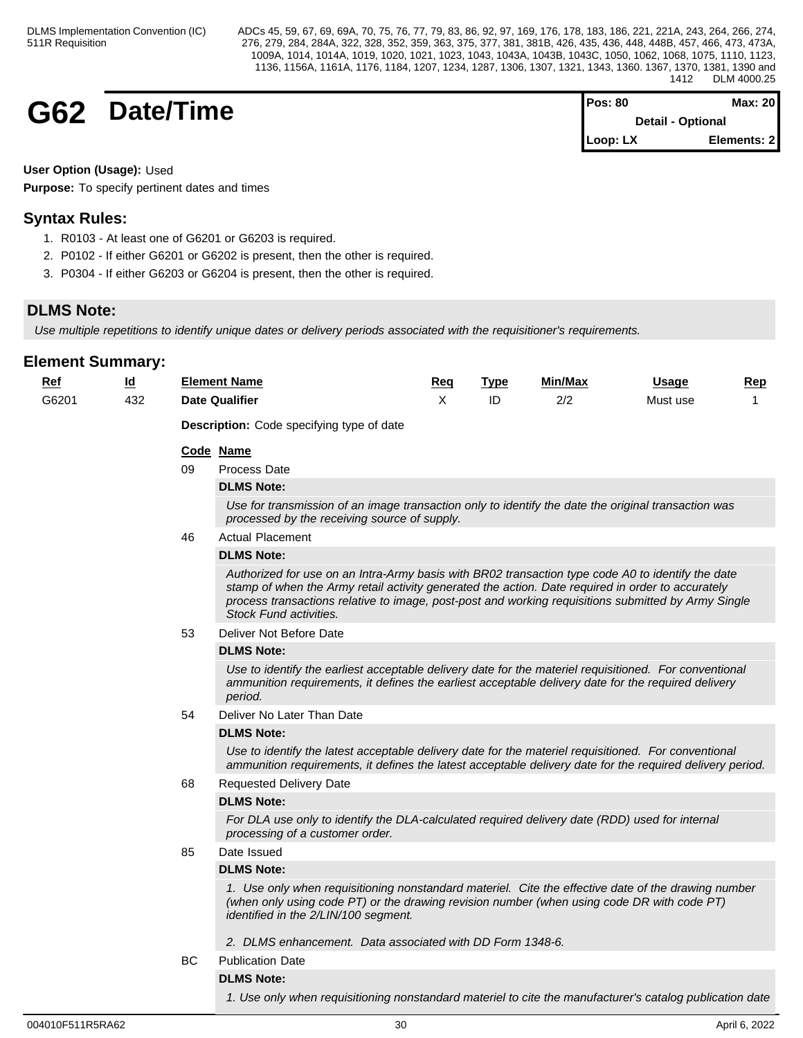# **G62 Date/Time**

| Pos: 80                      | Max: 20                  |  |
|------------------------------|--------------------------|--|
|                              | <b>Detail - Optional</b> |  |
| $\mathsf{Loop}: \mathsf{L}X$ | Elements: 2              |  |

**User Option (Usage):** Used

**Purpose:** To specify pertinent dates and times

# **Syntax Rules:**

- 1. R0103 At least one of G6201 or G6203 is required.
- 2. P0102 If either G6201 or G6202 is present, then the other is required.
- 3. P0304 If either G6203 or G6204 is present, then the other is required.

# **DLMS Note:**

*Use multiple repetitions to identify unique dates or delivery periods associated with the requisitioner's requirements.*

| <b>Ref</b> | $\overline{\mathsf{q}}$ |           | <b>Element Name</b>                                                                                                                                                                                                                                                                                                                     | Req | <b>Type</b> | <u>Min/Max</u> | Usage    | <b>Rep</b> |  |  |  |  |
|------------|-------------------------|-----------|-----------------------------------------------------------------------------------------------------------------------------------------------------------------------------------------------------------------------------------------------------------------------------------------------------------------------------------------|-----|-------------|----------------|----------|------------|--|--|--|--|
| G6201      | 432                     |           | <b>Date Qualifier</b>                                                                                                                                                                                                                                                                                                                   | X   | ID          | 2/2            | Must use | 1          |  |  |  |  |
|            |                         |           | <b>Description:</b> Code specifying type of date                                                                                                                                                                                                                                                                                        |     |             |                |          |            |  |  |  |  |
|            |                         |           | Code Name                                                                                                                                                                                                                                                                                                                               |     |             |                |          |            |  |  |  |  |
|            |                         | 09        | Process Date                                                                                                                                                                                                                                                                                                                            |     |             |                |          |            |  |  |  |  |
|            |                         |           | <b>DLMS Note:</b>                                                                                                                                                                                                                                                                                                                       |     |             |                |          |            |  |  |  |  |
|            |                         |           | Use for transmission of an image transaction only to identify the date the original transaction was<br>processed by the receiving source of supply.                                                                                                                                                                                     |     |             |                |          |            |  |  |  |  |
|            |                         | 46        | <b>Actual Placement</b>                                                                                                                                                                                                                                                                                                                 |     |             |                |          |            |  |  |  |  |
|            |                         |           | <b>DLMS Note:</b>                                                                                                                                                                                                                                                                                                                       |     |             |                |          |            |  |  |  |  |
|            |                         |           | Authorized for use on an Intra-Army basis with BR02 transaction type code A0 to identify the date<br>stamp of when the Army retail activity generated the action. Date required in order to accurately<br>process transactions relative to image, post-post and working requisitions submitted by Army Single<br>Stock Fund activities. |     |             |                |          |            |  |  |  |  |
|            |                         | 53        | Deliver Not Before Date                                                                                                                                                                                                                                                                                                                 |     |             |                |          |            |  |  |  |  |
|            |                         |           | <b>DLMS Note:</b>                                                                                                                                                                                                                                                                                                                       |     |             |                |          |            |  |  |  |  |
|            |                         |           | Use to identify the earliest acceptable delivery date for the materiel requisitioned. For conventional<br>ammunition requirements, it defines the earliest acceptable delivery date for the required delivery<br>period.                                                                                                                |     |             |                |          |            |  |  |  |  |
|            |                         | 54        | Deliver No Later Than Date                                                                                                                                                                                                                                                                                                              |     |             |                |          |            |  |  |  |  |
|            |                         |           | <b>DLMS Note:</b>                                                                                                                                                                                                                                                                                                                       |     |             |                |          |            |  |  |  |  |
|            |                         |           | Use to identify the latest acceptable delivery date for the materiel requisitioned. For conventional<br>ammunition requirements, it defines the latest acceptable delivery date for the required delivery period.                                                                                                                       |     |             |                |          |            |  |  |  |  |
|            |                         | 68        | <b>Requested Delivery Date</b>                                                                                                                                                                                                                                                                                                          |     |             |                |          |            |  |  |  |  |
|            |                         |           | <b>DLMS Note:</b>                                                                                                                                                                                                                                                                                                                       |     |             |                |          |            |  |  |  |  |
|            |                         |           | For DLA use only to identify the DLA-calculated required delivery date (RDD) used for internal<br>processing of a customer order.                                                                                                                                                                                                       |     |             |                |          |            |  |  |  |  |
|            |                         | 85        | Date Issued                                                                                                                                                                                                                                                                                                                             |     |             |                |          |            |  |  |  |  |
|            |                         |           | <b>DLMS Note:</b>                                                                                                                                                                                                                                                                                                                       |     |             |                |          |            |  |  |  |  |
|            |                         |           | 1. Use only when requisitioning nonstandard materiel. Cite the effective date of the drawing number<br>(when only using code PT) or the drawing revision number (when using code DR with code PT)<br>identified in the 2/LIN/100 segment.                                                                                               |     |             |                |          |            |  |  |  |  |
|            |                         |           | 2. DLMS enhancement. Data associated with DD Form 1348-6.                                                                                                                                                                                                                                                                               |     |             |                |          |            |  |  |  |  |
|            |                         | <b>BC</b> | <b>Publication Date</b>                                                                                                                                                                                                                                                                                                                 |     |             |                |          |            |  |  |  |  |
|            |                         |           | <b>DLMS Note:</b>                                                                                                                                                                                                                                                                                                                       |     |             |                |          |            |  |  |  |  |
|            |                         |           | 1. Use only when requisitioning nonstandard materiel to cite the manufacturer's catalog publication date                                                                                                                                                                                                                                |     |             |                |          |            |  |  |  |  |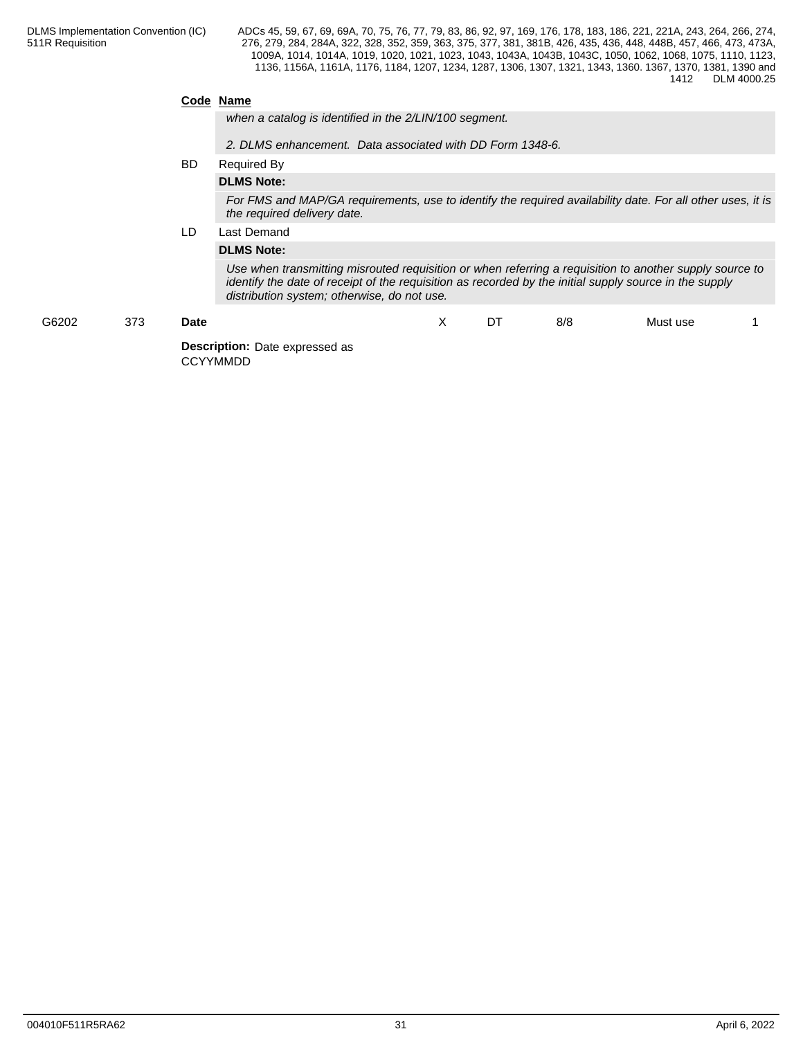# **Code Name**

*when a catalog is identified in the 2/LIN/100 segment.*

*2. DLMS enhancement. Data associated with DD Form 1348-6.*

#### BD Required By

# **DLMS Note:**

*For FMS and MAP/GA requirements, use to identify the required availability date. For all other uses, it is the required delivery date.*

# LD Last Demand

# **DLMS Note:**

*Use when transmitting misrouted requisition or when referring a requisition to another supply source to identify the date of receipt of the requisition as recorded by the initial supply source in the supply distribution system; otherwise, do not use.*

| G6202 | 373 | <b>Date</b>                                              | $\lambda$<br>$\lambda$ | DT | 8/8 | Must use |  |
|-------|-----|----------------------------------------------------------|------------------------|----|-----|----------|--|
|       |     | <b>Description:</b> Date expressed as<br><b>CCYYMMDD</b> |                        |    |     |          |  |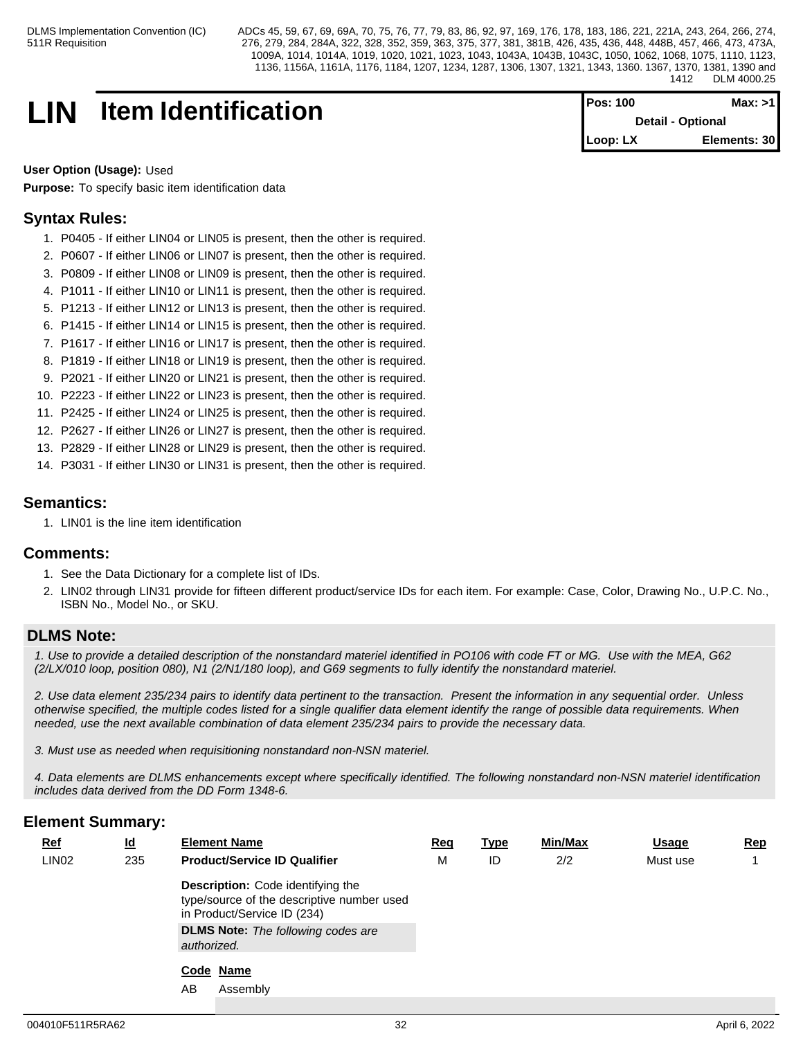# **LIN Item Identification Pos: 100 Max: >1**

**Detail - Optional Loop: LX Elements: 30**

**User Option (Usage):** Used

**Purpose:** To specify basic item identification data

# **Syntax Rules:**

- 1. P0405 If either LIN04 or LIN05 is present, then the other is required.
- 2. P0607 If either LIN06 or LIN07 is present, then the other is required.
- 3. P0809 If either LIN08 or LIN09 is present, then the other is required.
- 4. P1011 If either LIN10 or LIN11 is present, then the other is required.
- 5. P1213 If either LIN12 or LIN13 is present, then the other is required.
- 6. P1415 If either LIN14 or LIN15 is present, then the other is required.
- 7. P1617 If either LIN16 or LIN17 is present, then the other is required.
- 8. P1819 If either LIN18 or LIN19 is present, then the other is required.
- 9. P2021 If either LIN20 or LIN21 is present, then the other is required.
- 10. P2223 If either LIN22 or LIN23 is present, then the other is required.
- 11. P2425 If either LIN24 or LIN25 is present, then the other is required.
- 12. P2627 If either LIN26 or LIN27 is present, then the other is required.
- 13. P2829 If either LIN28 or LIN29 is present, then the other is required.
- 14. P3031 If either LIN30 or LIN31 is present, then the other is required.

# **Semantics:**

1. LIN01 is the line item identification

# **Comments:**

- 1. See the Data Dictionary for a complete list of IDs.
- 2. LIN02 through LIN31 provide for fifteen different product/service IDs for each item. For example: Case, Color, Drawing No., U.P.C. No., ISBN No., Model No., or SKU.

# **DLMS Note:**

*1. Use to provide a detailed description of the nonstandard materiel identified in PO106 with code FT or MG. Use with the MEA, G62 (2/LX/010 loop, position 080), N1 (2/N1/180 loop), and G69 segments to fully identify the nonstandard materiel.*

*2. Use data element 235/234 pairs to identify data pertinent to the transaction. Present the information in any sequential order. Unless otherwise specified, the multiple codes listed for a single qualifier data element identify the range of possible data requirements. When needed, use the next available combination of data element 235/234 pairs to provide the necessary data.*

*3. Must use as needed when requisitioning nonstandard non-NSN materiel.*

*4. Data elements are DLMS enhancements except where specifically identified. The following nonstandard non-NSN materiel identification includes data derived from the DD Form 1348-6.*

| $Ref$             | $\underline{\mathsf{Id}}$ | <b>Element Name</b>                                                                                                                                                               | <u>Req</u> | <u>Type</u> | Min/Max | <b>Usage</b> | <u>Rep</u> |
|-------------------|---------------------------|-----------------------------------------------------------------------------------------------------------------------------------------------------------------------------------|------------|-------------|---------|--------------|------------|
| LIN <sub>02</sub> | 235                       | <b>Product/Service ID Qualifier</b>                                                                                                                                               | M          | ID          | 2/2     | Must use     |            |
|                   |                           | <b>Description:</b> Code identifying the<br>type/source of the descriptive number used<br>in Product/Service ID (234)<br><b>DLMS Note:</b> The following codes are<br>authorized. |            |             |         |              |            |
|                   |                           | Code Name                                                                                                                                                                         |            |             |         |              |            |
|                   |                           | Assembly<br>AB                                                                                                                                                                    |            |             |         |              |            |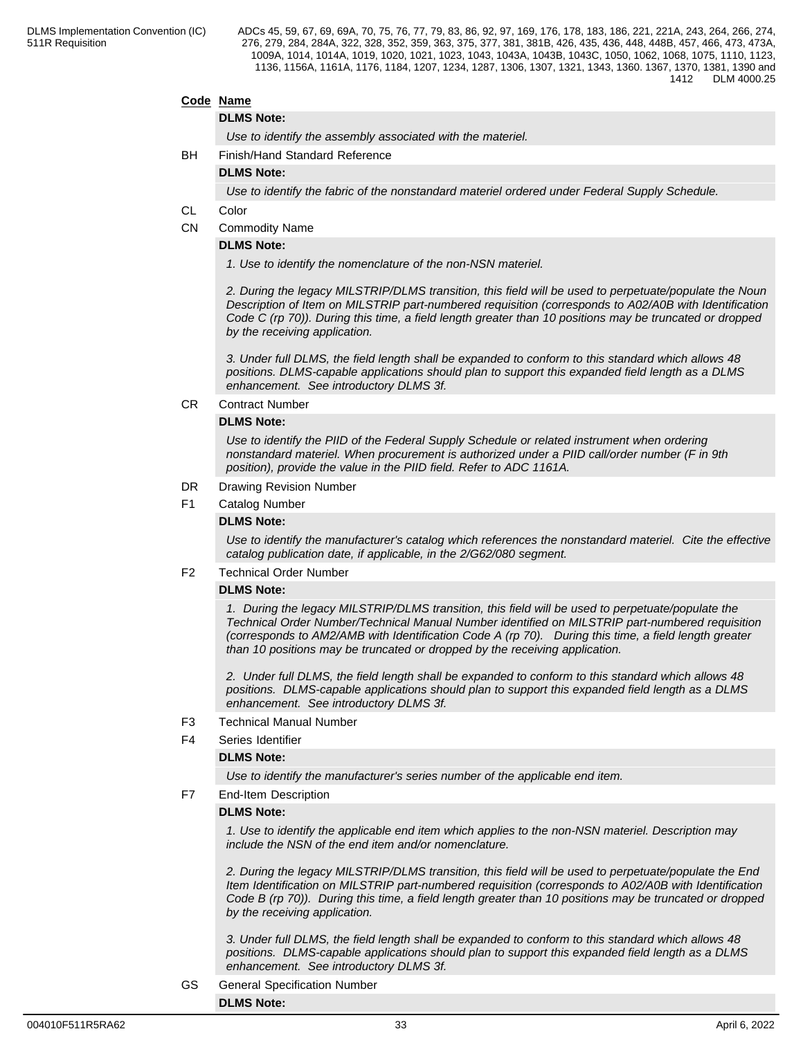# **Code Name**

### **DLMS Note:**

*Use to identify the assembly associated with the materiel.*

BH Finish/Hand Standard Reference

**DLMS Note:**

*Use to identify the fabric of the nonstandard materiel ordered under Federal Supply Schedule.*

- CL Color
- CN Commodity Name

# **DLMS Note:**

*1. Use to identify the nomenclature of the non-NSN materiel.*

*2. During the legacy MILSTRIP/DLMS transition, this field will be used to perpetuate/populate the Noun Description of Item on MILSTRIP part-numbered requisition (corresponds to A02/A0B with Identification Code C (rp 70)). During this time, a field length greater than 10 positions may be truncated or dropped by the receiving application.* 

*3. Under full DLMS, the field length shall be expanded to conform to this standard which allows 48 positions. DLMS-capable applications should plan to support this expanded field length as a DLMS enhancement. See introductory DLMS 3f.*

### CR Contract Number

#### **DLMS Note:**

*Use to identify the PIID of the Federal Supply Schedule or related instrument when ordering nonstandard materiel. When procurement is authorized under a PIID call/order number (F in 9th position), provide the value in the PIID field. Refer to ADC 1161A.*

- DR Drawing Revision Number
- F1 Catalog Number

#### **DLMS Note:**

*Use to identify the manufacturer's catalog which references the nonstandard materiel. Cite the effective catalog publication date, if applicable, in the 2/G62/080 segment.*

#### F2 Technical Order Number

### **DLMS Note:**

*1. During the legacy MILSTRIP/DLMS transition, this field will be used to perpetuate/populate the Technical Order Number/Technical Manual Number identified on MILSTRIP part-numbered requisition (corresponds to AM2/AMB with Identification Code A (rp 70). During this time, a field length greater than 10 positions may be truncated or dropped by the receiving application.* 

*2. Under full DLMS, the field length shall be expanded to conform to this standard which allows 48 positions. DLMS-capable applications should plan to support this expanded field length as a DLMS enhancement. See introductory DLMS 3f.*

- F3 Technical Manual Number
- F4 Series Identifier

#### **DLMS Note:**

*Use to identify the manufacturer's series number of the applicable end item.*

F7 End-Item Description

## **DLMS Note:**

*1. Use to identify the applicable end item which applies to the non-NSN materiel. Description may include the NSN of the end item and/or nomenclature.*

*2. During the legacy MILSTRIP/DLMS transition, this field will be used to perpetuate/populate the End Item Identification on MILSTRIP part-numbered requisition (corresponds to A02/A0B with Identification Code B (rp 70)). During this time, a field length greater than 10 positions may be truncated or dropped by the receiving application.* 

*3. Under full DLMS, the field length shall be expanded to conform to this standard which allows 48 positions. DLMS-capable applications should plan to support this expanded field length as a DLMS enhancement. See introductory DLMS 3f.*

GS General Specification Number **DLMS Note:**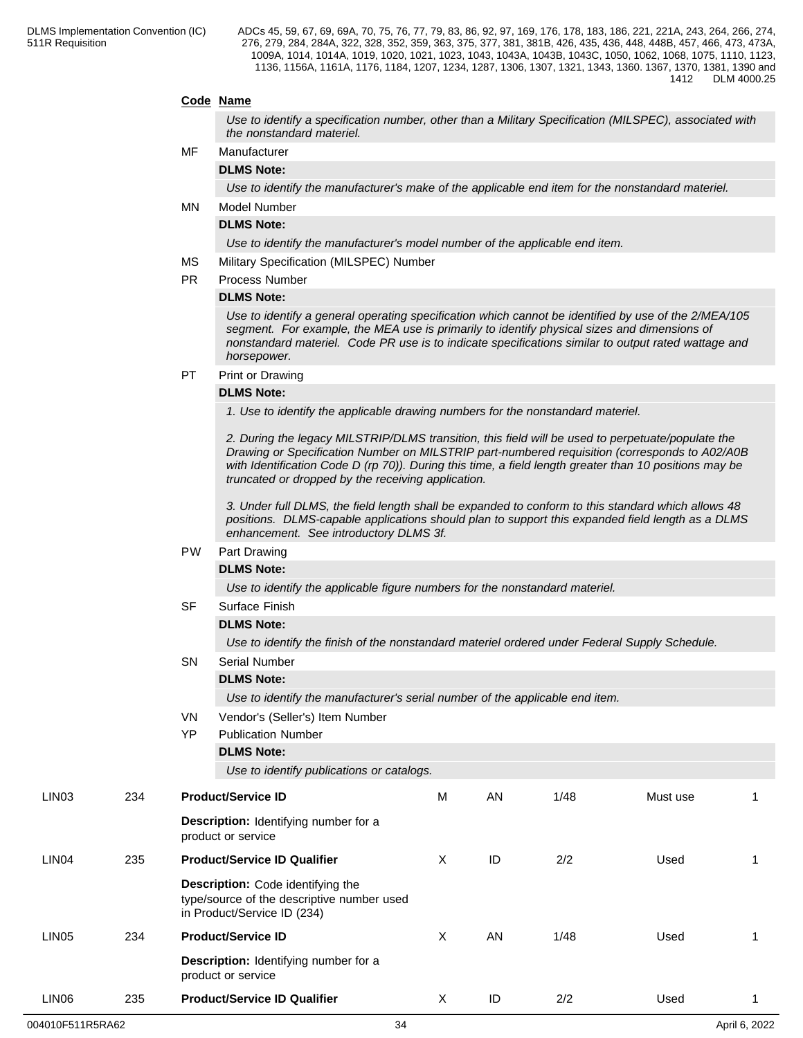# **Code Name**

*Use to identify a specification number, other than a Military Specification (MILSPEC), associated with the nonstandard materiel.*

# MF Manufacturer

**DLMS Note:**

*Use to identify the manufacturer's make of the applicable end item for the nonstandard materiel.*

MN Model Number

# **DLMS Note:**

*Use to identify the manufacturer's model number of the applicable end item.*

- MS Military Specification (MILSPEC) Number
- PR Process Number

#### **DLMS Note:**

*Use to identify a general operating specification which cannot be identified by use of the 2/MEA/105 segment. For example, the MEA use is primarily to identify physical sizes and dimensions of nonstandard materiel. Code PR use is to indicate specifications similar to output rated wattage and horsepower.*

PT Print or Drawing

#### **DLMS Note:**

*1. Use to identify the applicable drawing numbers for the nonstandard materiel.*

*2. During the legacy MILSTRIP/DLMS transition, this field will be used to perpetuate/populate the Drawing or Specification Number on MILSTRIP part-numbered requisition (corresponds to A02/A0B with Identification Code D (rp 70)). During this time, a field length greater than 10 positions may be truncated or dropped by the receiving application.* 

*3. Under full DLMS, the field length shall be expanded to conform to this standard which allows 48 positions. DLMS-capable applications should plan to support this expanded field length as a DLMS enhancement. See introductory DLMS 3f.*

# PW Part Drawing

# **DLMS Note:**

*Use to identify the applicable figure numbers for the nonstandard materiel.*

|       |     |           | Use to identify the applicable figure numbers for the nonstandard materiel.                                    |   |    |      |          |   |
|-------|-----|-----------|----------------------------------------------------------------------------------------------------------------|---|----|------|----------|---|
|       |     | <b>SF</b> | Surface Finish                                                                                                 |   |    |      |          |   |
|       |     |           | <b>DLMS Note:</b>                                                                                              |   |    |      |          |   |
|       |     |           | Use to identify the finish of the nonstandard materiel ordered under Federal Supply Schedule.                  |   |    |      |          |   |
|       |     | <b>SN</b> | <b>Serial Number</b>                                                                                           |   |    |      |          |   |
|       |     |           | <b>DLMS Note:</b>                                                                                              |   |    |      |          |   |
|       |     |           | Use to identify the manufacturer's serial number of the applicable end item.                                   |   |    |      |          |   |
|       |     | VN        | Vendor's (Seller's) Item Number                                                                                |   |    |      |          |   |
|       |     | <b>YP</b> | <b>Publication Number</b>                                                                                      |   |    |      |          |   |
|       |     |           | <b>DLMS Note:</b>                                                                                              |   |    |      |          |   |
|       |     |           | Use to identify publications or catalogs.                                                                      |   |    |      |          |   |
| LIN03 | 234 |           | <b>Product/Service ID</b>                                                                                      | M | AN | 1/48 | Must use |   |
|       |     |           | Description: Identifying number for a<br>product or service                                                    |   |    |      |          |   |
| LIN04 | 235 |           | <b>Product/Service ID Qualifier</b>                                                                            |   | ID | 2/2  | Used     | 1 |
|       |     |           | Description: Code identifying the<br>type/source of the descriptive number used<br>in Product/Service ID (234) |   |    |      |          |   |
| LIN05 | 234 |           | <b>Product/Service ID</b>                                                                                      | X | AN | 1/48 | Used     |   |
|       |     |           | Description: Identifying number for a<br>product or service                                                    |   |    |      |          |   |
| LIN06 | 235 |           | <b>Product/Service ID Qualifier</b>                                                                            | Χ | ID | 2/2  | Used     | 1 |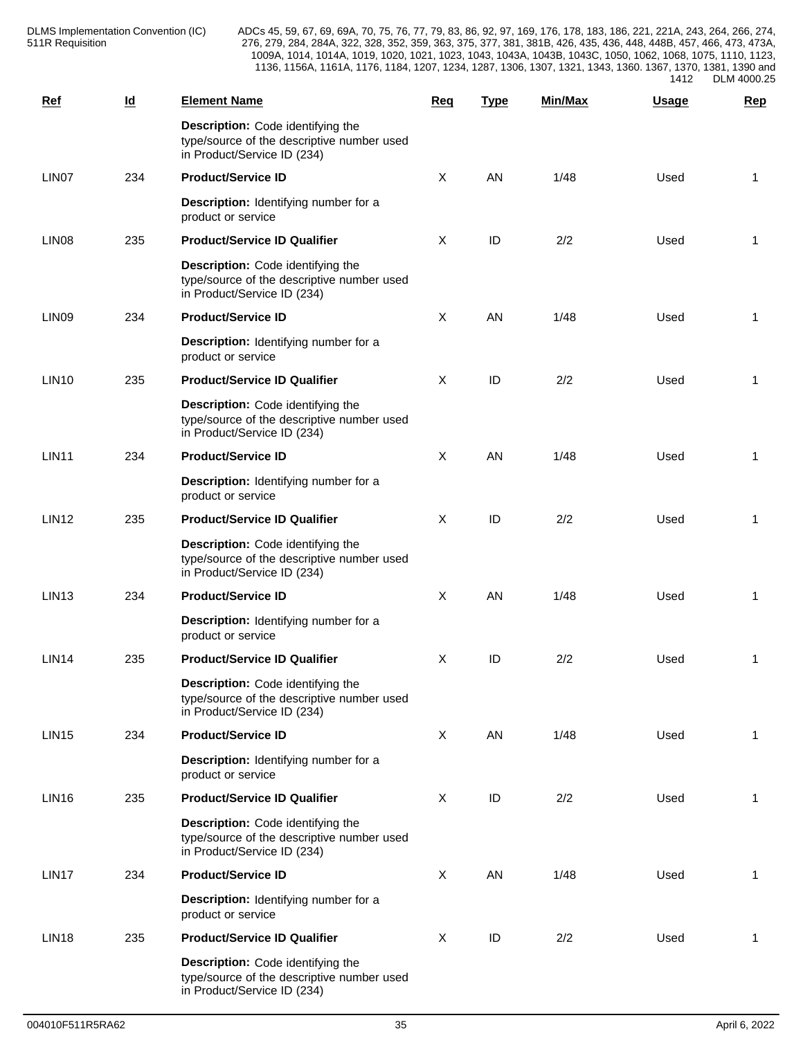DLMS Implementation Convention (IC) 511R Requisition

ADCs 45, 59, 67, 69, 69A, 70, 75, 76, 77, 79, 83, 86, 92, 97, 169, 176, 178, 183, 186, 221, 221A, 243, 264, 266, 274, 276, 279, 284, 284A, 322, 328, 352, 359, 363, 375, 377, 381, 381B, 426, 435, 436, 448, 448B, 457, 466, 473, 473A, 1009A, 1014, 1014A, 1019, 1020, 1021, 1023, 1043, 1043A, 1043B, 1043C, 1050, 1062, 1068, 1075, 1110, 1123, 1136, 1156A, 1161A, 1176, 1184, 1207, 1234, 1287, 1306, 1307, 1321, 1343, 1360. 1367, 1370, 1381, 1390 and 1412 DLM 4000.25

| Ref               | $\underline{\mathsf{Id}}$ | <b>Element Name</b>                                                                                            | Req     | <b>Type</b> | <b>Min/Max</b> | Usage | Rep            |
|-------------------|---------------------------|----------------------------------------------------------------------------------------------------------------|---------|-------------|----------------|-------|----------------|
|                   |                           | Description: Code identifying the<br>type/source of the descriptive number used<br>in Product/Service ID (234) |         |             |                |       |                |
| LIN07             | 234                       | <b>Product/Service ID</b>                                                                                      | $\sf X$ | AN          | 1/48           | Used  | 1              |
|                   |                           | Description: Identifying number for a<br>product or service                                                    |         |             |                |       |                |
| LIN <sub>08</sub> | 235                       | <b>Product/Service ID Qualifier</b>                                                                            | X       | ID          | 2/2            | Used  | $\overline{1}$ |
|                   |                           | Description: Code identifying the<br>type/source of the descriptive number used<br>in Product/Service ID (234) |         |             |                |       |                |
| LIN <sub>09</sub> | 234                       | <b>Product/Service ID</b>                                                                                      | X       | AN          | 1/48           | Used  | 1              |
|                   |                           | Description: Identifying number for a<br>product or service                                                    |         |             |                |       |                |
| <b>LIN10</b>      | 235                       | <b>Product/Service ID Qualifier</b>                                                                            | X       | ID          | 2/2            | Used  | 1              |
|                   |                           | Description: Code identifying the<br>type/source of the descriptive number used<br>in Product/Service ID (234) |         |             |                |       |                |
| <b>LIN11</b>      | 234                       | <b>Product/Service ID</b>                                                                                      | $\sf X$ | AN          | 1/48           | Used  | 1              |
|                   |                           | Description: Identifying number for a<br>product or service                                                    |         |             |                |       |                |
| <b>LIN12</b>      | 235                       | <b>Product/Service ID Qualifier</b>                                                                            | X       | ID          | 2/2            | Used  | $\overline{1}$ |
|                   |                           | Description: Code identifying the<br>type/source of the descriptive number used<br>in Product/Service ID (234) |         |             |                |       |                |
| LIN <sub>13</sub> | 234                       | <b>Product/Service ID</b>                                                                                      | X       | AN          | 1/48           | Used  | 1              |
|                   |                           | Description: Identifying number for a<br>product or service                                                    |         |             |                |       |                |
| <b>LIN14</b>      | 235                       | <b>Product/Service ID Qualifier</b>                                                                            | X       | ID          | 2/2            | Used  | 1              |
|                   |                           | Description: Code identifying the<br>type/source of the descriptive number used<br>in Product/Service ID (234) |         |             |                |       |                |
| <b>LIN15</b>      | 234                       | <b>Product/Service ID</b>                                                                                      | X       | AN          | 1/48           | Used  | $\overline{1}$ |
|                   |                           | Description: Identifying number for a<br>product or service                                                    |         |             |                |       |                |
| LIN <sub>16</sub> | 235                       | <b>Product/Service ID Qualifier</b>                                                                            | $\sf X$ | ID          | 2/2            | Used  | -1             |
|                   |                           | Description: Code identifying the<br>type/source of the descriptive number used<br>in Product/Service ID (234) |         |             |                |       |                |
| LIN17             | 234                       | <b>Product/Service ID</b>                                                                                      | $\sf X$ | AN          | 1/48           | Used  | 1              |
|                   |                           | Description: Identifying number for a<br>product or service                                                    |         |             |                |       |                |
| <b>LIN18</b>      | 235                       | <b>Product/Service ID Qualifier</b>                                                                            | X       | ID          | 2/2            | Used  | -1             |
|                   |                           | Description: Code identifying the<br>type/source of the descriptive number used<br>in Product/Service ID (234) |         |             |                |       |                |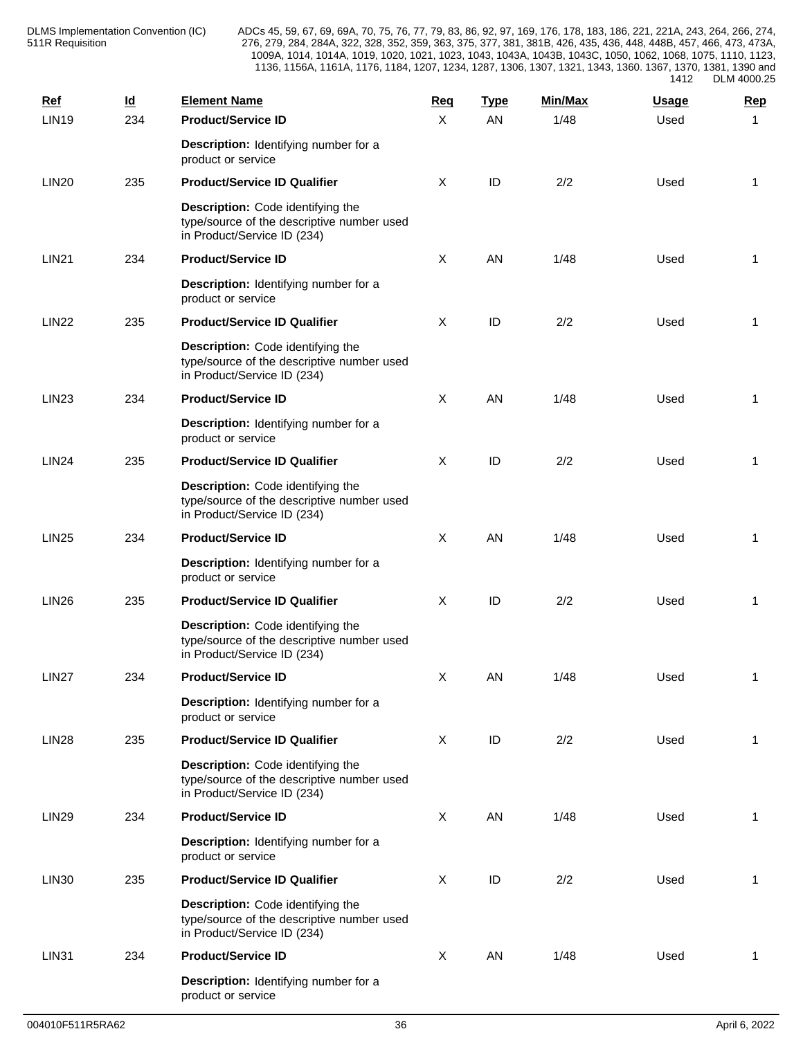| <b>Ref</b>        | $\underline{\mathsf{Id}}$ | <b>Element Name</b>                                                                                            | Req          | <b>Type</b> | Min/Max | <b>Usage</b> | <b>Rep</b>   |
|-------------------|---------------------------|----------------------------------------------------------------------------------------------------------------|--------------|-------------|---------|--------------|--------------|
| <b>LIN19</b>      | 234                       | <b>Product/Service ID</b>                                                                                      | X            | AN          | 1/48    | Used         | 1            |
|                   |                           | Description: Identifying number for a<br>product or service                                                    |              |             |         |              |              |
| <b>LIN20</b>      | 235                       | <b>Product/Service ID Qualifier</b>                                                                            | X            | ID          | 2/2     | Used         | 1            |
|                   |                           | Description: Code identifying the<br>type/source of the descriptive number used<br>in Product/Service ID (234) |              |             |         |              |              |
| <b>LIN21</b>      | 234                       | <b>Product/Service ID</b>                                                                                      | $\sf X$      | AN          | 1/48    | Used         | -1           |
|                   |                           | Description: Identifying number for a<br>product or service                                                    |              |             |         |              |              |
| <b>LIN22</b>      | 235                       | <b>Product/Service ID Qualifier</b>                                                                            | X            | ID          | 2/2     | Used         | -1           |
|                   |                           | Description: Code identifying the<br>type/source of the descriptive number used<br>in Product/Service ID (234) |              |             |         |              |              |
| <b>LIN23</b>      | 234                       | <b>Product/Service ID</b>                                                                                      | $\sf X$      | AN          | 1/48    | Used         | $\mathbf{1}$ |
|                   |                           | Description: Identifying number for a<br>product or service                                                    |              |             |         |              |              |
| <b>LIN24</b>      | 235                       | <b>Product/Service ID Qualifier</b>                                                                            | X            | ID          | 2/2     | Used         | $\mathbf{1}$ |
|                   |                           | Description: Code identifying the<br>type/source of the descriptive number used<br>in Product/Service ID (234) |              |             |         |              |              |
| <b>LIN25</b>      | 234                       | <b>Product/Service ID</b>                                                                                      | $\sf X$      | AN          | 1/48    | Used         | 1            |
|                   |                           | Description: Identifying number for a<br>product or service                                                    |              |             |         |              |              |
| <b>LIN26</b>      | 235                       | <b>Product/Service ID Qualifier</b>                                                                            | X            | ID          | 2/2     | Used         | 1            |
|                   |                           | Description: Code identifying the<br>type/source of the descriptive number used<br>in Product/Service ID (234) |              |             |         |              |              |
| LIN <sub>27</sub> | 234                       | <b>Product/Service ID</b>                                                                                      | X            | AN          | 1/48    | Used         | 1            |
|                   |                           | Description: Identifying number for a<br>product or service                                                    |              |             |         |              |              |
| <b>LIN28</b>      | 235                       | <b>Product/Service ID Qualifier</b>                                                                            | X            | ID          | 2/2     | Used         | $\mathbf{1}$ |
|                   |                           | Description: Code identifying the<br>type/source of the descriptive number used<br>in Product/Service ID (234) |              |             |         |              |              |
| <b>LIN29</b>      | 234                       | <b>Product/Service ID</b>                                                                                      | $\mathsf{X}$ | AN          | 1/48    | Used         | 1            |
|                   |                           | Description: Identifying number for a<br>product or service                                                    |              |             |         |              |              |
| <b>LIN30</b>      | 235                       | <b>Product/Service ID Qualifier</b>                                                                            | $\mathsf{X}$ | ID          | 2/2     | Used         | -1           |
|                   |                           | Description: Code identifying the<br>type/source of the descriptive number used<br>in Product/Service ID (234) |              |             |         |              |              |
| <b>LIN31</b>      | 234                       | <b>Product/Service ID</b>                                                                                      | $\sf X$      | AN          | 1/48    | Used         | 1            |
|                   |                           | Description: Identifying number for a<br>product or service                                                    |              |             |         |              |              |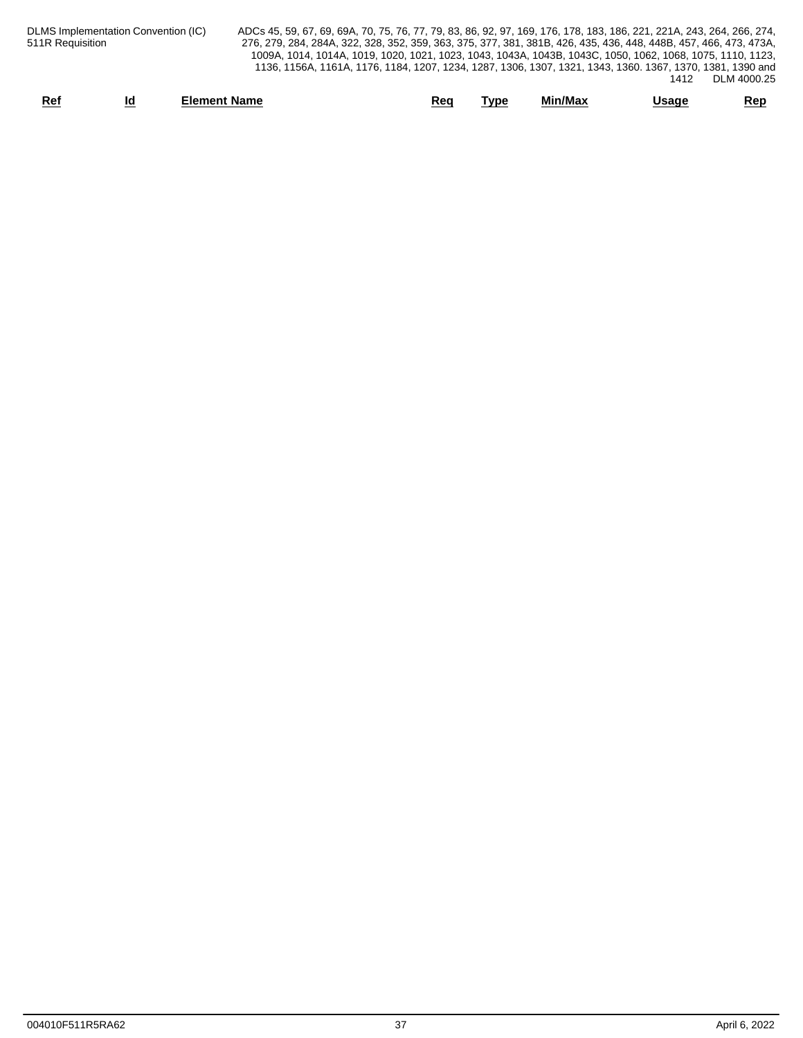| Ref                                 | <b>Element Name</b>                                                                                                   |                                                                                                            | Req | <b>Type</b> | Min/Max | Usage |             | <u>Rep</u> |
|-------------------------------------|-----------------------------------------------------------------------------------------------------------------------|------------------------------------------------------------------------------------------------------------|-----|-------------|---------|-------|-------------|------------|
|                                     |                                                                                                                       |                                                                                                            |     |             |         | 1412  | DLM 4000.25 |            |
|                                     |                                                                                                                       | 1136, 1156A, 1161A, 1176, 1184, 1207, 1234, 1287, 1306, 1307, 1321, 1343, 1360. 1367, 1370, 1381, 1390 and |     |             |         |       |             |            |
|                                     |                                                                                                                       | 1009A, 1014, 1014A, 1019, 1020, 1021, 1023, 1043, 1043A, 1043B, 1043C, 1050, 1062, 1068, 1075, 1110, 1123, |     |             |         |       |             |            |
| 511R Requisition                    | 276, 279, 284, 284A, 322, 328, 352, 359, 363, 375, 377, 381, 381B, 426, 435, 436, 448, 448B, 457, 466, 473, 473A,     |                                                                                                            |     |             |         |       |             |            |
| DLMS Implementation Convention (IC) | ADCs 45, 59, 67, 69, 69A, 70, 75, 76, 77, 79, 83, 86, 92, 97, 169, 176, 178, 183, 186, 221, 221A, 243, 264, 266, 274, |                                                                                                            |     |             |         |       |             |            |
|                                     |                                                                                                                       |                                                                                                            |     |             |         |       |             |            |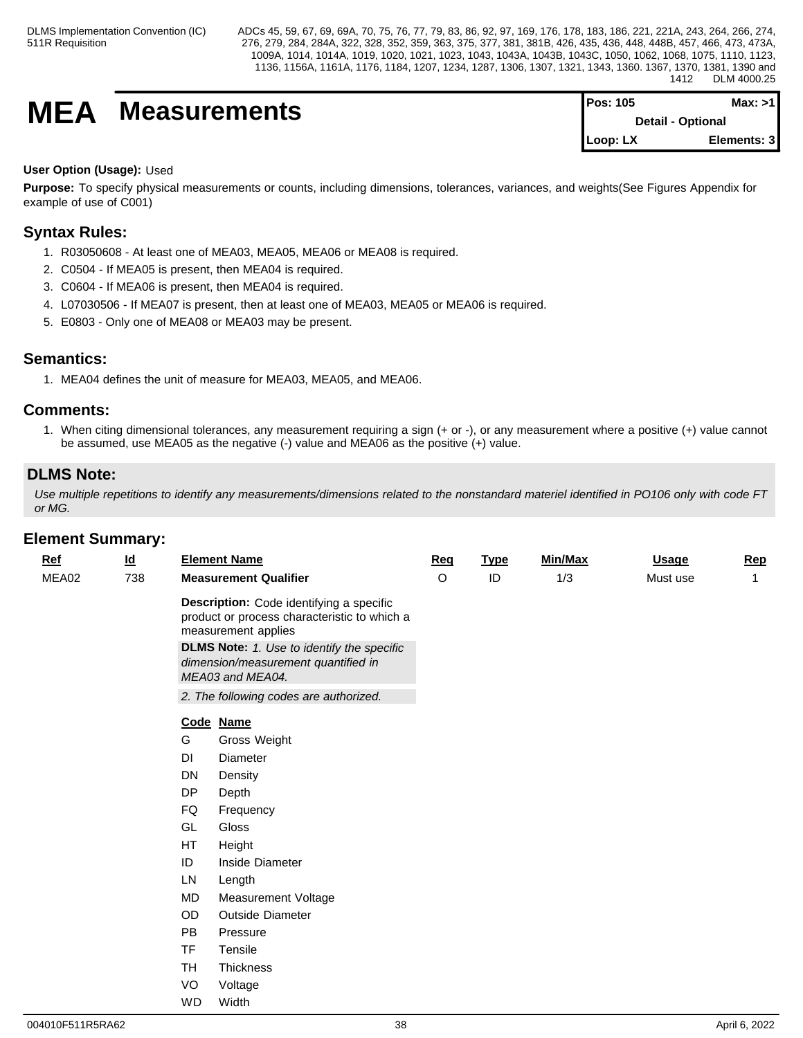# **MEA** Measurements

| <b>Pos: 105</b> | Max: >1                  |  |
|-----------------|--------------------------|--|
|                 | <b>Detail - Optional</b> |  |
| Loop: LX        | Elements: 3              |  |

# **User Option (Usage):** Used

**Purpose:** To specify physical measurements or counts, including dimensions, tolerances, variances, and weights(See Figures Appendix for example of use of C001)

# **Syntax Rules:**

- 1. R03050608 At least one of MEA03, MEA05, MEA06 or MEA08 is required.
- 2. C0504 If MEA05 is present, then MEA04 is required.
- 3. C0604 If MEA06 is present, then MEA04 is required.
- 4. L07030506 If MEA07 is present, then at least one of MEA03, MEA05 or MEA06 is required.
- 5. E0803 Only one of MEA08 or MEA03 may be present.

# **Semantics:**

1. MEA04 defines the unit of measure for MEA03, MEA05, and MEA06.

# **Comments:**

1. When citing dimensional tolerances, any measurement requiring a sign (+ or -), or any measurement where a positive (+) value cannot be assumed, use MEA05 as the negative (-) value and MEA06 as the positive (+) value.

# **DLMS Note:**

*Use multiple repetitions to identify any measurements/dimensions related to the nonstandard materiel identified in PO106 only with code FT or MG.*

|            | znivni vaniniai ja                                                                                           |           |                                                                                                                 |         |             |         |              |              |
|------------|--------------------------------------------------------------------------------------------------------------|-----------|-----------------------------------------------------------------------------------------------------------------|---------|-------------|---------|--------------|--------------|
| <u>Ref</u> | <u>ld</u>                                                                                                    |           | <b>Element Name</b>                                                                                             | Req     | <b>Type</b> | Min/Max | <b>Usage</b> | Rep          |
| MEA02      | 738                                                                                                          |           | <b>Measurement Qualifier</b>                                                                                    | $\circ$ | ID          | 1/3     | Must use     | $\mathbf{1}$ |
|            |                                                                                                              |           | Description: Code identifying a specific<br>product or process characteristic to which a<br>measurement applies |         |             |         |              |              |
|            | <b>DLMS Note:</b> 1. Use to identify the specific<br>dimension/measurement quantified in<br>MEA03 and MEA04. |           |                                                                                                                 |         |             |         |              |              |
|            |                                                                                                              |           | 2. The following codes are authorized.                                                                          |         |             |         |              |              |
|            |                                                                                                              |           | Code Name                                                                                                       |         |             |         |              |              |
|            |                                                                                                              | G         | Gross Weight                                                                                                    |         |             |         |              |              |
|            |                                                                                                              | DI        | Diameter                                                                                                        |         |             |         |              |              |
|            |                                                                                                              | DN        | Density                                                                                                         |         |             |         |              |              |
|            |                                                                                                              | DP        | Depth                                                                                                           |         |             |         |              |              |
|            |                                                                                                              | FQ        | Frequency                                                                                                       |         |             |         |              |              |
|            |                                                                                                              | GL        | Gloss                                                                                                           |         |             |         |              |              |
|            |                                                                                                              | HT        | Height                                                                                                          |         |             |         |              |              |
|            |                                                                                                              | ID        | Inside Diameter                                                                                                 |         |             |         |              |              |
|            |                                                                                                              | LN        | Length                                                                                                          |         |             |         |              |              |
|            |                                                                                                              | <b>MD</b> | <b>Measurement Voltage</b>                                                                                      |         |             |         |              |              |
|            |                                                                                                              | OD        | Outside Diameter                                                                                                |         |             |         |              |              |
|            |                                                                                                              | <b>PB</b> | Pressure                                                                                                        |         |             |         |              |              |
|            |                                                                                                              | <b>TF</b> | Tensile                                                                                                         |         |             |         |              |              |
|            |                                                                                                              | TH        | Thickness                                                                                                       |         |             |         |              |              |
|            |                                                                                                              | VO        | Voltage                                                                                                         |         |             |         |              |              |
|            |                                                                                                              | <b>WD</b> | Width                                                                                                           |         |             |         |              |              |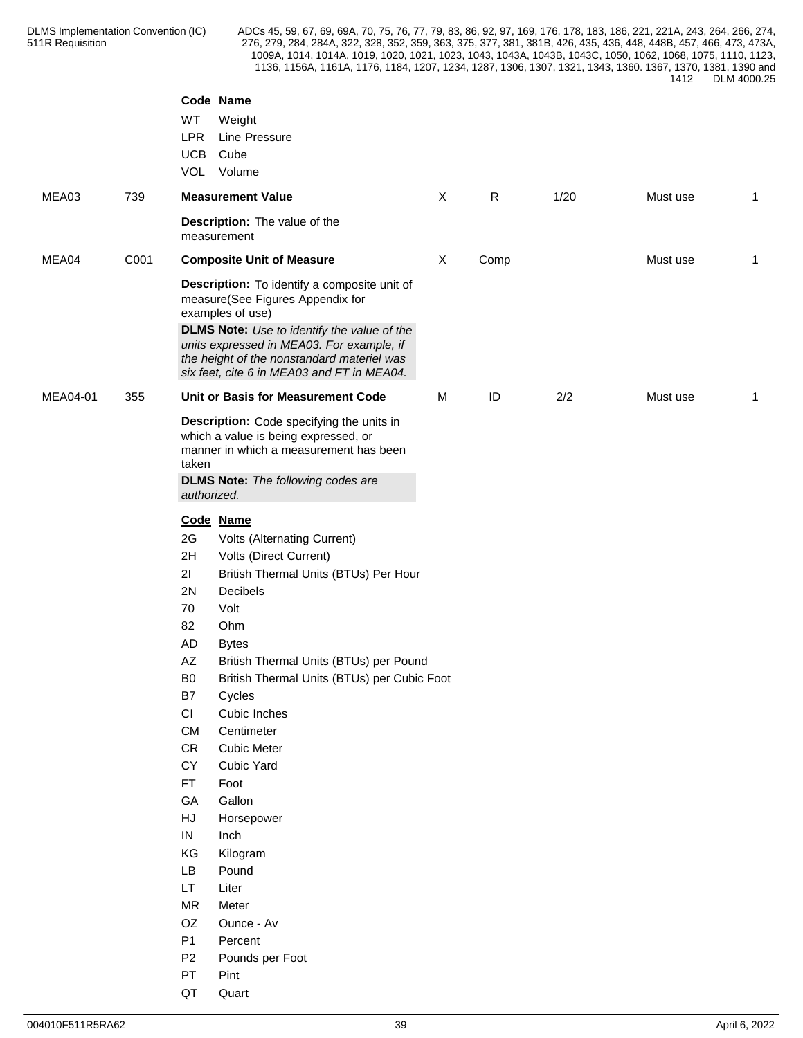|          |      | Code Name<br>WT<br>Weight<br><b>LPR</b><br>Line Pressure<br><b>UCB</b><br>Cube                                                                                                                                                                                                                                                                                                                                                                                                                                                                                                                                                                                                                                                                |   |      |      |          |                         |
|----------|------|-----------------------------------------------------------------------------------------------------------------------------------------------------------------------------------------------------------------------------------------------------------------------------------------------------------------------------------------------------------------------------------------------------------------------------------------------------------------------------------------------------------------------------------------------------------------------------------------------------------------------------------------------------------------------------------------------------------------------------------------------|---|------|------|----------|-------------------------|
|          |      | VOL<br>Volume                                                                                                                                                                                                                                                                                                                                                                                                                                                                                                                                                                                                                                                                                                                                 |   |      |      |          |                         |
| MEA03    | 739  | <b>Measurement Value</b>                                                                                                                                                                                                                                                                                                                                                                                                                                                                                                                                                                                                                                                                                                                      | X | R    | 1/20 | Must use | $\overline{1}$          |
|          |      | Description: The value of the<br>measurement                                                                                                                                                                                                                                                                                                                                                                                                                                                                                                                                                                                                                                                                                                  |   |      |      |          |                         |
| MEA04    | C001 | <b>Composite Unit of Measure</b>                                                                                                                                                                                                                                                                                                                                                                                                                                                                                                                                                                                                                                                                                                              | X | Comp |      | Must use | $\overline{\mathbf{1}}$ |
|          |      | Description: To identify a composite unit of<br>measure(See Figures Appendix for<br>examples of use)                                                                                                                                                                                                                                                                                                                                                                                                                                                                                                                                                                                                                                          |   |      |      |          |                         |
|          |      | DLMS Note: Use to identify the value of the<br>units expressed in MEA03. For example, if<br>the height of the nonstandard materiel was<br>six feet, cite 6 in MEA03 and FT in MEA04.                                                                                                                                                                                                                                                                                                                                                                                                                                                                                                                                                          |   |      |      |          |                         |
| MEA04-01 | 355  | Unit or Basis for Measurement Code                                                                                                                                                                                                                                                                                                                                                                                                                                                                                                                                                                                                                                                                                                            | М | ID   | 2/2  | Must use | $\mathbf{1}$            |
|          |      | Description: Code specifying the units in<br>which a value is being expressed, or<br>manner in which a measurement has been<br>taken<br><b>DLMS Note:</b> The following codes are<br>authorized.                                                                                                                                                                                                                                                                                                                                                                                                                                                                                                                                              |   |      |      |          |                         |
|          |      | Code Name<br>2G<br>Volts (Alternating Current)<br>2H<br>Volts (Direct Current)<br>21<br>British Thermal Units (BTUs) Per Hour<br>Decibels<br>2N<br>70<br>Volt<br>82<br>Ohm<br>AD<br><b>Bytes</b><br>$\mathsf{A}\mathsf{Z}$<br>British Thermal Units (BTUs) per Pound<br>British Thermal Units (BTUs) per Cubic Foot<br>B <sub>0</sub><br>B7<br>Cycles<br>CI<br>Cubic Inches<br>CM<br>Centimeter<br><b>CR</b><br><b>Cubic Meter</b><br>CY<br>Cubic Yard<br><b>FT</b><br>Foot<br>GA<br>Gallon<br>${\sf H}{\sf J}$<br>Horsepower<br>IN<br>Inch<br>KG<br>Kilogram<br>LB<br>Pound<br>LT.<br>Liter<br><b>MR</b><br>Meter<br>OZ<br>Ounce - Av<br>P <sub>1</sub><br>Percent<br>P <sub>2</sub><br>Pounds per Foot<br>${\sf PT}$<br>Pint<br>QT<br>Quart |   |      |      |          |                         |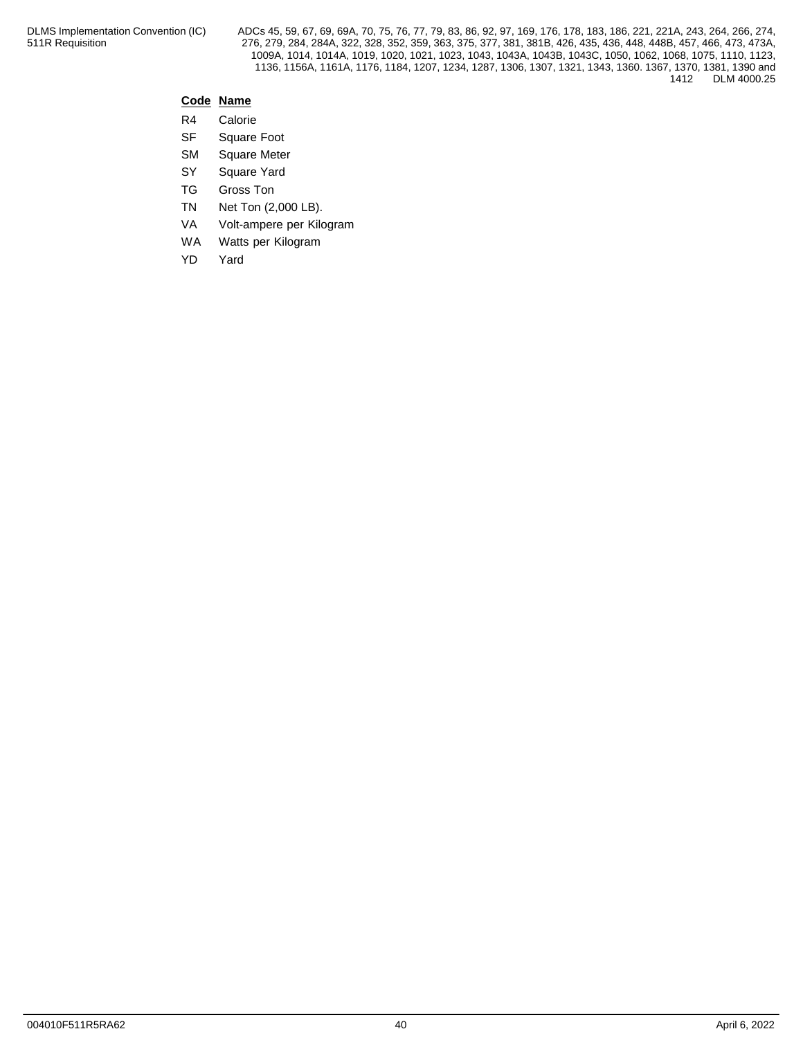# **Code Name**

- R4 Calorie
- SF Square Foot
- SM Square Meter
- SY Square Yard
- TG Gross Ton
- TN Net Ton (2,000 LB).
- VA Volt-ampere per Kilogram
- WA Watts per Kilogram
- YD Yard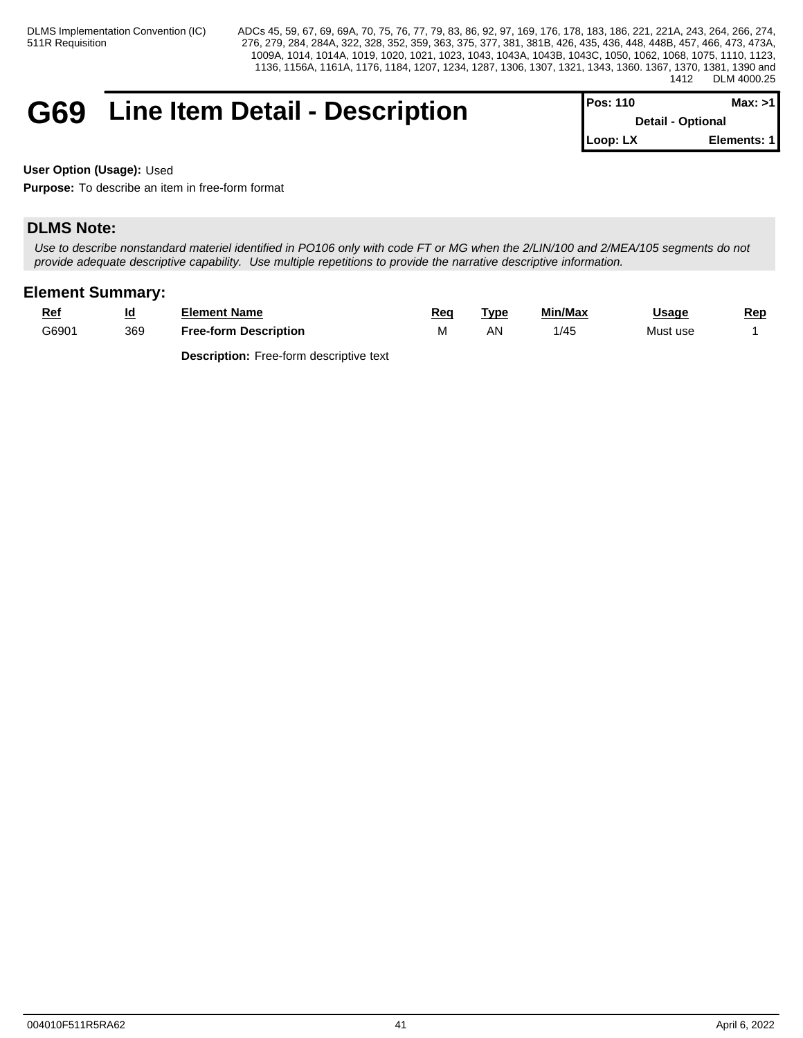# G69 Line Item Detail - Description **Pos:** 110 **Max: 110 Max: 110 Max: 110 Max: 110 Max: 110 Max: 110 Max: 110 Max: 110 Max: 110 Max: 120 Max: 120 Max: 120 Max: 120 Max: 120 Max: 120 Max: 120**

| IPos: 110                | Max: >11    |
|--------------------------|-------------|
| <b>Detail - Optional</b> |             |
| $Loop: LX$               | Elements: 1 |

**User Option (Usage):** Used

**Purpose:** To describe an item in free-form format

# **DLMS Note:**

*Use to describe nonstandard materiel identified in PO106 only with code FT or MG when the 2/LIN/100 and 2/MEA/105 segments do not provide adequate descriptive capability. Use multiple repetitions to provide the narrative descriptive information.*

# **Element Summary:**

| <u>Ref</u> | <u>ia</u> | Element Name                 | <u>Rec</u> | Tvpe | Min/Max | <b>Usage</b> | <u>Rep</u> |
|------------|-----------|------------------------------|------------|------|---------|--------------|------------|
| G6901      | 369       | <b>Free-form Description</b> | IVI        | AN   | 1/45    | Must use     |            |
|            |           |                              |            |      |         |              |            |

**Description:** Free-form descriptive text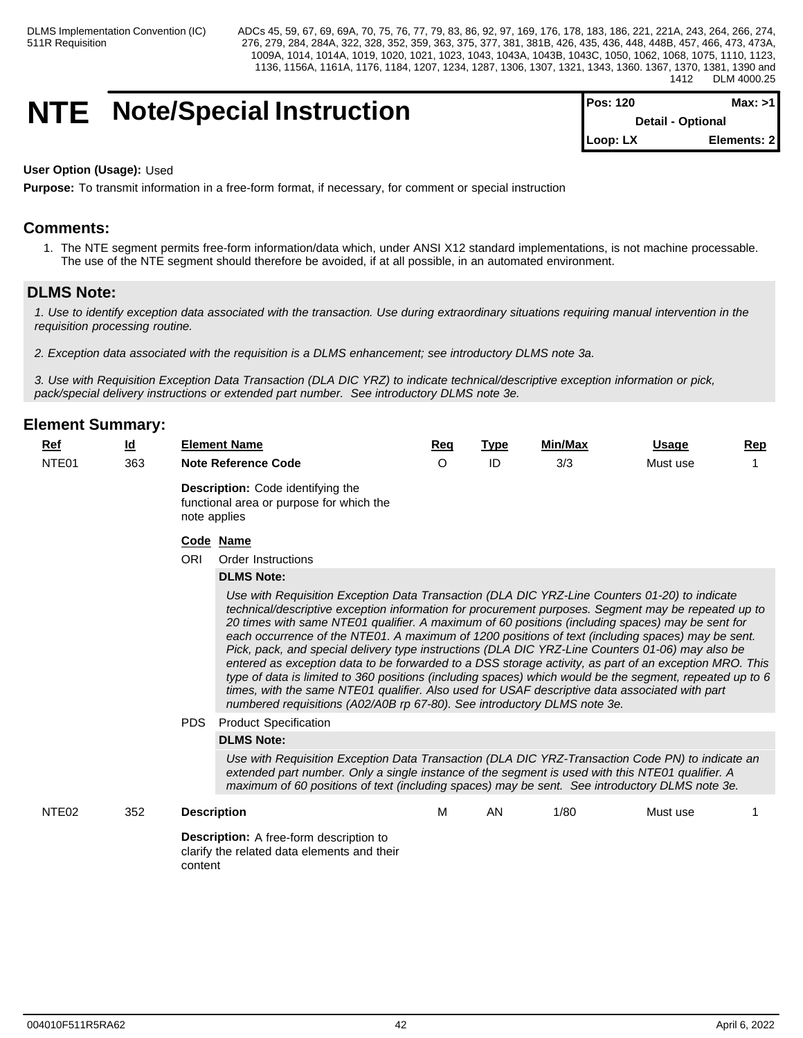# **NTE** Note/Special Instruction

| <b>IPos: 120</b> | Max: >11                 |
|------------------|--------------------------|
|                  | <b>Detail - Optional</b> |
| $Loop: LX$       | Elements: 2              |

### **User Option (Usage):** Used

**Purpose:** To transmit information in a free-form format, if necessary, for comment or special instruction

# **Comments:**

1. The NTE segment permits free-form information/data which, under ANSI X12 standard implementations, is not machine processable. The use of the NTE segment should therefore be avoided, if at all possible, in an automated environment.

# **DLMS Note:**

*1. Use to identify exception data associated with the transaction. Use during extraordinary situations requiring manual intervention in the requisition processing routine.*

*2. Exception data associated with the requisition is a DLMS enhancement; see introductory DLMS note 3a.*

*3. Use with Requisition Exception Data Transaction (DLA DIC YRZ) to indicate technical/descriptive exception information or pick, pack/special delivery instructions or extended part number. See introductory DLMS note 3e.*

| NTE01<br>363<br>ID<br>3/3<br><b>Note Reference Code</b><br>$\circ$<br>Must use<br><b>Description:</b> Code identifying the<br>functional area or purpose for which the<br>note applies<br>Code Name<br><b>ORI</b><br>Order Instructions<br><b>DLMS Note:</b><br>Use with Requisition Exception Data Transaction (DLA DIC YRZ-Line Counters 01-20) to indicate<br>technical/descriptive exception information for procurement purposes. Segment may be repeated up to<br>20 times with same NTE01 qualifier. A maximum of 60 positions (including spaces) may be sent for<br>each occurrence of the NTE01. A maximum of 1200 positions of text (including spaces) may be sent.<br>Pick, pack, and special delivery type instructions (DLA DIC YRZ-Line Counters 01-06) may also be<br>entered as exception data to be forwarded to a DSS storage activity, as part of an exception MRO. This<br>type of data is limited to 360 positions (including spaces) which would be the segment, repeated up to 6<br>times, with the same NTE01 qualifier. Also used for USAF descriptive data associated with part<br>numbered requisitions (A02/A0B rp 67-80). See introductory DLMS note 3e.<br><b>PDS</b><br><b>Product Specification</b><br><b>DLMS Note:</b><br>Use with Requisition Exception Data Transaction (DLA DIC YRZ-Transaction Code PN) to indicate an<br>extended part number. Only a single instance of the segment is used with this NTE01 qualifier. A<br>maximum of 60 positions of text (including spaces) may be sent. See introductory DLMS note 3e.<br>M<br>1/80<br>NTE <sub>02</sub><br>352<br>AN<br><b>Description</b><br>Must use<br><b>Description:</b> A free-form description to<br>clarify the related data elements and their<br>content | <b>Ref</b> | $\underline{\mathsf{Id}}$ | <b>Element Name</b> | Req | <b>Type</b> | Min/Max | Usage | <b>Rep</b> |  |  |  |  |  |  |
|-----------------------------------------------------------------------------------------------------------------------------------------------------------------------------------------------------------------------------------------------------------------------------------------------------------------------------------------------------------------------------------------------------------------------------------------------------------------------------------------------------------------------------------------------------------------------------------------------------------------------------------------------------------------------------------------------------------------------------------------------------------------------------------------------------------------------------------------------------------------------------------------------------------------------------------------------------------------------------------------------------------------------------------------------------------------------------------------------------------------------------------------------------------------------------------------------------------------------------------------------------------------------------------------------------------------------------------------------------------------------------------------------------------------------------------------------------------------------------------------------------------------------------------------------------------------------------------------------------------------------------------------------------------------------------------------------------------------------------------------------------------------|------------|---------------------------|---------------------|-----|-------------|---------|-------|------------|--|--|--|--|--|--|
|                                                                                                                                                                                                                                                                                                                                                                                                                                                                                                                                                                                                                                                                                                                                                                                                                                                                                                                                                                                                                                                                                                                                                                                                                                                                                                                                                                                                                                                                                                                                                                                                                                                                                                                                                                 |            |                           |                     |     |             |         |       |            |  |  |  |  |  |  |
|                                                                                                                                                                                                                                                                                                                                                                                                                                                                                                                                                                                                                                                                                                                                                                                                                                                                                                                                                                                                                                                                                                                                                                                                                                                                                                                                                                                                                                                                                                                                                                                                                                                                                                                                                                 |            |                           |                     |     |             |         |       |            |  |  |  |  |  |  |
|                                                                                                                                                                                                                                                                                                                                                                                                                                                                                                                                                                                                                                                                                                                                                                                                                                                                                                                                                                                                                                                                                                                                                                                                                                                                                                                                                                                                                                                                                                                                                                                                                                                                                                                                                                 |            |                           |                     |     |             |         |       |            |  |  |  |  |  |  |
|                                                                                                                                                                                                                                                                                                                                                                                                                                                                                                                                                                                                                                                                                                                                                                                                                                                                                                                                                                                                                                                                                                                                                                                                                                                                                                                                                                                                                                                                                                                                                                                                                                                                                                                                                                 |            |                           |                     |     |             |         |       |            |  |  |  |  |  |  |
|                                                                                                                                                                                                                                                                                                                                                                                                                                                                                                                                                                                                                                                                                                                                                                                                                                                                                                                                                                                                                                                                                                                                                                                                                                                                                                                                                                                                                                                                                                                                                                                                                                                                                                                                                                 |            |                           |                     |     |             |         |       |            |  |  |  |  |  |  |
|                                                                                                                                                                                                                                                                                                                                                                                                                                                                                                                                                                                                                                                                                                                                                                                                                                                                                                                                                                                                                                                                                                                                                                                                                                                                                                                                                                                                                                                                                                                                                                                                                                                                                                                                                                 |            |                           |                     |     |             |         |       |            |  |  |  |  |  |  |
|                                                                                                                                                                                                                                                                                                                                                                                                                                                                                                                                                                                                                                                                                                                                                                                                                                                                                                                                                                                                                                                                                                                                                                                                                                                                                                                                                                                                                                                                                                                                                                                                                                                                                                                                                                 |            |                           |                     |     |             |         |       |            |  |  |  |  |  |  |
|                                                                                                                                                                                                                                                                                                                                                                                                                                                                                                                                                                                                                                                                                                                                                                                                                                                                                                                                                                                                                                                                                                                                                                                                                                                                                                                                                                                                                                                                                                                                                                                                                                                                                                                                                                 |            |                           |                     |     |             |         |       |            |  |  |  |  |  |  |
|                                                                                                                                                                                                                                                                                                                                                                                                                                                                                                                                                                                                                                                                                                                                                                                                                                                                                                                                                                                                                                                                                                                                                                                                                                                                                                                                                                                                                                                                                                                                                                                                                                                                                                                                                                 |            |                           |                     |     |             |         |       |            |  |  |  |  |  |  |
|                                                                                                                                                                                                                                                                                                                                                                                                                                                                                                                                                                                                                                                                                                                                                                                                                                                                                                                                                                                                                                                                                                                                                                                                                                                                                                                                                                                                                                                                                                                                                                                                                                                                                                                                                                 |            |                           |                     |     |             |         |       |            |  |  |  |  |  |  |
|                                                                                                                                                                                                                                                                                                                                                                                                                                                                                                                                                                                                                                                                                                                                                                                                                                                                                                                                                                                                                                                                                                                                                                                                                                                                                                                                                                                                                                                                                                                                                                                                                                                                                                                                                                 |            |                           |                     |     |             |         |       |            |  |  |  |  |  |  |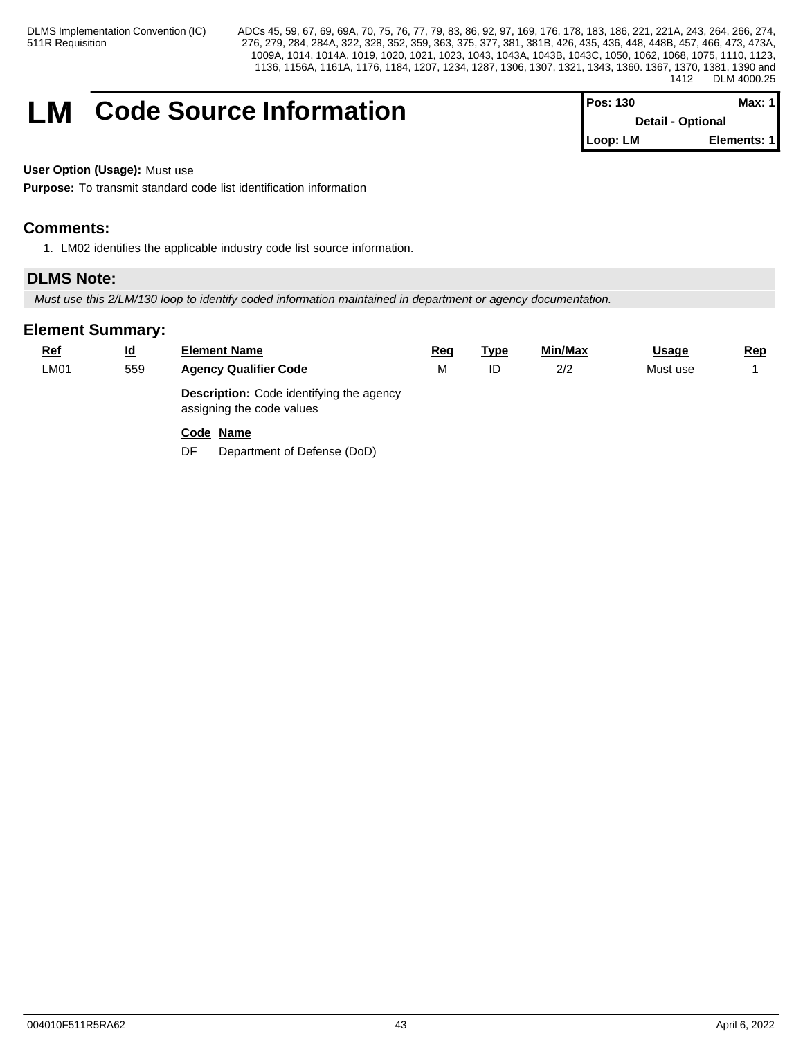# **LM** Code Source Information

| IPos: 130 | Max: 1 I                 |  |
|-----------|--------------------------|--|
|           | <b>Detail - Optional</b> |  |
| Loop: LM  | Elements: 1              |  |

**User Option (Usage):** Must use

**Purpose:** To transmit standard code list identification information

# **Comments:**

1. LM02 identifies the applicable industry code list source information.

# **DLMS Note:**

*Must use this 2/LM/130 loop to identify coded information maintained in department or agency documentation.*

| <u>Ref</u> | $\underline{\mathsf{Id}}$ | <b>Element Name</b>                                                          | <u>Req</u> | <u>Type</u> | Min/Max | <b>Usage</b> | <u>Rep</u> |
|------------|---------------------------|------------------------------------------------------------------------------|------------|-------------|---------|--------------|------------|
| LM01       | 559                       | <b>Agency Qualifier Code</b>                                                 | M          | ID          | 2/2     | Must use     |            |
|            |                           | <b>Description:</b> Code identifying the agency<br>assigning the code values |            |             |         |              |            |
|            |                           | Code Name<br>DF<br>Department of Defense (DoD)                               |            |             |         |              |            |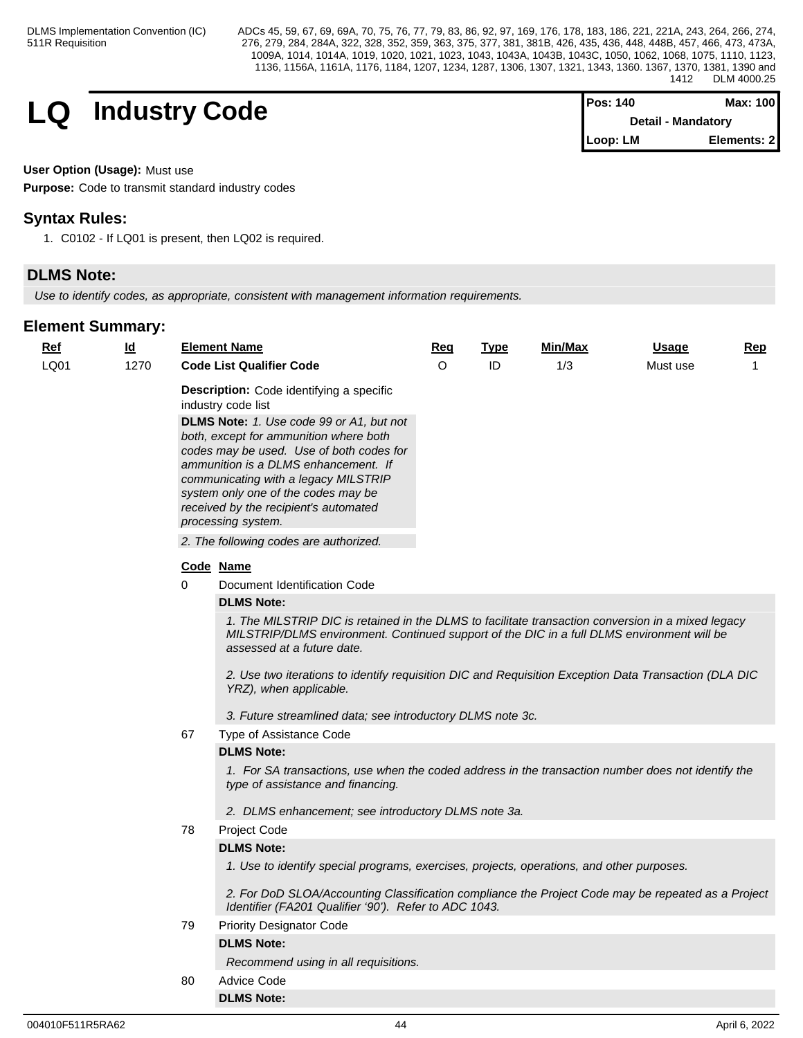**LQ** Industry Code

| <b>IPos: 140</b> | Max: 100           |
|------------------|--------------------|
|                  | Detail - Mandatory |
| Loop: LM         | Elements: 2        |

# **User Option (Usage):** Must use

**Purpose:** Code to transmit standard industry codes

# **Syntax Rules:**

1. C0102 - If LQ01 is present, then LQ02 is required.

# **DLMS Note:**

*Use to identify codes, as appropriate, consistent with management information requirements.*

| Ref  | <u>ld</u> |    | <b>Element Name</b>                                                                                                                                                                                                                                                                                                  | Req      | Type | Min/Max | <b>Usage</b> | Rep          |  |  |  |
|------|-----------|----|----------------------------------------------------------------------------------------------------------------------------------------------------------------------------------------------------------------------------------------------------------------------------------------------------------------------|----------|------|---------|--------------|--------------|--|--|--|
| LQ01 | 1270      |    | <b>Code List Qualifier Code</b>                                                                                                                                                                                                                                                                                      | $\Omega$ | ID   | 1/3     | Must use     | $\mathbf{1}$ |  |  |  |
|      |           |    | Description: Code identifying a specific<br>industry code list                                                                                                                                                                                                                                                       |          |      |         |              |              |  |  |  |
|      |           |    | DLMS Note: 1. Use code 99 or A1, but not<br>both, except for ammunition where both<br>codes may be used. Use of both codes for<br>ammunition is a DLMS enhancement. If<br>communicating with a legacy MILSTRIP<br>system only one of the codes may be<br>received by the recipient's automated<br>processing system. |          |      |         |              |              |  |  |  |
|      |           |    | 2. The following codes are authorized.                                                                                                                                                                                                                                                                               |          |      |         |              |              |  |  |  |
|      |           |    | Code Name                                                                                                                                                                                                                                                                                                            |          |      |         |              |              |  |  |  |
|      |           | 0  | Document Identification Code                                                                                                                                                                                                                                                                                         |          |      |         |              |              |  |  |  |
|      |           |    | <b>DLMS Note:</b>                                                                                                                                                                                                                                                                                                    |          |      |         |              |              |  |  |  |
|      |           |    | 1. The MILSTRIP DIC is retained in the DLMS to facilitate transaction conversion in a mixed legacy<br>MILSTRIP/DLMS environment. Continued support of the DIC in a full DLMS environment will be<br>assessed at a future date.                                                                                       |          |      |         |              |              |  |  |  |
|      |           |    | 2. Use two iterations to identify requisition DIC and Requisition Exception Data Transaction (DLA DIC<br>YRZ), when applicable.                                                                                                                                                                                      |          |      |         |              |              |  |  |  |
|      |           |    | 3. Future streamlined data; see introductory DLMS note 3c.                                                                                                                                                                                                                                                           |          |      |         |              |              |  |  |  |
|      |           | 67 | Type of Assistance Code                                                                                                                                                                                                                                                                                              |          |      |         |              |              |  |  |  |
|      |           |    | <b>DLMS Note:</b>                                                                                                                                                                                                                                                                                                    |          |      |         |              |              |  |  |  |
|      |           |    | 1. For SA transactions, use when the coded address in the transaction number does not identify the<br>type of assistance and financing.                                                                                                                                                                              |          |      |         |              |              |  |  |  |
|      |           |    | 2. DLMS enhancement; see introductory DLMS note 3a.                                                                                                                                                                                                                                                                  |          |      |         |              |              |  |  |  |
|      |           | 78 | Project Code                                                                                                                                                                                                                                                                                                         |          |      |         |              |              |  |  |  |
|      |           |    | <b>DLMS Note:</b>                                                                                                                                                                                                                                                                                                    |          |      |         |              |              |  |  |  |
|      |           |    | 1. Use to identify special programs, exercises, projects, operations, and other purposes.                                                                                                                                                                                                                            |          |      |         |              |              |  |  |  |
|      |           |    | 2. For DoD SLOA/Accounting Classification compliance the Project Code may be repeated as a Project<br>Identifier (FA201 Qualifier '90'). Refer to ADC 1043.                                                                                                                                                          |          |      |         |              |              |  |  |  |
|      |           | 79 | <b>Priority Designator Code</b>                                                                                                                                                                                                                                                                                      |          |      |         |              |              |  |  |  |
|      |           |    | <b>DLMS Note:</b>                                                                                                                                                                                                                                                                                                    |          |      |         |              |              |  |  |  |
|      |           |    | Recommend using in all requisitions.                                                                                                                                                                                                                                                                                 |          |      |         |              |              |  |  |  |
|      |           | 80 | <b>Advice Code</b>                                                                                                                                                                                                                                                                                                   |          |      |         |              |              |  |  |  |
|      |           |    | <b>DLMS Note:</b>                                                                                                                                                                                                                                                                                                    |          |      |         |              |              |  |  |  |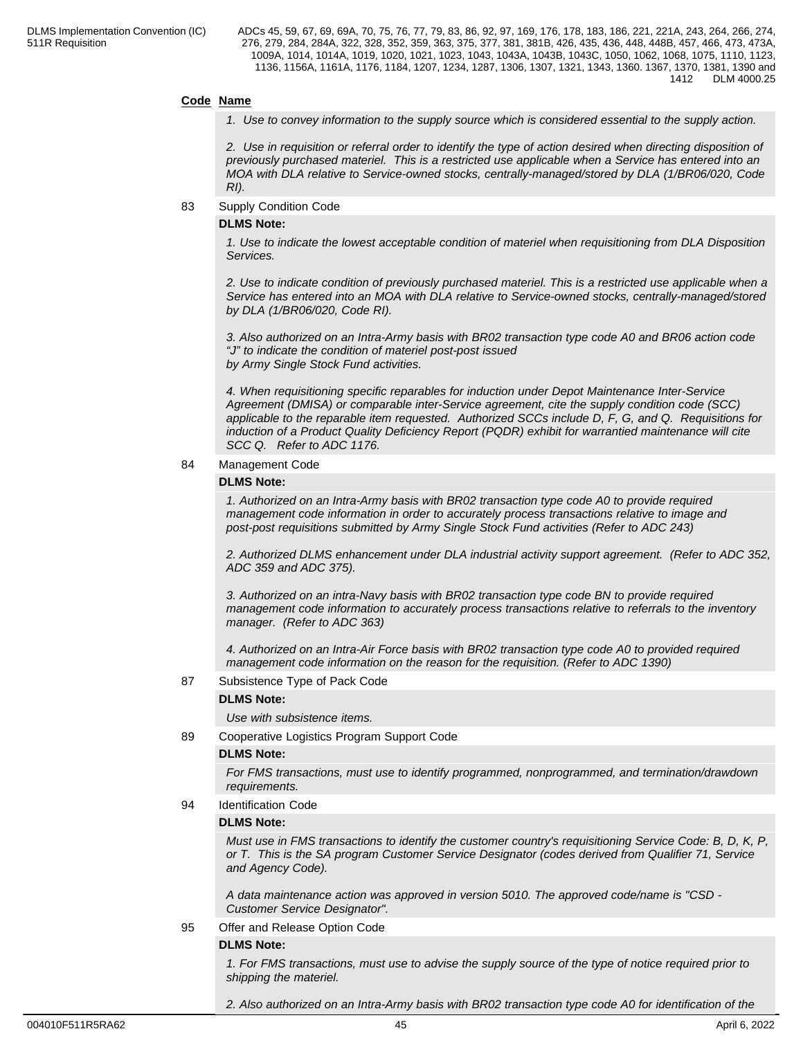# **Code Name**

*1. Use to convey information to the supply source which is considered essential to the supply action.*

*2. Use in requisition or referral order to identify the type of action desired when directing disposition of previously purchased materiel. This is a restricted use applicable when a Service has entered into an MOA with DLA relative to Service-owned stocks, centrally-managed/stored by DLA (1/BR06/020, Code RI).* 

83 Supply Condition Code

#### **DLMS Note:**

*1. Use to indicate the lowest acceptable condition of materiel when requisitioning from DLA Disposition Services.*

*2. Use to indicate condition of previously purchased materiel. This is a restricted use applicable when a Service has entered into an MOA with DLA relative to Service-owned stocks, centrally-managed/stored by DLA (1/BR06/020, Code RI).*

*3. Also authorized on an Intra-Army basis with BR02 transaction type code A0 and BR06 action code "J" to indicate the condition of materiel post-post issued by Army Single Stock Fund activities.*

*4. When requisitioning specific reparables for induction under Depot Maintenance Inter-Service Agreement (DMISA) or comparable inter-Service agreement, cite the supply condition code (SCC) applicable to the reparable item requested. Authorized SCCs include D, F, G, and Q. Requisitions for induction of a Product Quality Deficiency Report (PQDR) exhibit for warrantied maintenance will cite SCC Q. Refer to ADC 1176.*

84 Management Code

# **DLMS Note:**

*1. Authorized on an Intra-Army basis with BR02 transaction type code A0 to provide required management code information in order to accurately process transactions relative to image and post-post requisitions submitted by Army Single Stock Fund activities (Refer to ADC 243)*

*2. Authorized DLMS enhancement under DLA industrial activity support agreement. (Refer to ADC 352, ADC 359 and ADC 375).*

*3. Authorized on an intra-Navy basis with BR02 transaction type code BN to provide required management code information to accurately process transactions relative to referrals to the inventory manager. (Refer to ADC 363)*

*4. Authorized on an Intra-Air Force basis with BR02 transaction type code A0 to provided required management code information on the reason for the requisition. (Refer to ADC 1390)*

### 87 Subsistence Type of Pack Code

### **DLMS Note:**

*Use with subsistence items.*

89 Cooperative Logistics Program Support Code

### **DLMS Note:**

*For FMS transactions, must use to identify programmed, nonprogrammed, and termination/drawdown requirements.*

94 Identification Code

#### **DLMS Note:**

*Must use in FMS transactions to identify the customer country's requisitioning Service Code: B, D, K, P, or T. This is the SA program Customer Service Designator (codes derived from Qualifier 71, Service and Agency Code).*

*A data maintenance action was approved in version 5010. The approved code/name is "CSD - Customer Service Designator".*

# 95 Offer and Release Option Code

# **DLMS Note:**

*1. For FMS transactions, must use to advise the supply source of the type of notice required prior to shipping the materiel.*

*2. Also authorized on an Intra-Army basis with BR02 transaction type code A0 for identification of the*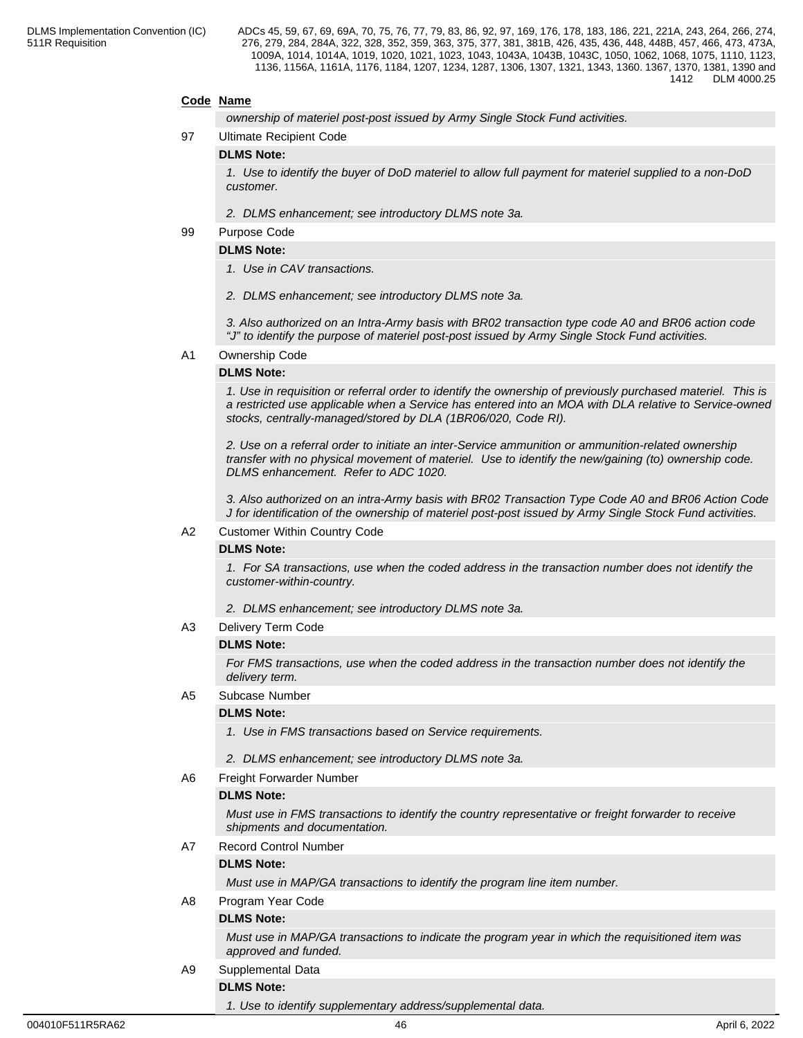# **Code Name**

*ownership of materiel post-post issued by Army Single Stock Fund activities.*

97 Ultimate Recipient Code

#### **DLMS Note:**

*1. Use to identify the buyer of DoD materiel to allow full payment for materiel supplied to a non-DoD customer.*

*2. DLMS enhancement; see introductory DLMS note 3a.*

#### 99 Purpose Code

# **DLMS Note:**

- *1. Use in CAV transactions.*
- *2. DLMS enhancement; see introductory DLMS note 3a.*

*3. Also authorized on an Intra-Army basis with BR02 transaction type code A0 and BR06 action code "J" to identify the purpose of materiel post-post issued by Army Single Stock Fund activities.*

#### A1 Ownership Code

### **DLMS Note:**

*1. Use in requisition or referral order to identify the ownership of previously purchased materiel. This is a restricted use applicable when a Service has entered into an MOA with DLA relative to Service-owned stocks, centrally-managed/stored by DLA (1BR06/020, Code RI).*

*2. Use on a referral order to initiate an inter-Service ammunition or ammunition-related ownership transfer with no physical movement of materiel. Use to identify the new/gaining (to) ownership code. DLMS enhancement. Refer to ADC 1020.*

*3. Also authorized on an intra-Army basis with BR02 Transaction Type Code A0 and BR06 Action Code J for identification of the ownership of materiel post-post issued by Army Single Stock Fund activities.*

#### A2 Customer Within Country Code

#### **DLMS Note:**

*1. For SA transactions, use when the coded address in the transaction number does not identify the customer-within-country.*

*2. DLMS enhancement; see introductory DLMS note 3a.*

A3 Delivery Term Code

### **DLMS Note:**

*For FMS transactions, use when the coded address in the transaction number does not identify the delivery term.*

A5 Subcase Number

### **DLMS Note:**

- *1. Use in FMS transactions based on Service requirements.*
- *2. DLMS enhancement; see introductory DLMS note 3a.*
- A6 Freight Forwarder Number

#### **DLMS Note:**

*Must use in FMS transactions to identify the country representative or freight forwarder to receive shipments and documentation.*

# A7 Record Control Number

### **DLMS Note:**

*Must use in MAP/GA transactions to identify the program line item number.*

### A8 Program Year Code

# **DLMS Note:**

*Must use in MAP/GA transactions to indicate the program year in which the requisitioned item was approved and funded.*

A9 Supplemental Data

# **DLMS Note:**

*1. Use to identify supplementary address/supplemental data.*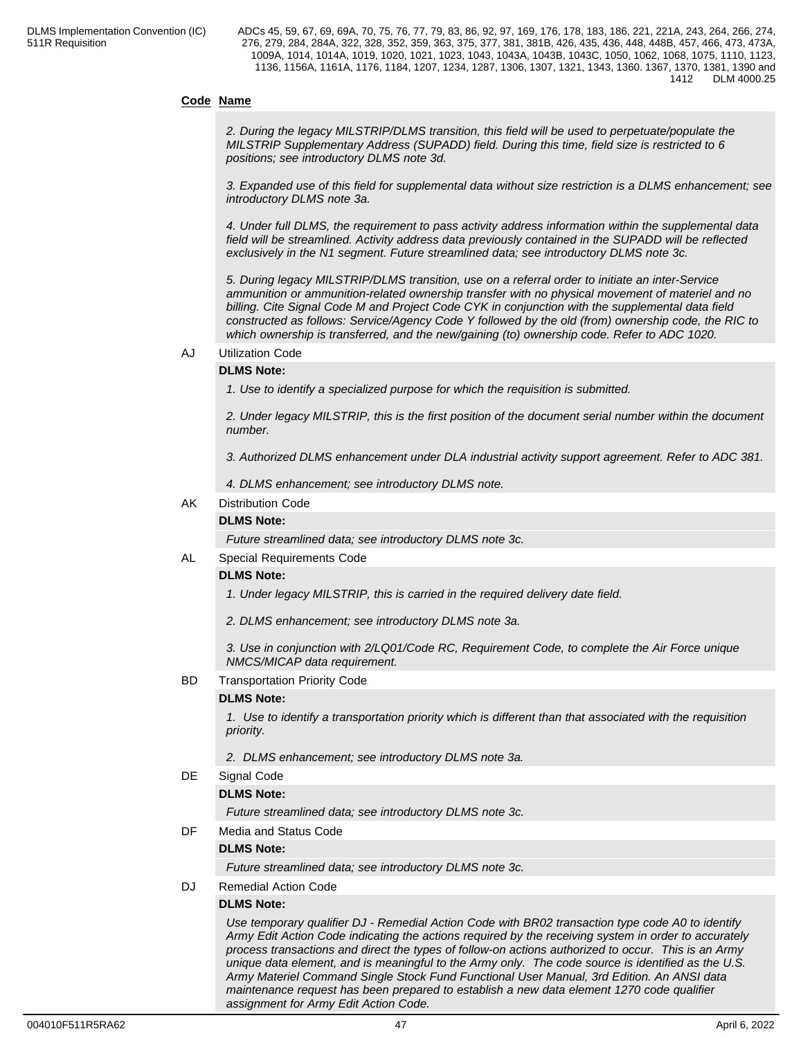# **Code Name**

*2. During the legacy MILSTRIP/DLMS transition, this field will be used to perpetuate/populate the MILSTRIP Supplementary Address (SUPADD) field. During this time, field size is restricted to 6 positions; see introductory DLMS note 3d.*

*3. Expanded use of this field for supplemental data without size restriction is a DLMS enhancement; see introductory DLMS note 3a.*

*4. Under full DLMS, the requirement to pass activity address information within the supplemental data field will be streamlined. Activity address data previously contained in the SUPADD will be reflected exclusively in the N1 segment. Future streamlined data; see introductory DLMS note 3c.*

*5. During legacy MILSTRIP/DLMS transition, use on a referral order to initiate an inter-Service ammunition or ammunition-related ownership transfer with no physical movement of materiel and no billing. Cite Signal Code M and Project Code CYK in conjunction with the supplemental data field constructed as follows: Service/Agency Code Y followed by the old (from) ownership code, the RIC to which ownership is transferred, and the new/gaining (to) ownership code. Refer to ADC 1020.*

#### AJ Utilization Code

# **DLMS Note:**

*1. Use to identify a specialized purpose for which the requisition is submitted.*

*2. Under legacy MILSTRIP, this is the first position of the document serial number within the document number.*

*3. Authorized DLMS enhancement under DLA industrial activity support agreement. Refer to ADC 381.*

*4. DLMS enhancement; see introductory DLMS note.*

# AK Distribution Code

# **DLMS Note:**

*Future streamlined data; see introductory DLMS note 3c.*

### AL Special Requirements Code

### **DLMS Note:**

*1. Under legacy MILSTRIP, this is carried in the required delivery date field.*

*2. DLMS enhancement; see introductory DLMS note 3a.*

*3. Use in conjunction with 2/LQ01/Code RC, Requirement Code, to complete the Air Force unique NMCS/MICAP data requirement.*

### BD Transportation Priority Code

### **DLMS Note:**

*1. Use to identify a transportation priority which is different than that associated with the requisition priority.*

*2. DLMS enhancement; see introductory DLMS note 3a.*

### DE Signal Code

### **DLMS Note:**

*Future streamlined data; see introductory DLMS note 3c.*

DF Media and Status Code

### **DLMS Note:**

*Future streamlined data; see introductory DLMS note 3c.*

DJ Remedial Action Code

### **DLMS Note:**

*Use temporary qualifier DJ - Remedial Action Code with BR02 transaction type code A0 to identify Army Edit Action Code indicating the actions required by the receiving system in order to accurately process transactions and direct the types of follow-on actions authorized to occur. This is an Army unique data element, and is meaningful to the Army only. The code source is identified as the U.S. Army Materiel Command Single Stock Fund Functional User Manual, 3rd Edition. An ANSI data maintenance request has been prepared to establish a new data element 1270 code qualifier assignment for Army Edit Action Code.*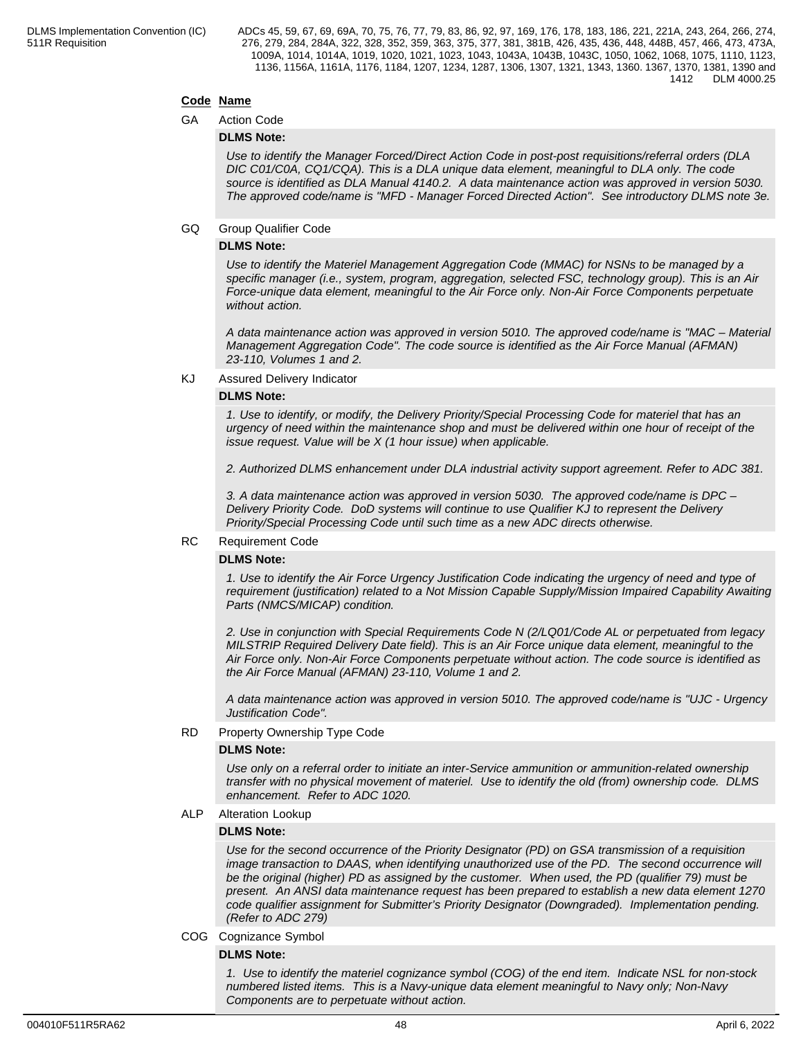# **Code Name**

GA Action Code

# **DLMS Note:**

*Use to identify the Manager Forced/Direct Action Code in post-post requisitions/referral orders (DLA DIC C01/C0A, CQ1/CQA). This is a DLA unique data element, meaningful to DLA only. The code source is identified as DLA Manual 4140.2. A data maintenance action was approved in version 5030. The approved code/name is "MFD - Manager Forced Directed Action". See introductory DLMS note 3e.*

### GQ Group Qualifier Code

# **DLMS Note:**

*Use to identify the Materiel Management Aggregation Code (MMAC) for NSNs to be managed by a specific manager (i.e., system, program, aggregation, selected FSC, technology group). This is an Air Force-unique data element, meaningful to the Air Force only. Non-Air Force Components perpetuate without action.*

*A data maintenance action was approved in version 5010. The approved code/name is "MAC – Material Management Aggregation Code". The code source is identified as the Air Force Manual (AFMAN) 23-110, Volumes 1 and 2.*

KJ Assured Delivery Indicator

### **DLMS Note:**

*1. Use to identify, or modify, the Delivery Priority/Special Processing Code for materiel that has an urgency of need within the maintenance shop and must be delivered within one hour of receipt of the issue request. Value will be X (1 hour issue) when applicable.*

*2. Authorized DLMS enhancement under DLA industrial activity support agreement. Refer to ADC 381.*

*3. A data maintenance action was approved in version 5030. The approved code/name is DPC – Delivery Priority Code. DoD systems will continue to use Qualifier KJ to represent the Delivery Priority/Special Processing Code until such time as a new ADC directs otherwise.*

# RC Requirement Code

### **DLMS Note:**

*1. Use to identify the Air Force Urgency Justification Code indicating the urgency of need and type of requirement (justification) related to a Not Mission Capable Supply/Mission Impaired Capability Awaiting Parts (NMCS/MICAP) condition.*

*2. Use in conjunction with Special Requirements Code N (2/LQ01/Code AL or perpetuated from legacy MILSTRIP Required Delivery Date field). This is an Air Force unique data element, meaningful to the Air Force only. Non-Air Force Components perpetuate without action. The code source is identified as the Air Force Manual (AFMAN) 23-110, Volume 1 and 2.*

*A data maintenance action was approved in version 5010. The approved code/name is "UJC - Urgency Justification Code".*

### RD Property Ownership Type Code

### **DLMS Note:**

*Use only on a referral order to initiate an inter-Service ammunition or ammunition-related ownership transfer with no physical movement of materiel. Use to identify the old (from) ownership code. DLMS enhancement. Refer to ADC 1020.*

ALP Alteration Lookup

### **DLMS Note:**

*Use for the second occurrence of the Priority Designator (PD) on GSA transmission of a requisition image transaction to DAAS, when identifying unauthorized use of the PD. The second occurrence will be the original (higher) PD as assigned by the customer. When used, the PD (qualifier 79) must be present. An ANSI data maintenance request has been prepared to establish a new data element 1270 code qualifier assignment for Submitter's Priority Designator (Downgraded). Implementation pending. (Refer to ADC 279)*

### COG Cognizance Symbol

#### **DLMS Note:**

*1. Use to identify the materiel cognizance symbol (COG) of the end item. Indicate NSL for non-stock numbered listed items. This is a Navy-unique data element meaningful to Navy only; Non-Navy Components are to perpetuate without action.*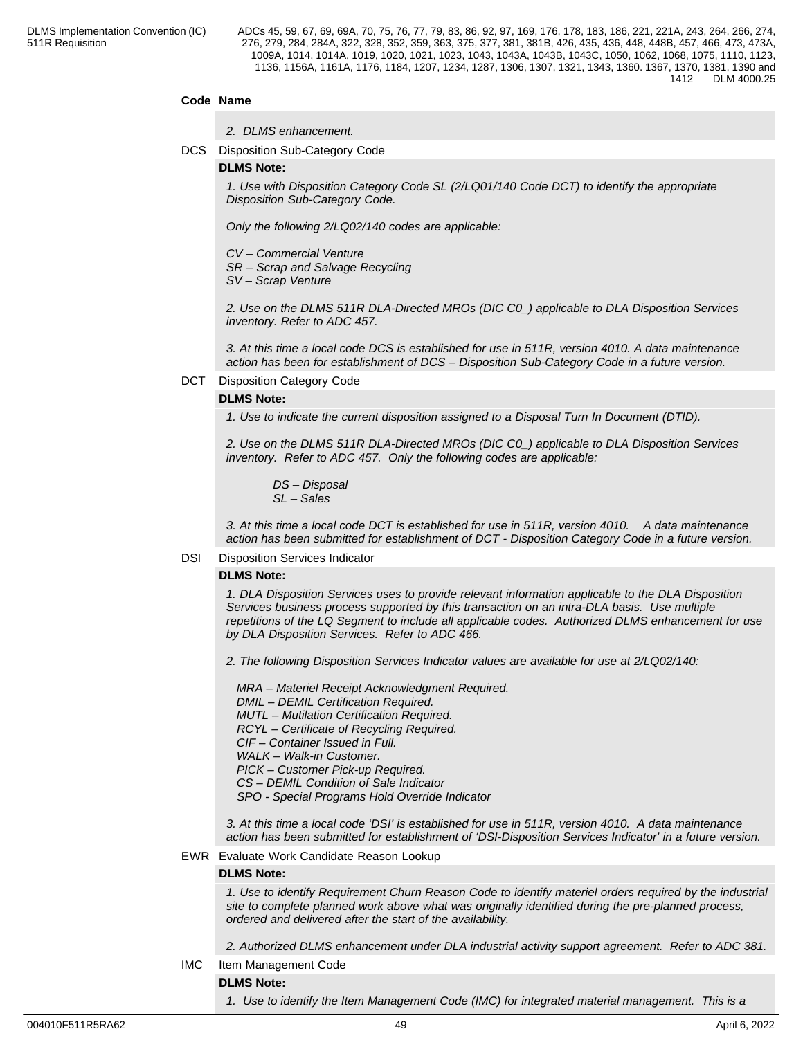# **Code Name**

|  | 2. DLMS enhancement. |
|--|----------------------|
|--|----------------------|

DCS Disposition Sub-Category Code

#### **DLMS Note:**

*1. Use with Disposition Category Code SL (2/LQ01/140 Code DCT) to identify the appropriate Disposition Sub-Category Code.*

*Only the following 2/LQ02/140 codes are applicable:*

*CV – Commercial Venture*

*SR – Scrap and Salvage Recycling*

*SV – Scrap Venture*

*2. Use on the DLMS 511R DLA-Directed MROs (DIC C0\_) applicable to DLA Disposition Services inventory. Refer to ADC 457.*

*3. At this time a local code DCS is established for use in 511R, version 4010. A data maintenance action has been for establishment of DCS – Disposition Sub-Category Code in a future version.*

#### DCT Disposition Category Code

#### **DLMS Note:**

*1. Use to indicate the current disposition assigned to a Disposal Turn In Document (DTID).*

*2. Use on the DLMS 511R DLA-Directed MROs (DIC C0\_) applicable to DLA Disposition Services inventory. Refer to ADC 457. Only the following codes are applicable:*

 *DS – Disposal SL – Sales*

*3. At this time a local code DCT is established for use in 511R, version 4010. A data maintenance action has been submitted for establishment of DCT - Disposition Category Code in a future version.*

#### DSI Disposition Services Indicator

### **DLMS Note:**

*1. DLA Disposition Services uses to provide relevant information applicable to the DLA Disposition Services business process supported by this transaction on an intra-DLA basis. Use multiple repetitions of the LQ Segment to include all applicable codes. Authorized DLMS enhancement for use by DLA Disposition Services. Refer to ADC 466.*

*2. The following Disposition Services Indicator values are available for use at 2/LQ02/140:*

 *MRA – Materiel Receipt Acknowledgment Required. DMIL – DEMIL Certification Required. MUTL – Mutilation Certification Required. RCYL – Certificate of Recycling Required. CIF – Container Issued in Full. WALK – Walk-in Customer. PICK – Customer Pick-up Required. CS – DEMIL Condition of Sale Indicator SPO - Special Programs Hold Override Indicator*

*3. At this time a local code 'DSI' is established for use in 511R, version 4010. A data maintenance action has been submitted for establishment of 'DSI-Disposition Services Indicator' in a future version.*

#### EWR Evaluate Work Candidate Reason Lookup

#### **DLMS Note:**

*1. Use to identify Requirement Churn Reason Code to identify materiel orders required by the industrial site to complete planned work above what was originally identified during the pre-planned process, ordered and delivered after the start of the availability.* 

*2. Authorized DLMS enhancement under DLA industrial activity support agreement. Refer to ADC 381.*

IMC Item Management Code

**DLMS Note:**

*1. Use to identify the Item Management Code (IMC) for integrated material management. This is a*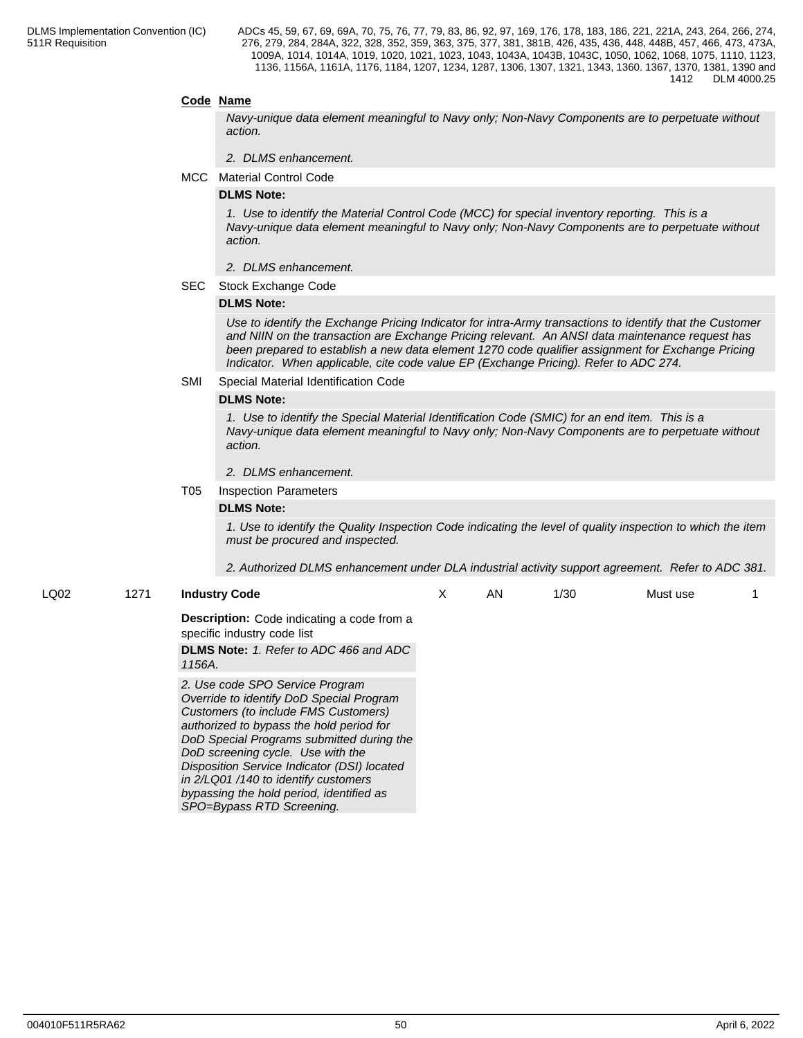# **Code Name**

*Navy-unique data element meaningful to Navy only; Non-Navy Components are to perpetuate without action.*

- *2. DLMS enhancement.*
- MCC Material Control Code

#### **DLMS Note:**

*1. Use to identify the Material Control Code (MCC) for special inventory reporting. This is a Navy-unique data element meaningful to Navy only; Non-Navy Components are to perpetuate without action.*

- *2. DLMS enhancement.*
- SEC Stock Exchange Code

#### **DLMS Note:**

*Use to identify the Exchange Pricing Indicator for intra-Army transactions to identify that the Customer and NIIN on the transaction are Exchange Pricing relevant. An ANSI data maintenance request has been prepared to establish a new data element 1270 code qualifier assignment for Exchange Pricing Indicator. When applicable, cite code value EP (Exchange Pricing). Refer to ADC 274.*

#### SMI Special Material Identification Code

#### **DLMS Note:**

*1. Use to identify the Special Material Identification Code (SMIC) for an end item. This is a Navy-unique data element meaningful to Navy only; Non-Navy Components are to perpetuate without action.*

#### *2. DLMS enhancement.*

# T05 Inspection Parameters

#### **DLMS Note:**

*1. Use to identify the Quality Inspection Code indicating the level of quality inspection to which the item must be procured and inspected.*

*2. Authorized DLMS enhancement under DLA industrial activity support agreement. Refer to ADC 381.*

### LQ02 1271 **Industry Code**

X AN 1/30 Must use 1

**Description:** Code indicating a code from a specific industry code list

**DLMS Note:** *1. Refer to ADC 466 and ADC 1156A.*

*2. Use code SPO Service Program Override to identify DoD Special Program Customers (to include FMS Customers) authorized to bypass the hold period for DoD Special Programs submitted during the DoD screening cycle. Use with the Disposition Service Indicator (DSI) located in 2/LQ01 /140 to identify customers bypassing the hold period, identified as SPO=Bypass RTD Screening.*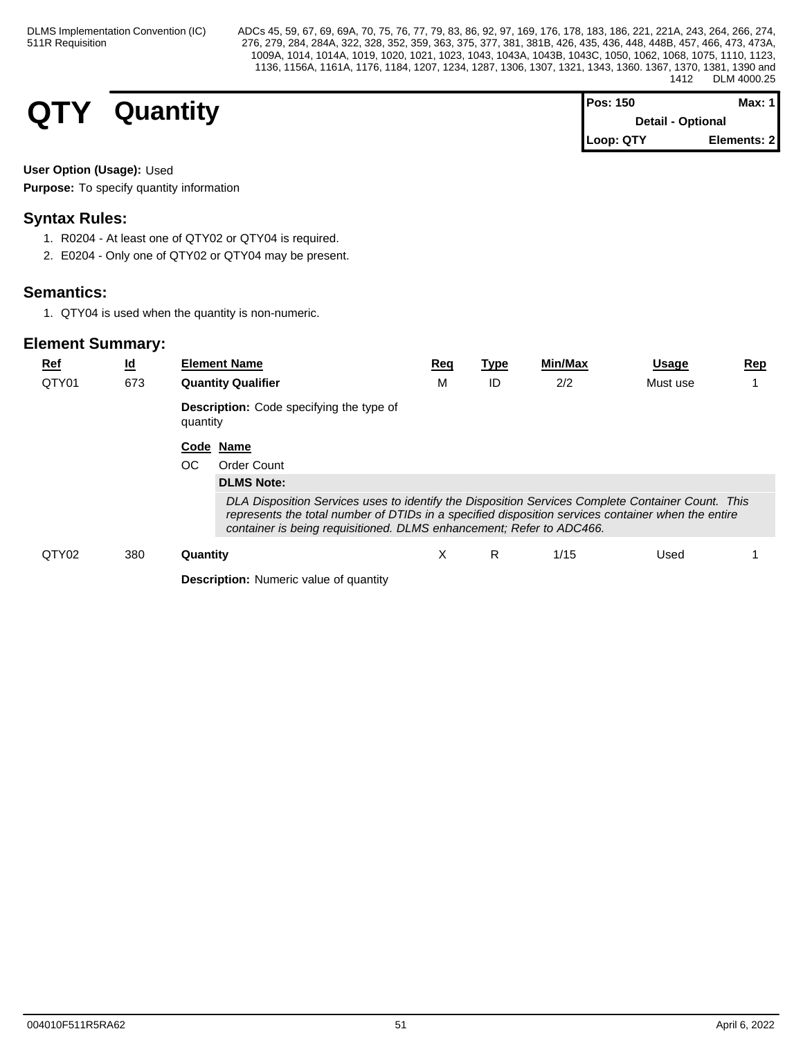# **QTY** Quantity

| $Pos: 150$               | Max: $1$    |  |
|--------------------------|-------------|--|
| <b>Detail - Optional</b> |             |  |
| Loop: QTY                | Elements: 2 |  |

# **User Option (Usage):** Used

**Purpose:** To specify quantity information

# **Syntax Rules:**

- 1. R0204 At least one of QTY02 or QTY04 is required.
- 2. E0204 Only one of QTY02 or QTY04 may be present.

# **Semantics:**

1. QTY04 is used when the quantity is non-numeric.

| <u>Ref</u><br>QTY01 | $\underline{\mathsf{Id}}$<br>673 | <b>Element Name</b><br><b>Quantity Qualifier</b>                                                                                                                                                                                                                                | <u>Req</u><br>М | <b>Type</b><br>ID | Min/Max<br>2/2 | <u>Usage</u><br>Must use | <u>Rep</u> |
|---------------------|----------------------------------|---------------------------------------------------------------------------------------------------------------------------------------------------------------------------------------------------------------------------------------------------------------------------------|-----------------|-------------------|----------------|--------------------------|------------|
|                     |                                  | <b>Description:</b> Code specifying the type of<br>quantity                                                                                                                                                                                                                     |                 |                   |                |                          |            |
|                     |                                  | Code Name                                                                                                                                                                                                                                                                       |                 |                   |                |                          |            |
|                     |                                  | OC<br><b>Order Count</b>                                                                                                                                                                                                                                                        |                 |                   |                |                          |            |
|                     |                                  | <b>DLMS Note:</b>                                                                                                                                                                                                                                                               |                 |                   |                |                          |            |
|                     |                                  | DLA Disposition Services uses to identify the Disposition Services Complete Container Count. This<br>represents the total number of DTIDs in a specified disposition services container when the entire<br>container is being requisitioned. DLMS enhancement; Refer to ADC466. |                 |                   |                |                          |            |
| QTY02               | 380                              | Quantity                                                                                                                                                                                                                                                                        | Х               | R.                | 1/15           | Used                     |            |
|                     |                                  | <b>Description:</b> Numeric value of quantity                                                                                                                                                                                                                                   |                 |                   |                |                          |            |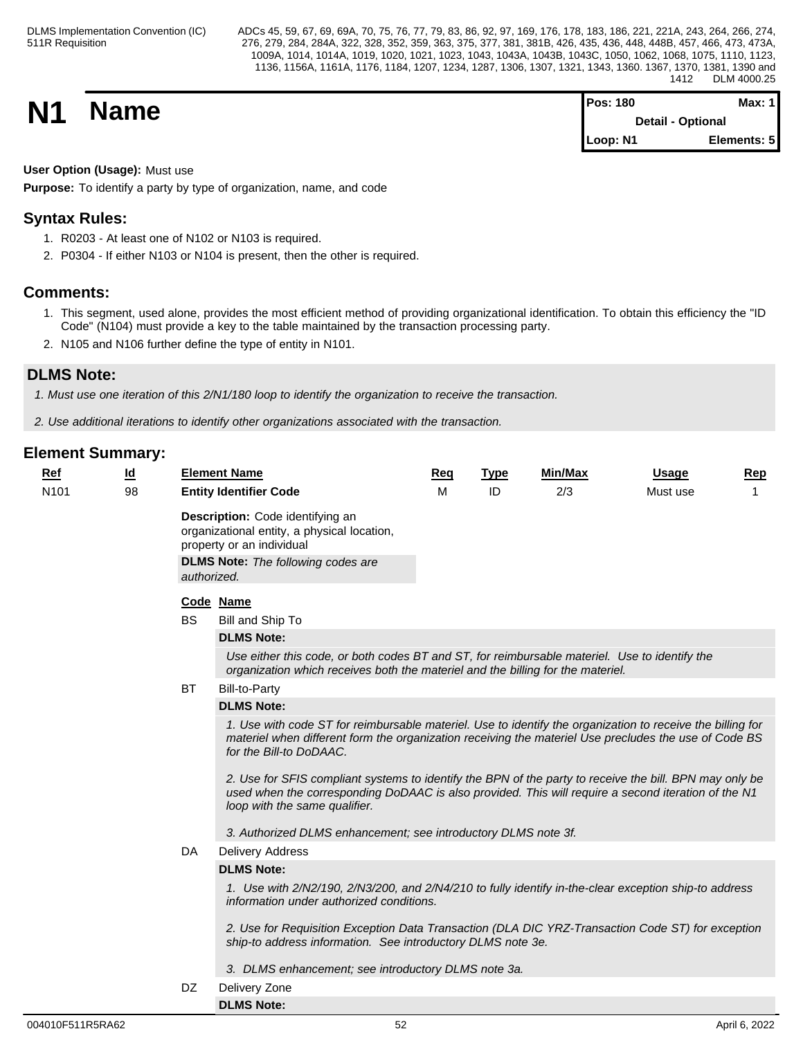**N1 Name Magnetic Max:** 1 **Magnetic Max:** 1 **Max:** 1 **Detail - Optional Loop: N1 Elements: 5**

# **User Option (Usage):** Must use

**Purpose:** To identify a party by type of organization, name, and code

# **Syntax Rules:**

- 1. R0203 At least one of N102 or N103 is required.
- 2. P0304 If either N103 or N104 is present, then the other is required.

# **Comments:**

- 1. This segment, used alone, provides the most efficient method of providing organizational identification. To obtain this efficiency the "ID Code" (N104) must provide a key to the table maintained by the transaction processing party.
- 2. N105 and N106 further define the type of entity in N101.

# **DLMS Note:**

*1. Must use one iteration of this 2/N1/180 loop to identify the organization to receive the transaction.*

*2. Use additional iterations to identify other organizations associated with the transaction.*

# **Element Summary:**

| $Ref$            | <u>ld</u> |           | <b>Element Name</b>                                                                                                                                                                                                                                                                                                                                                                                                                                              | <b>Req</b> | <b>Type</b> | Min/Max | <b>Usage</b> | Rep |  |  |  |  |
|------------------|-----------|-----------|------------------------------------------------------------------------------------------------------------------------------------------------------------------------------------------------------------------------------------------------------------------------------------------------------------------------------------------------------------------------------------------------------------------------------------------------------------------|------------|-------------|---------|--------------|-----|--|--|--|--|
| N <sub>101</sub> | 98        |           | <b>Entity Identifier Code</b>                                                                                                                                                                                                                                                                                                                                                                                                                                    | м          | ID          | 2/3     | Must use     |     |  |  |  |  |
|                  |           |           | Description: Code identifying an<br>organizational entity, a physical location,<br>property or an individual<br><b>DLMS Note:</b> The following codes are<br>authorized.                                                                                                                                                                                                                                                                                         |            |             |         |              |     |  |  |  |  |
|                  |           |           | Code Name                                                                                                                                                                                                                                                                                                                                                                                                                                                        |            |             |         |              |     |  |  |  |  |
|                  |           | <b>BS</b> | Bill and Ship To                                                                                                                                                                                                                                                                                                                                                                                                                                                 |            |             |         |              |     |  |  |  |  |
|                  |           |           | <b>DLMS Note:</b>                                                                                                                                                                                                                                                                                                                                                                                                                                                |            |             |         |              |     |  |  |  |  |
|                  |           |           | Use either this code, or both codes BT and ST, for reimbursable materiel. Use to identify the<br>organization which receives both the materiel and the billing for the materiel.                                                                                                                                                                                                                                                                                 |            |             |         |              |     |  |  |  |  |
|                  |           | BT        | <b>Bill-to-Party</b>                                                                                                                                                                                                                                                                                                                                                                                                                                             |            |             |         |              |     |  |  |  |  |
|                  |           |           | <b>DLMS Note:</b>                                                                                                                                                                                                                                                                                                                                                                                                                                                |            |             |         |              |     |  |  |  |  |
|                  |           |           | 1. Use with code ST for reimbursable materiel. Use to identify the organization to receive the billing for<br>materiel when different form the organization receiving the materiel Use precludes the use of Code BS<br>for the Bill-to DoDAAC.<br>2. Use for SFIS compliant systems to identify the BPN of the party to receive the bill. BPN may only be<br>used when the corresponding DoDAAC is also provided. This will require a second iteration of the N1 |            |             |         |              |     |  |  |  |  |
|                  |           |           | loop with the same qualifier.                                                                                                                                                                                                                                                                                                                                                                                                                                    |            |             |         |              |     |  |  |  |  |
|                  |           |           | 3. Authorized DLMS enhancement; see introductory DLMS note 3f.                                                                                                                                                                                                                                                                                                                                                                                                   |            |             |         |              |     |  |  |  |  |
|                  |           | DA        | <b>Delivery Address</b>                                                                                                                                                                                                                                                                                                                                                                                                                                          |            |             |         |              |     |  |  |  |  |
|                  |           |           | <b>DLMS Note:</b>                                                                                                                                                                                                                                                                                                                                                                                                                                                |            |             |         |              |     |  |  |  |  |
|                  |           |           | 1. Use with 2/N2/190, 2/N3/200, and 2/N4/210 to fully identify in-the-clear exception ship-to address<br>information under authorized conditions.                                                                                                                                                                                                                                                                                                                |            |             |         |              |     |  |  |  |  |
|                  |           |           | 2. Use for Requisition Exception Data Transaction (DLA DIC YRZ-Transaction Code ST) for exception<br>ship-to address information. See introductory DLMS note 3e.                                                                                                                                                                                                                                                                                                 |            |             |         |              |     |  |  |  |  |
|                  |           |           | 3. DLMS enhancement; see introductory DLMS note 3a.                                                                                                                                                                                                                                                                                                                                                                                                              |            |             |         |              |     |  |  |  |  |

DZ Delivery Zone

**DLMS Note:**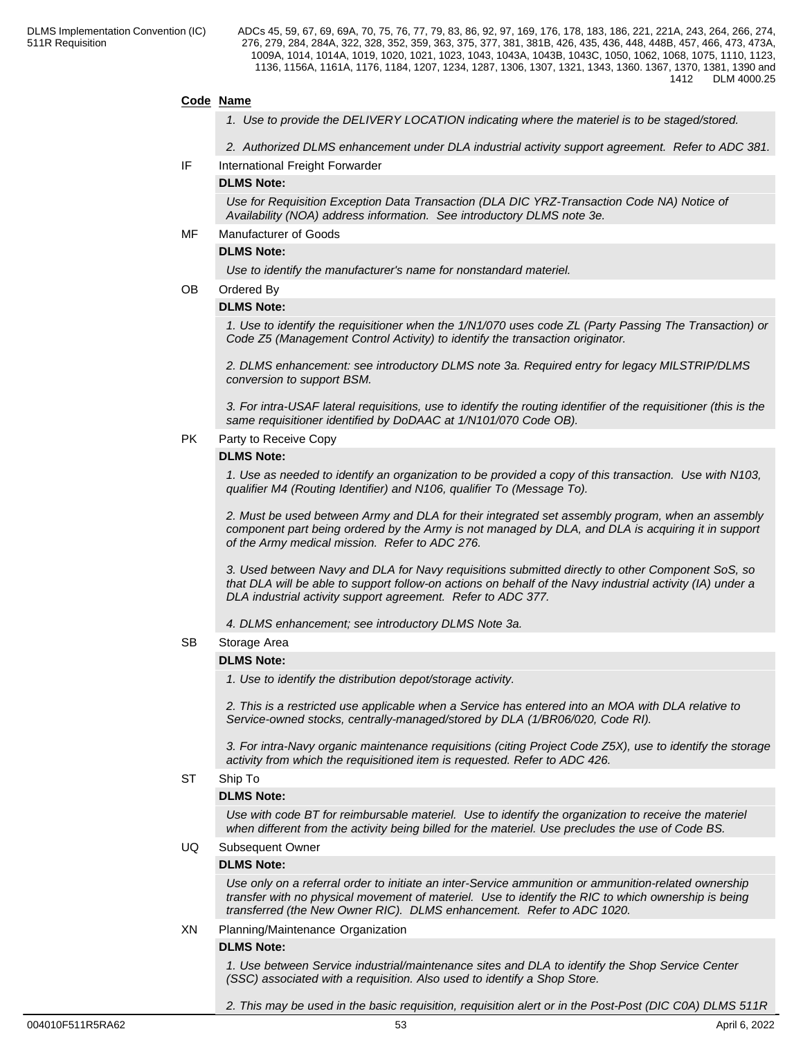### **Code Name**

- *1. Use to provide the DELIVERY LOCATION indicating where the materiel is to be staged/stored.*
- *2. Authorized DLMS enhancement under DLA industrial activity support agreement. Refer to ADC 381.*
- IF International Freight Forwarder

#### **DLMS Note:**

*Use for Requisition Exception Data Transaction (DLA DIC YRZ-Transaction Code NA) Notice of Availability (NOA) address information. See introductory DLMS note 3e.*

#### MF Manufacturer of Goods

#### **DLMS Note:**

*Use to identify the manufacturer's name for nonstandard materiel.*

#### OB Ordered By

#### **DLMS Note:**

*1. Use to identify the requisitioner when the 1/N1/070 uses code ZL (Party Passing The Transaction) or Code Z5 (Management Control Activity) to identify the transaction originator.*

*2. DLMS enhancement: see introductory DLMS note 3a. Required entry for legacy MILSTRIP/DLMS conversion to support BSM.*

*3. For intra-USAF lateral requisitions, use to identify the routing identifier of the requisitioner (this is the same requisitioner identified by DoDAAC at 1/N101/070 Code OB).*

#### PK Party to Receive Copy

#### **DLMS Note:**

*1. Use as needed to identify an organization to be provided a copy of this transaction. Use with N103, qualifier M4 (Routing Identifier) and N106, qualifier To (Message To).*

*2. Must be used between Army and DLA for their integrated set assembly program, when an assembly component part being ordered by the Army is not managed by DLA, and DLA is acquiring it in support of the Army medical mission. Refer to ADC 276.*

*3. Used between Navy and DLA for Navy requisitions submitted directly to other Component SoS, so that DLA will be able to support follow-on actions on behalf of the Navy industrial activity (IA) under a DLA industrial activity support agreement. Refer to ADC 377.*

*4. DLMS enhancement; see introductory DLMS Note 3a.*

#### SB Storage Area

### **DLMS Note:**

*1. Use to identify the distribution depot/storage activity.*

*2. This is a restricted use applicable when a Service has entered into an MOA with DLA relative to Service-owned stocks, centrally-managed/stored by DLA (1/BR06/020, Code RI).*

*3. For intra-Navy organic maintenance requisitions (citing Project Code Z5X), use to identify the storage activity from which the requisitioned item is requested. Refer to ADC 426.*

#### ST Ship To

#### **DLMS Note:**

*Use with code BT for reimbursable materiel. Use to identify the organization to receive the materiel when different from the activity being billed for the materiel. Use precludes the use of Code BS.*

#### UQ Subsequent Owner

#### **DLMS Note:**

*Use only on a referral order to initiate an inter-Service ammunition or ammunition-related ownership transfer with no physical movement of materiel. Use to identify the RIC to which ownership is being transferred (the New Owner RIC). DLMS enhancement. Refer to ADC 1020.*

#### XN Planning/Maintenance Organization

#### **DLMS Note:**

*1. Use between Service industrial/maintenance sites and DLA to identify the Shop Service Center (SSC) associated with a requisition. Also used to identify a Shop Store.*

*2. This may be used in the basic requisition, requisition alert or in the Post-Post (DIC C0A) DLMS 511R*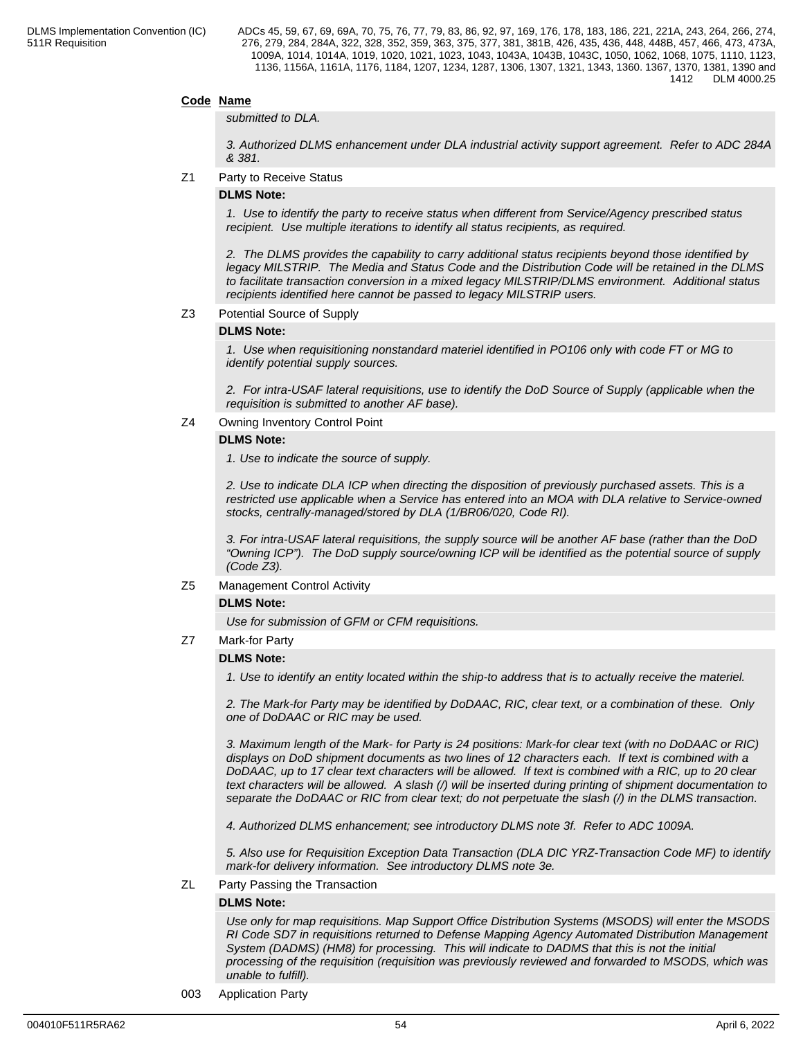# **Code Name**

#### *submitted to DLA.*

*3. Authorized DLMS enhancement under DLA industrial activity support agreement. Refer to ADC 284A & 381.*

Z1 Party to Receive Status

# **DLMS Note:**

*1. Use to identify the party to receive status when different from Service/Agency prescribed status recipient. Use multiple iterations to identify all status recipients, as required.*

*2. The DLMS provides the capability to carry additional status recipients beyond those identified by legacy MILSTRIP. The Media and Status Code and the Distribution Code will be retained in the DLMS to facilitate transaction conversion in a mixed legacy MILSTRIP/DLMS environment. Additional status recipients identified here cannot be passed to legacy MILSTRIP users.*

#### Z3 Potential Source of Supply

### **DLMS Note:**

*1. Use when requisitioning nonstandard materiel identified in PO106 only with code FT or MG to identify potential supply sources.*

*2. For intra-USAF lateral requisitions, use to identify the DoD Source of Supply (applicable when the requisition is submitted to another AF base).*

## Z4 Owning Inventory Control Point

#### **DLMS Note:**

*1. Use to indicate the source of supply.*

*2. Use to indicate DLA ICP when directing the disposition of previously purchased assets. This is a restricted use applicable when a Service has entered into an MOA with DLA relative to Service-owned stocks, centrally-managed/stored by DLA (1/BR06/020, Code RI).*

 *3. For intra-USAF lateral requisitions, the supply source will be another AF base (rather than the DoD "Owning ICP"). The DoD supply source/owning ICP will be identified as the potential source of supply (Code Z3).*

Z5 Management Control Activity

### **DLMS Note:**

*Use for submission of GFM or CFM requisitions.*

Z7 Mark-for Party

### **DLMS Note:**

*1. Use to identify an entity located within the ship-to address that is to actually receive the materiel.*

*2. The Mark-for Party may be identified by DoDAAC, RIC, clear text, or a combination of these. Only one of DoDAAC or RIC may be used.*

*3. Maximum length of the Mark- for Party is 24 positions: Mark-for clear text (with no DoDAAC or RIC) displays on DoD shipment documents as two lines of 12 characters each. If text is combined with a DoDAAC, up to 17 clear text characters will be allowed. If text is combined with a RIC, up to 20 clear text characters will be allowed. A slash (/) will be inserted during printing of shipment documentation to separate the DoDAAC or RIC from clear text; do not perpetuate the slash (/) in the DLMS transaction.*

*4. Authorized DLMS enhancement; see introductory DLMS note 3f. Refer to ADC 1009A.*

*5. Also use for Requisition Exception Data Transaction (DLA DIC YRZ-Transaction Code MF) to identify mark-for delivery information. See introductory DLMS note 3e.*

ZL Party Passing the Transaction

#### **DLMS Note:**

*Use only for map requisitions. Map Support Office Distribution Systems (MSODS) will enter the MSODS RI Code SD7 in requisitions returned to Defense Mapping Agency Automated Distribution Management System (DADMS) (HM8) for processing. This will indicate to DADMS that this is not the initial processing of the requisition (requisition was previously reviewed and forwarded to MSODS, which was unable to fulfill).*

003 Application Party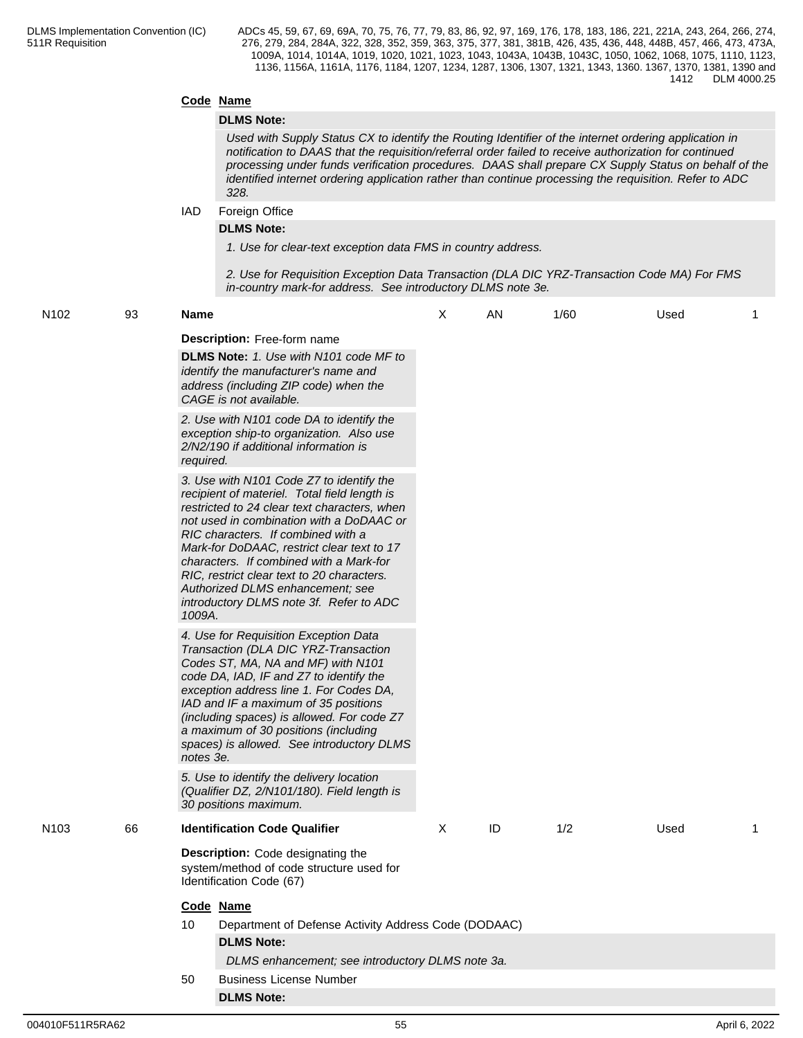# **Code Name**

# **DLMS Note:**

*Used with Supply Status CX to identify the Routing Identifier of the internet ordering application in notification to DAAS that the requisition/referral order failed to receive authorization for continued processing under funds verification procedures. DAAS shall prepare CX Supply Status on behalf of the identified internet ordering application rather than continue processing the requisition. Refer to ADC 328.*

#### IAD Foreign Office

### **DLMS Note:**

*1. Use for clear-text exception data FMS in country address.*

*2. Use for Requisition Exception Data Transaction (DLA DIC YRZ-Transaction Code MA) For FMS in-country mark-for address. See introductory DLMS note 3e.*

| N102 | 93 | <b>Name</b>                                                                                                                                                                                                                                                                                                                                                                                                                                                | X        | AN | 1/60 | Used | 1 |
|------|----|------------------------------------------------------------------------------------------------------------------------------------------------------------------------------------------------------------------------------------------------------------------------------------------------------------------------------------------------------------------------------------------------------------------------------------------------------------|----------|----|------|------|---|
|      |    | <b>Description:</b> Free-form name<br>DLMS Note: 1. Use with N101 code MF to<br>identify the manufacturer's name and<br>address (including ZIP code) when the<br>CAGE is not available.                                                                                                                                                                                                                                                                    |          |    |      |      |   |
|      |    | 2. Use with N101 code DA to identify the<br>exception ship-to organization. Also use<br>2/N2/190 if additional information is<br>required.                                                                                                                                                                                                                                                                                                                 |          |    |      |      |   |
|      |    | 3. Use with N101 Code Z7 to identify the<br>recipient of materiel. Total field length is<br>restricted to 24 clear text characters, when<br>not used in combination with a DoDAAC or<br>RIC characters. If combined with a<br>Mark-for DoDAAC, restrict clear text to 17<br>characters. If combined with a Mark-for<br>RIC, restrict clear text to 20 characters.<br>Authorized DLMS enhancement; see<br>introductory DLMS note 3f. Refer to ADC<br>1009A. |          |    |      |      |   |
|      |    | 4. Use for Requisition Exception Data<br>Transaction (DLA DIC YRZ-Transaction<br>Codes ST, MA, NA and MF) with N101<br>code DA, IAD, IF and Z7 to identify the<br>exception address line 1. For Codes DA,<br>IAD and IF a maximum of 35 positions<br>(including spaces) is allowed. For code Z7<br>a maximum of 30 positions (including<br>spaces) is allowed. See introductory DLMS<br>notes 3e.                                                          |          |    |      |      |   |
|      |    | 5. Use to identify the delivery location<br>(Qualifier DZ, 2/N101/180). Field length is<br>30 positions maximum.                                                                                                                                                                                                                                                                                                                                           |          |    |      |      |   |
| N103 | 66 | <b>Identification Code Qualifier</b>                                                                                                                                                                                                                                                                                                                                                                                                                       | $\times$ | ID | 1/2  | Used | 1 |
|      |    | Description: Code designating the<br>system/method of code structure used for<br>Identification Code (67)                                                                                                                                                                                                                                                                                                                                                  |          |    |      |      |   |
|      |    | Code Name                                                                                                                                                                                                                                                                                                                                                                                                                                                  |          |    |      |      |   |
|      |    | Department of Defense Activity Address Code (DODAAC)<br>10                                                                                                                                                                                                                                                                                                                                                                                                 |          |    |      |      |   |
|      |    | <b>DLMS Note:</b>                                                                                                                                                                                                                                                                                                                                                                                                                                          |          |    |      |      |   |
|      |    | DLMS enhancement; see introductory DLMS note 3a.                                                                                                                                                                                                                                                                                                                                                                                                           |          |    |      |      |   |
|      |    | <b>Business License Number</b><br>50                                                                                                                                                                                                                                                                                                                                                                                                                       |          |    |      |      |   |
|      |    | <b>DLMS Note:</b>                                                                                                                                                                                                                                                                                                                                                                                                                                          |          |    |      |      |   |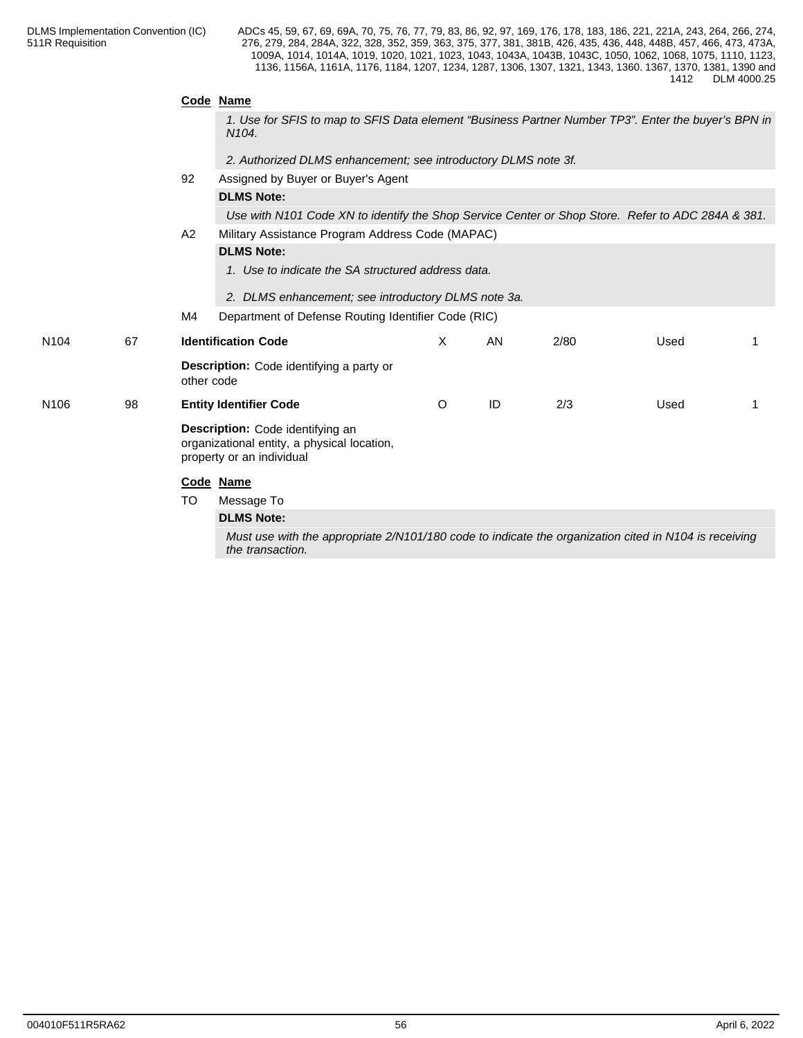|                  |    |                                                                                                       | Code Name                                                                                                                 |         |    |      |      |   |  |  |  |  |
|------------------|----|-------------------------------------------------------------------------------------------------------|---------------------------------------------------------------------------------------------------------------------------|---------|----|------|------|---|--|--|--|--|
|                  |    |                                                                                                       | 1. Use for SFIS to map to SFIS Data element "Business Partner Number TP3". Enter the buyer's BPN in<br>N <sub>104</sub> . |         |    |      |      |   |  |  |  |  |
|                  |    |                                                                                                       | 2. Authorized DLMS enhancement; see introductory DLMS note 3f.                                                            |         |    |      |      |   |  |  |  |  |
|                  | 92 |                                                                                                       | Assigned by Buyer or Buyer's Agent                                                                                        |         |    |      |      |   |  |  |  |  |
|                  |    |                                                                                                       | <b>DLMS Note:</b>                                                                                                         |         |    |      |      |   |  |  |  |  |
|                  |    |                                                                                                       | Use with N101 Code XN to identify the Shop Service Center or Shop Store. Refer to ADC 284A & 381.                         |         |    |      |      |   |  |  |  |  |
|                  |    | Military Assistance Program Address Code (MAPAC)<br>A2<br><b>DLMS Note:</b>                           |                                                                                                                           |         |    |      |      |   |  |  |  |  |
|                  |    |                                                                                                       |                                                                                                                           |         |    |      |      |   |  |  |  |  |
|                  |    |                                                                                                       | 1. Use to indicate the SA structured address data.                                                                        |         |    |      |      |   |  |  |  |  |
|                  |    |                                                                                                       | 2. DLMS enhancement; see introductory DLMS note 3a.                                                                       |         |    |      |      |   |  |  |  |  |
|                  |    | M4                                                                                                    | Department of Defense Routing Identifier Code (RIC)                                                                       |         |    |      |      |   |  |  |  |  |
| N <sub>104</sub> | 67 |                                                                                                       | <b>Identification Code</b>                                                                                                | X       | AN | 2/80 | Used |   |  |  |  |  |
|                  |    | other code                                                                                            | <b>Description:</b> Code identifying a party or                                                                           |         |    |      |      |   |  |  |  |  |
| N <sub>106</sub> | 98 |                                                                                                       | <b>Entity Identifier Code</b>                                                                                             | $\circ$ | ID | 2/3  | Used | 1 |  |  |  |  |
|                  |    |                                                                                                       | Description: Code identifying an<br>organizational entity, a physical location,<br>property or an individual              |         |    |      |      |   |  |  |  |  |
|                  |    |                                                                                                       | Code Name                                                                                                                 |         |    |      |      |   |  |  |  |  |
|                  |    | TO.                                                                                                   | Message To                                                                                                                |         |    |      |      |   |  |  |  |  |
|                  |    |                                                                                                       | <b>DLMS Note:</b>                                                                                                         |         |    |      |      |   |  |  |  |  |
|                  |    | Must use with the appropriate 2/N101/180 code to indicate the organization cited in N104 is receiving |                                                                                                                           |         |    |      |      |   |  |  |  |  |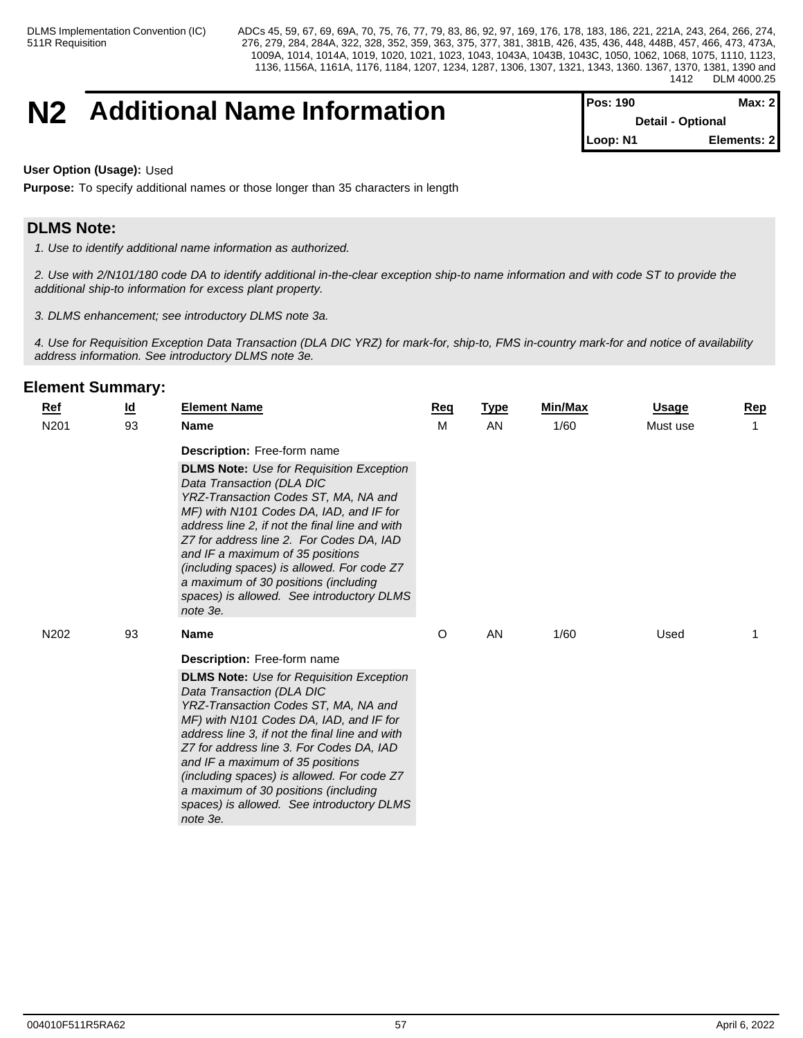# **N2** Additional Name Information

| POS: 190 I               | Max: 21     |
|--------------------------|-------------|
| <b>Detail - Optional</b> |             |
| Loop: N1                 | Elements: 2 |

### **User Option (Usage):** Used

**Purpose:** To specify additional names or those longer than 35 characters in length

# **DLMS Note:**

*1. Use to identify additional name information as authorized.*

*2. Use with 2/N101/180 code DA to identify additional in-the-clear exception ship-to name information and with code ST to provide the additional ship-to information for excess plant property.*

*3. DLMS enhancement; see introductory DLMS note 3a.*

*4. Use for Requisition Exception Data Transaction (DLA DIC YRZ) for mark-for, ship-to, FMS in-country mark-for and notice of availability address information. See introductory DLMS note 3e.*

| <b>Ref</b>       | <u>ld</u> | <b>Element Name</b>                                                                                                                                                                                                                                                                                                                                                                                                                                                                    | Reg | <b>Type</b> | Min/Max | <b>Usage</b> | Rep |
|------------------|-----------|----------------------------------------------------------------------------------------------------------------------------------------------------------------------------------------------------------------------------------------------------------------------------------------------------------------------------------------------------------------------------------------------------------------------------------------------------------------------------------------|-----|-------------|---------|--------------|-----|
| N <sub>201</sub> | 93        | <b>Name</b>                                                                                                                                                                                                                                                                                                                                                                                                                                                                            | M   | AN          | 1/60    | Must use     |     |
|                  |           | <b>Description:</b> Free-form name<br><b>DLMS Note:</b> Use for Requisition Exception<br>Data Transaction (DLA DIC<br>YRZ-Transaction Codes ST, MA, NA and<br>MF) with N101 Codes DA, IAD, and IF for<br>address line 2, if not the final line and with<br>Z7 for address line 2. For Codes DA, IAD<br>and IF a maximum of 35 positions<br>(including spaces) is allowed. For code Z7<br>a maximum of 30 positions (including<br>spaces) is allowed. See introductory DLMS<br>note 3e. |     |             |         |              |     |
| N202             | 93        | <b>Name</b>                                                                                                                                                                                                                                                                                                                                                                                                                                                                            | O   | AN          | 1/60    | Used         |     |
|                  |           | Description: Free-form name<br><b>DLMS Note:</b> Use for Requisition Exception<br>Data Transaction (DLA DIC<br>YRZ-Transaction Codes ST, MA, NA and<br>MF) with N101 Codes DA, IAD, and IF for<br>address line 3, if not the final line and with<br>Z7 for address line 3. For Codes DA, IAD<br>and IF a maximum of 35 positions<br>(including spaces) is allowed. For code Z7<br>a maximum of 30 positions (including<br>spaces) is allowed. See introductory DLMS<br>note 3e.        |     |             |         |              |     |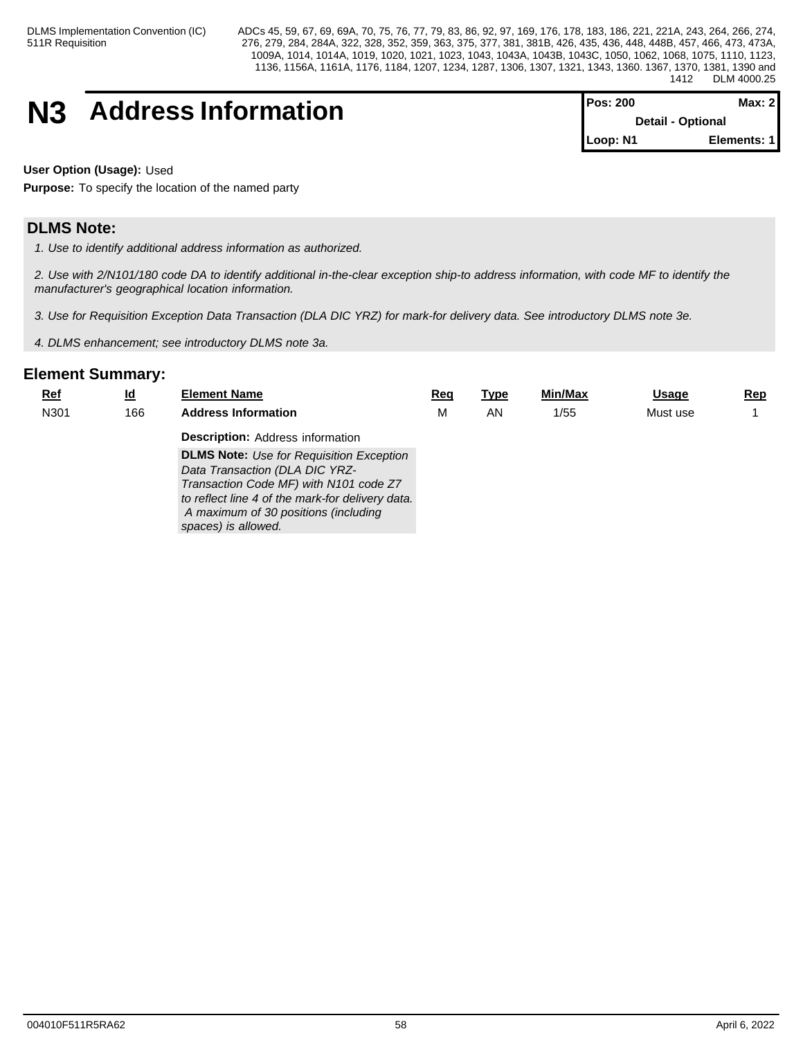# **N3** Address Information

| <b>IPos: 200</b> | Max: 21                  |  |  |  |  |  |  |  |  |  |  |  |  |  |  |  |  |  |  |  |  |  |  |  |  |  |
|------------------|--------------------------|--|--|--|--|--|--|--|--|--|--|--|--|--|--|--|--|--|--|--|--|--|--|--|--|--|
|                  | <b>Detail - Optional</b> |  |  |  |  |  |  |  |  |  |  |  |  |  |  |  |  |  |  |  |  |  |  |  |  |  |
| Loop: N1         | Elements: 1              |  |  |  |  |  |  |  |  |  |  |  |  |  |  |  |  |  |  |  |  |  |  |  |  |  |

**User Option (Usage):** Used

**Purpose:** To specify the location of the named party

# **DLMS Note:**

*1. Use to identify additional address information as authorized.*

*2. Use with 2/N101/180 code DA to identify additional in-the-clear exception ship-to address information, with code MF to identify the manufacturer's geographical location information.*

*3. Use for Requisition Exception Data Transaction (DLA DIC YRZ) for mark-for delivery data. See introductory DLMS note 3e.*

*4. DLMS enhancement; see introductory DLMS note 3a.*

| <u>Ref</u> | <u>ld</u> | <b>Element Name</b>                              | Rec | <u>Type</u> | Min/Max | <u>Usage</u> | <u>Rep</u> |
|------------|-----------|--------------------------------------------------|-----|-------------|---------|--------------|------------|
| N301       | 166       | <b>Address Information</b>                       | м   | ΑN          | 1/55    | Must use     |            |
|            |           | <b>Description: Address information</b>          |     |             |         |              |            |
|            |           | <b>DLMS Note:</b> Use for Requisition Exception  |     |             |         |              |            |
|            |           | Data Transaction (DLA DIC YRZ-                   |     |             |         |              |            |
|            |           | Transaction Code MF) with N101 code Z7           |     |             |         |              |            |
|            |           | to reflect line 4 of the mark-for delivery data. |     |             |         |              |            |
|            |           | A maximum of 30 positions (including             |     |             |         |              |            |
|            |           | spaces) is allowed.                              |     |             |         |              |            |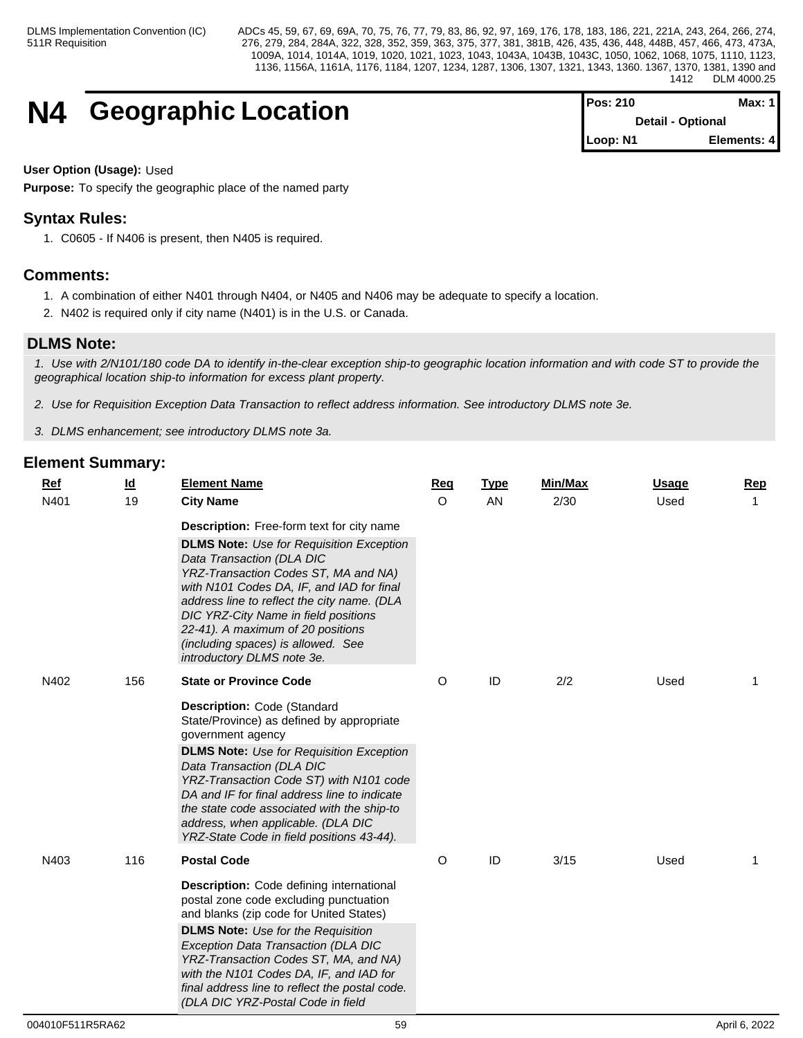# **N4 Geographic Location**

| <b>Pos: 210</b>          | Max: 1 <b>I</b> |
|--------------------------|-----------------|
| <b>Detail - Optional</b> |                 |
| Loop: N1                 | Elements: 4     |

# **User Option (Usage):** Used

**Purpose:** To specify the geographic place of the named party

# **Syntax Rules:**

1. C0605 - If N406 is present, then N405 is required.

# **Comments:**

- 1. A combination of either N401 through N404, or N405 and N406 may be adequate to specify a location.
- 2. N402 is required only if city name (N401) is in the U.S. or Canada.

# **DLMS Note:**

*1. Use with 2/N101/180 code DA to identify in-the-clear exception ship-to geographic location information and with code ST to provide the geographical location ship-to information for excess plant property.*

*2. Use for Requisition Exception Data Transaction to reflect address information. See introductory DLMS note 3e.*

*3. DLMS enhancement; see introductory DLMS note 3a.*

| $Ref$ | $\underline{\mathsf{Id}}$ | <b>Element Name</b>                                                                                                                                                                                                                                                                                                                                                                                       | Req     | <b>Type</b> | Min/Max | <b>Usage</b> | Rep |
|-------|---------------------------|-----------------------------------------------------------------------------------------------------------------------------------------------------------------------------------------------------------------------------------------------------------------------------------------------------------------------------------------------------------------------------------------------------------|---------|-------------|---------|--------------|-----|
| N401  | 19                        | <b>City Name</b>                                                                                                                                                                                                                                                                                                                                                                                          | $\circ$ | AN          | 2/30    | Used         |     |
|       |                           | <b>Description:</b> Free-form text for city name                                                                                                                                                                                                                                                                                                                                                          |         |             |         |              |     |
|       |                           | <b>DLMS Note:</b> Use for Requisition Exception<br>Data Transaction (DLA DIC<br>YRZ-Transaction Codes ST, MA and NA)<br>with N101 Codes DA, IF, and IAD for final<br>address line to reflect the city name. (DLA<br>DIC YRZ-City Name in field positions<br>22-41). A maximum of 20 positions<br>(including spaces) is allowed. See<br>introductory DLMS note 3e.                                         |         |             |         |              |     |
| N402  | 156                       | <b>State or Province Code</b>                                                                                                                                                                                                                                                                                                                                                                             | O       | ID          | 2/2     | Used         | 1   |
|       |                           | Description: Code (Standard<br>State/Province) as defined by appropriate<br>government agency<br><b>DLMS Note:</b> Use for Requisition Exception<br>Data Transaction (DLA DIC<br>YRZ-Transaction Code ST) with N101 code<br>DA and IF for final address line to indicate<br>the state code associated with the ship-to<br>address, when applicable. (DLA DIC<br>YRZ-State Code in field positions 43-44). |         |             |         |              |     |
| N403  | 116                       | <b>Postal Code</b>                                                                                                                                                                                                                                                                                                                                                                                        | O       | ID          | 3/15    | Used         | 1   |
|       |                           | Description: Code defining international<br>postal zone code excluding punctuation<br>and blanks (zip code for United States)<br><b>DLMS Note:</b> Use for the Requisition<br>Exception Data Transaction (DLA DIC<br>YRZ-Transaction Codes ST, MA, and NA)<br>with the N101 Codes DA, IF, and IAD for<br>final address line to reflect the postal code.<br>(DLA DIC YRZ-Postal Code in field              |         |             |         |              |     |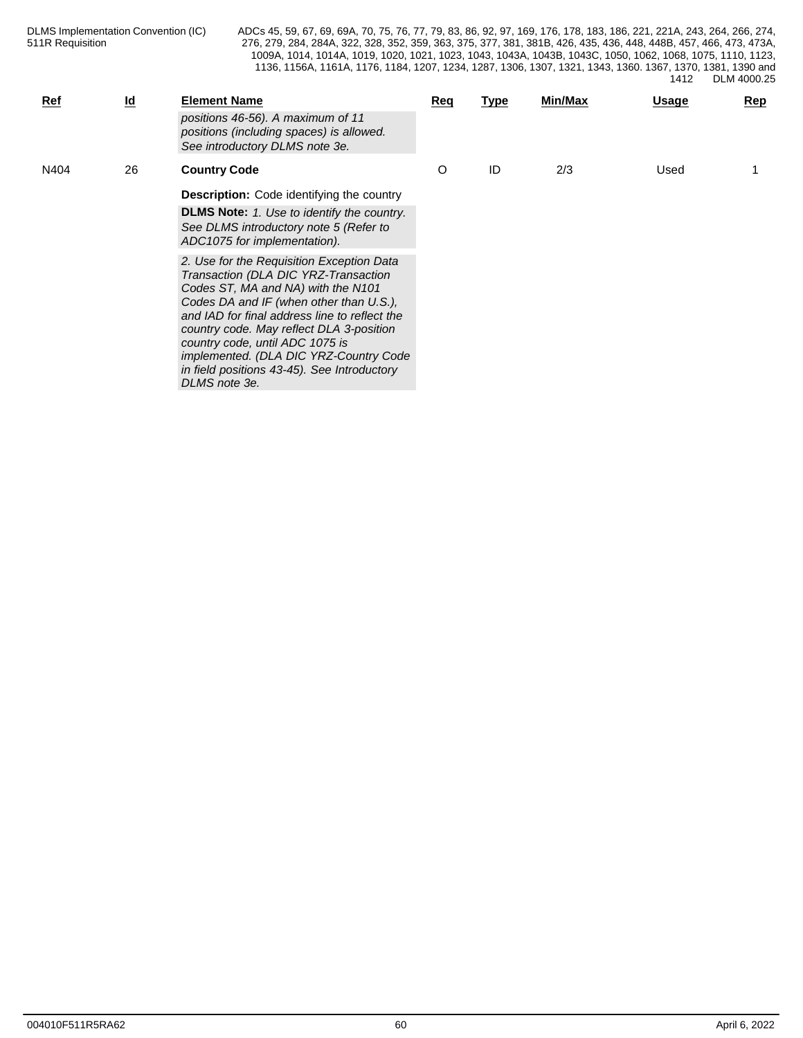| Ref  | $\underline{\mathsf{Id}}$ | <b>Element Name</b><br>positions 46-56). A maximum of 11<br>positions (including spaces) is allowed.<br>See introductory DLMS note 3e.                                                                                                                                                                                                                                                                       | Req | <u>Type</u> | <b>Min/Max</b> | <u>Usage</u> | Rep |
|------|---------------------------|--------------------------------------------------------------------------------------------------------------------------------------------------------------------------------------------------------------------------------------------------------------------------------------------------------------------------------------------------------------------------------------------------------------|-----|-------------|----------------|--------------|-----|
| N404 | 26                        | <b>Country Code</b><br><b>Description:</b> Code identifying the country<br><b>DLMS Note:</b> 1. Use to identify the country.<br>See DLMS introductory note 5 (Refer to<br>ADC1075 for implementation).                                                                                                                                                                                                       | O   | ID          | 2/3            | Used         |     |
|      |                           | 2. Use for the Requisition Exception Data<br>Transaction (DLA DIC YRZ-Transaction<br>Codes ST, MA and NA) with the N101<br>Codes DA and IF (when other than U.S.),<br>and IAD for final address line to reflect the<br>country code. May reflect DLA 3-position<br>country code, until ADC 1075 is<br>implemented. (DLA DIC YRZ-Country Code<br>in field positions 43-45). See Introductory<br>DLMS note 3e. |     |             |                |              |     |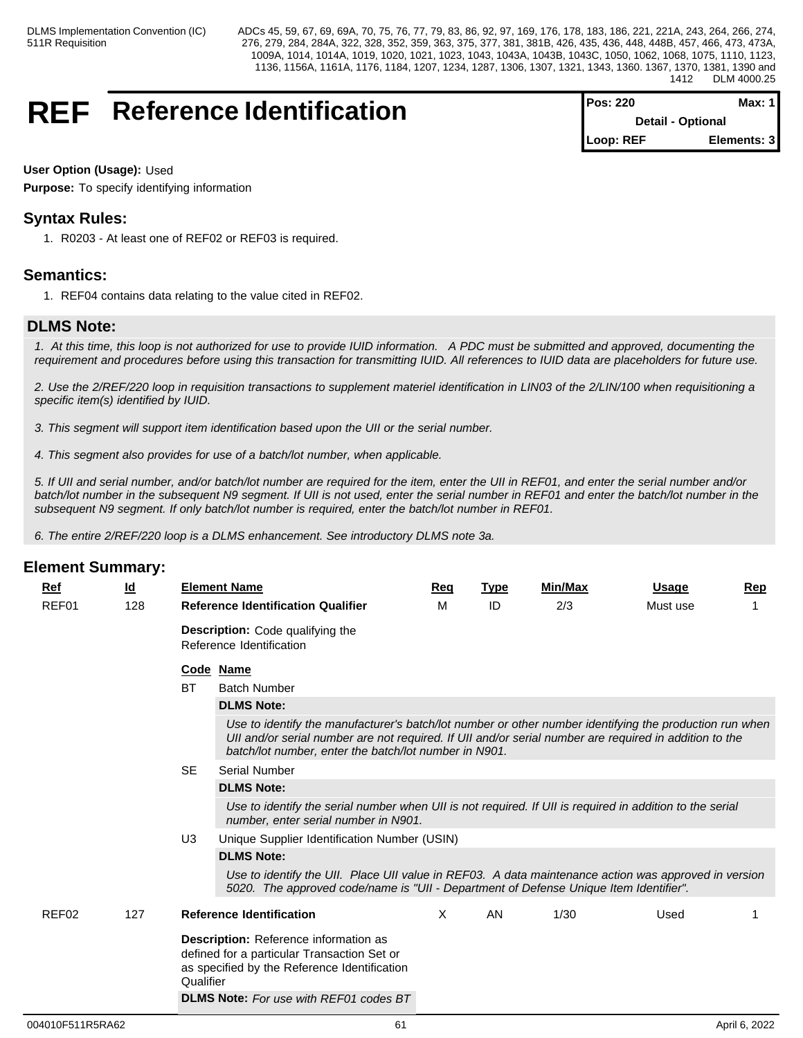# **REF** Reference Identification

| <b>Pos: 220</b>          | Max: 1 I    |  |
|--------------------------|-------------|--|
| <b>Detail - Optional</b> |             |  |
| Loop: REF                | Elements: 3 |  |

# **User Option (Usage):** Used

**Purpose:** To specify identifying information

# **Syntax Rules:**

1. R0203 - At least one of REF02 or REF03 is required.

# **Semantics:**

1. REF04 contains data relating to the value cited in REF02.

# **DLMS Note:**

*1. At this time, this loop is not authorized for use to provide IUID information. A PDC must be submitted and approved, documenting the requirement and procedures before using this transaction for transmitting IUID. All references to IUID data are placeholders for future use.*

*2. Use the 2/REF/220 loop in requisition transactions to supplement materiel identification in LIN03 of the 2/LIN/100 when requisitioning a specific item(s) identified by IUID.*

*3. This segment will support item identification based upon the UII or the serial number.*

*4. This segment also provides for use of a batch/lot number, when applicable.*

*5. If UII and serial number, and/or batch/lot number are required for the item, enter the UII in REF01, and enter the serial number and/or batch/lot number in the subsequent N9 segment. If UII is not used, enter the serial number in REF01 and enter the batch/lot number in the subsequent N9 segment. If only batch/lot number is required, enter the batch/lot number in REF01.*

*6. The entire 2/REF/220 loop is a DLMS enhancement. See introductory DLMS note 3a.*

| Ref   | $\underline{\mathsf{Id}}$ |           | <b>Element Name</b>                                                                                                                                                                                                                                                        | Req      | <b>Type</b> | <b>Min/Max</b> | <b>Usage</b> | Rep |
|-------|---------------------------|-----------|----------------------------------------------------------------------------------------------------------------------------------------------------------------------------------------------------------------------------------------------------------------------------|----------|-------------|----------------|--------------|-----|
| REF01 | 128                       |           | <b>Reference Identification Qualifier</b>                                                                                                                                                                                                                                  | м        | ID          | 2/3            | Must use     |     |
|       |                           |           | <b>Description:</b> Code qualifying the<br>Reference Identification                                                                                                                                                                                                        |          |             |                |              |     |
|       |                           |           | Code Name                                                                                                                                                                                                                                                                  |          |             |                |              |     |
|       |                           | BT        | <b>Batch Number</b>                                                                                                                                                                                                                                                        |          |             |                |              |     |
|       |                           |           | <b>DLMS Note:</b>                                                                                                                                                                                                                                                          |          |             |                |              |     |
|       |                           |           | Use to identify the manufacturer's batch/lot number or other number identifying the production run when<br>Ull and/or serial number are not required. If Ull and/or serial number are required in addition to the<br>batch/lot number, enter the batch/lot number in N901. |          |             |                |              |     |
|       |                           | <b>SE</b> | <b>Serial Number</b>                                                                                                                                                                                                                                                       |          |             |                |              |     |
|       |                           |           | <b>DLMS Note:</b>                                                                                                                                                                                                                                                          |          |             |                |              |     |
|       |                           |           | Use to identify the serial number when UII is not required. If UII is required in addition to the serial<br>number, enter serial number in N901.                                                                                                                           |          |             |                |              |     |
|       |                           | U3        | Unique Supplier Identification Number (USIN)                                                                                                                                                                                                                               |          |             |                |              |     |
|       |                           |           | <b>DLMS Note:</b>                                                                                                                                                                                                                                                          |          |             |                |              |     |
|       |                           |           | Use to identify the UII. Place UII value in REF03. A data maintenance action was approved in version<br>5020. The approved code/name is "UII - Department of Defense Unique Item Identifier".                                                                              |          |             |                |              |     |
| REF02 | 127                       |           | <b>Reference Identification</b>                                                                                                                                                                                                                                            | $\times$ | AN          | 1/30           | Used         |     |
|       |                           | Qualifier | Description: Reference information as<br>defined for a particular Transaction Set or<br>as specified by the Reference Identification                                                                                                                                       |          |             |                |              |     |
|       |                           |           | <b>DLMS Note:</b> For use with REF01 codes BT                                                                                                                                                                                                                              |          |             |                |              |     |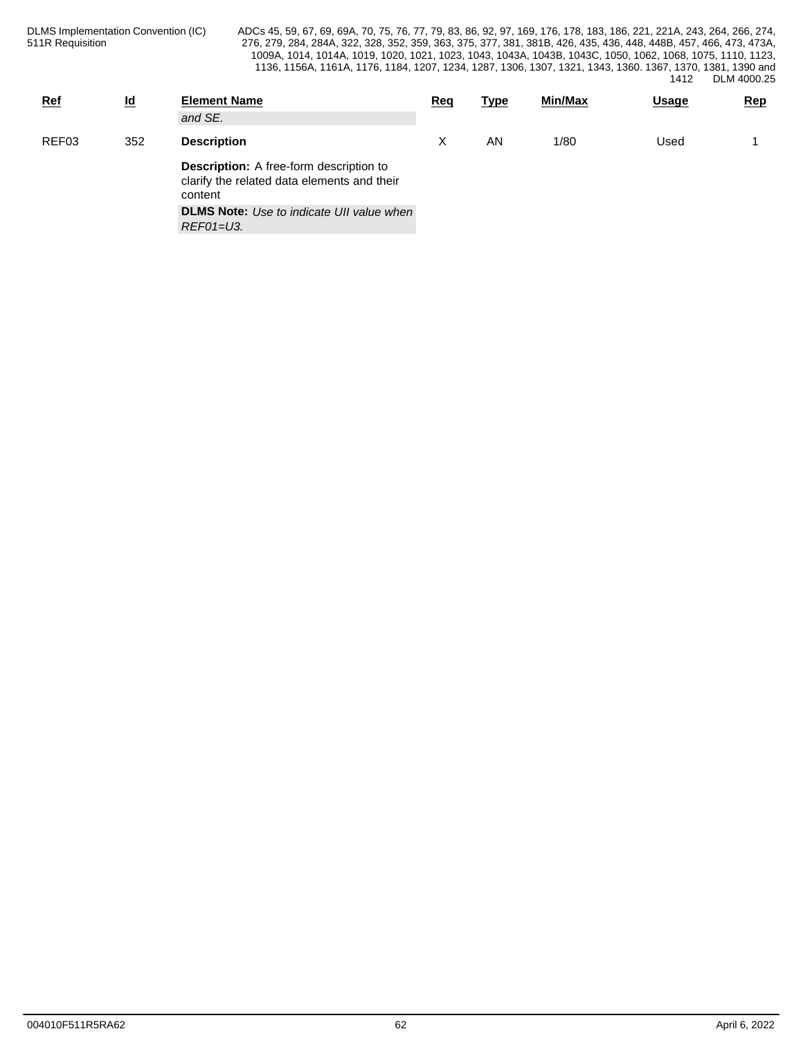| <b>Ref</b> | <u>ld</u> | <b>Element Name</b><br>and SE.                                                                           | Req | <u>Type</u> | Min/Max | <b>Usage</b> | <b>Rep</b> |
|------------|-----------|----------------------------------------------------------------------------------------------------------|-----|-------------|---------|--------------|------------|
| REF03      | 352       | <b>Description</b>                                                                                       |     | AN          | 1/80    | Used         |            |
|            |           | <b>Description:</b> A free-form description to<br>clarify the related data elements and their<br>content |     |             |         |              |            |
|            |           | <b>DLMS Note:</b> Use to indicate UII value when<br>REF01=U3.                                            |     |             |         |              |            |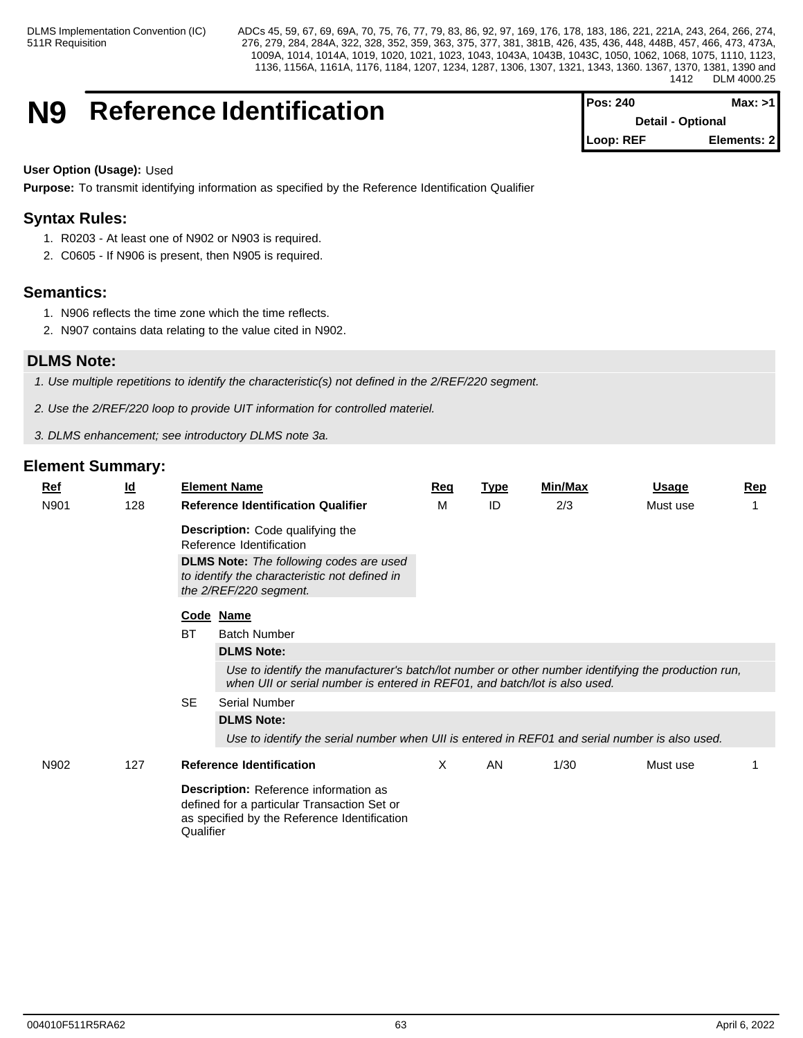# **N9** Reference Identification

| <b>IPos: 240</b>         | Max: >11     |
|--------------------------|--------------|
| <b>Detail - Optional</b> |              |
| Loop: REF                | Elements: 21 |

# **User Option (Usage):** Used

**Purpose:** To transmit identifying information as specified by the Reference Identification Qualifier

# **Syntax Rules:**

- 1. R0203 At least one of N902 or N903 is required.
- 2. C0605 If N906 is present, then N905 is required.

# **Semantics:**

- 1. N906 reflects the time zone which the time reflects.
- 2. N907 contains data relating to the value cited in N902.

# **DLMS Note:**

*1. Use multiple repetitions to identify the characteristic(s) not defined in the 2/REF/220 segment.*

- *2. Use the 2/REF/220 loop to provide UIT information for controlled materiel.*
- *3. DLMS enhancement; see introductory DLMS note 3a.*

| $Ref$ | $\underline{\mathsf{Id}}$ |           | <b>Element Name</b>                                                                                                                                                                                    | <u>Req</u> | <b>Type</b> | <b>Min/Max</b> | <u>Usage</u> | <b>Rep</b> |
|-------|---------------------------|-----------|--------------------------------------------------------------------------------------------------------------------------------------------------------------------------------------------------------|------------|-------------|----------------|--------------|------------|
| N901  | 128                       |           | <b>Reference Identification Qualifier</b>                                                                                                                                                              | M          | ID          | 2/3            | Must use     |            |
|       |                           |           | <b>Description:</b> Code qualifying the<br>Reference Identification<br><b>DLMS Note:</b> The following codes are used<br>to identify the characteristic not defined in<br>the 2/REF/220 segment.       |            |             |                |              |            |
|       |                           |           | Code Name                                                                                                                                                                                              |            |             |                |              |            |
|       |                           | <b>BT</b> | <b>Batch Number</b>                                                                                                                                                                                    |            |             |                |              |            |
|       |                           |           | <b>DLMS Note:</b><br>Use to identify the manufacturer's batch/lot number or other number identifying the production run,<br>when UII or serial number is entered in REF01, and batch/lot is also used. |            |             |                |              |            |
|       |                           | <b>SE</b> | <b>Serial Number</b>                                                                                                                                                                                   |            |             |                |              |            |
|       |                           |           | <b>DLMS Note:</b>                                                                                                                                                                                      |            |             |                |              |            |
|       |                           |           | Use to identify the serial number when UII is entered in REF01 and serial number is also used.                                                                                                         |            |             |                |              |            |
| N902  | 127                       |           | <b>Reference Identification</b>                                                                                                                                                                        | X          | AN          | 1/30           | Must use     |            |
|       |                           | Qualifier | Description: Reference information as<br>defined for a particular Transaction Set or<br>as specified by the Reference Identification                                                                   |            |             |                |              |            |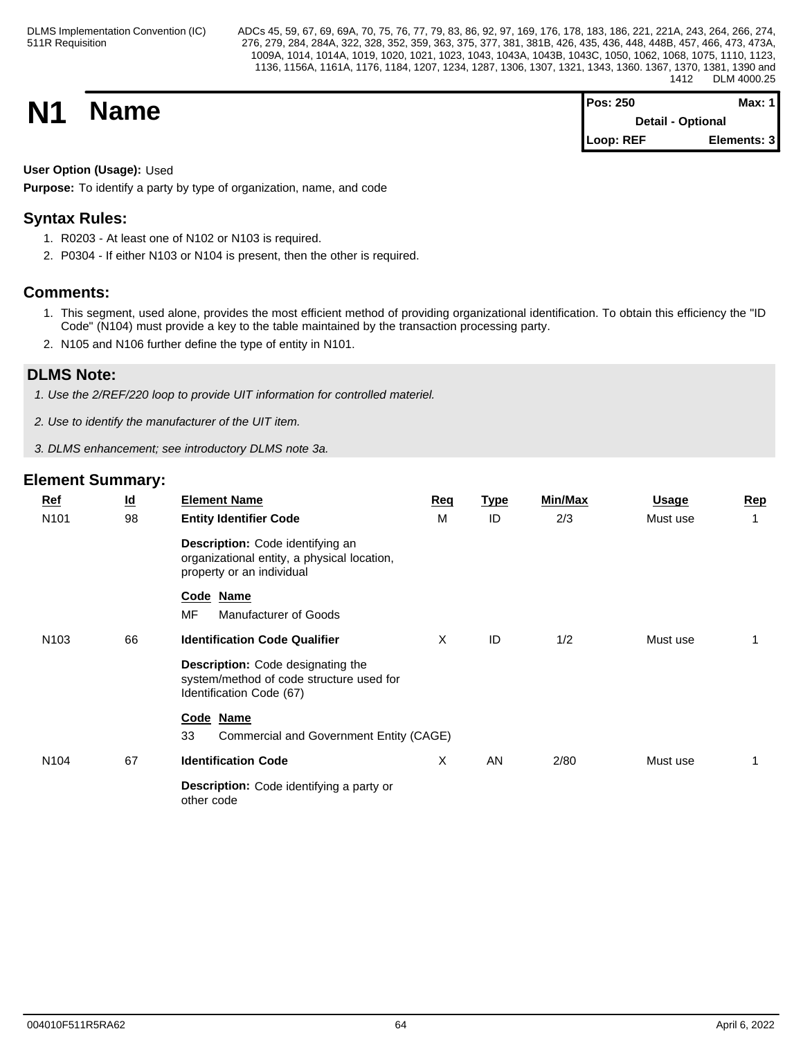**N1 Name Magnetic Max:** 1 **Detail - Optional Loop: REF Elements: 3**

# **User Option (Usage):** Used

**Purpose:** To identify a party by type of organization, name, and code

# **Syntax Rules:**

- 1. R0203 At least one of N102 or N103 is required.
- 2. P0304 If either N103 or N104 is present, then the other is required.

# **Comments:**

- 1. This segment, used alone, provides the most efficient method of providing organizational identification. To obtain this efficiency the "ID Code" (N104) must provide a key to the table maintained by the transaction processing party.
- 2. N105 and N106 further define the type of entity in N101.

# **DLMS Note:**

*1. Use the 2/REF/220 loop to provide UIT information for controlled materiel.*

- *2. Use to identify the manufacturer of the UIT item.*
- *3. DLMS enhancement; see introductory DLMS note 3a.*

| $Ref$<br>N101    | $\underline{\mathsf{Id}}$<br>98 | <b>Element Name</b><br><b>Entity Identifier Code</b>                                                             | Req<br>M | <u>Type</u><br>ID | <b>Min/Max</b><br>2/3 | <b>Usage</b><br>Must use | Rep |
|------------------|---------------------------------|------------------------------------------------------------------------------------------------------------------|----------|-------------------|-----------------------|--------------------------|-----|
|                  |                                 | Description: Code identifying an<br>organizational entity, a physical location,<br>property or an individual     |          |                   |                       |                          |     |
|                  |                                 | Code Name<br><b>MF</b><br>Manufacturer of Goods                                                                  |          |                   |                       |                          |     |
| N <sub>103</sub> | 66                              | <b>Identification Code Qualifier</b>                                                                             | X        | ID                | 1/2                   | Must use                 |     |
|                  |                                 | <b>Description:</b> Code designating the<br>system/method of code structure used for<br>Identification Code (67) |          |                   |                       |                          |     |
|                  |                                 | Code Name                                                                                                        |          |                   |                       |                          |     |
|                  |                                 | 33<br>Commercial and Government Entity (CAGE)                                                                    |          |                   |                       |                          |     |
| N <sub>104</sub> | 67                              | <b>Identification Code</b>                                                                                       | X        | AN                | 2/80                  | Must use                 |     |
|                  |                                 | Description: Code identifying a party or<br>other code                                                           |          |                   |                       |                          |     |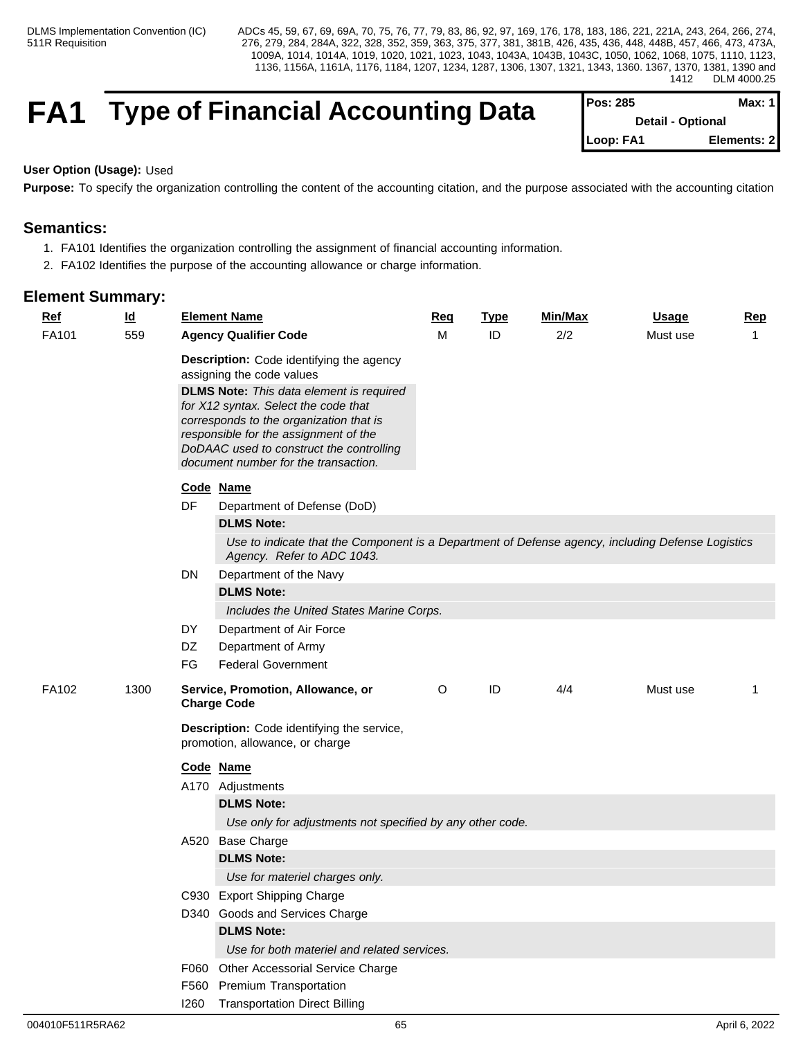# **FA1** Type of Financial Accounting Data

| <b>IPos: 285</b>         | Max: 1 I    |  |
|--------------------------|-------------|--|
| <b>Detail - Optional</b> |             |  |
| Loop: FA1                | Elements: 2 |  |

# **User Option (Usage):** Used

Purpose: To specify the organization controlling the content of the accounting citation, and the purpose associated with the accounting citation

# **Semantics:**

- 1. FA101 Identifies the organization controlling the assignment of financial accounting information.
- 2. FA102 Identifies the purpose of the accounting allowance or charge information.

| $Ref$        | $\underline{\mathsf{Id}}$ |      | <b>Element Name</b>                                                                                                                                                                                                                                                                                                                      | Req | <b>Type</b> | Min/Max | <b>Usage</b> | Rep         |
|--------------|---------------------------|------|------------------------------------------------------------------------------------------------------------------------------------------------------------------------------------------------------------------------------------------------------------------------------------------------------------------------------------------|-----|-------------|---------|--------------|-------------|
| FA101<br>559 |                           |      | <b>Agency Qualifier Code</b>                                                                                                                                                                                                                                                                                                             | м   | ID          | 2/2     | Must use     | $\mathbf 1$ |
|              |                           |      | Description: Code identifying the agency<br>assigning the code values<br><b>DLMS Note:</b> This data element is required<br>for X12 syntax. Select the code that<br>corresponds to the organization that is<br>responsible for the assignment of the<br>DoDAAC used to construct the controlling<br>document number for the transaction. |     |             |         |              |             |
|              |                           |      | Code Name                                                                                                                                                                                                                                                                                                                                |     |             |         |              |             |
|              |                           | DF   | Department of Defense (DoD)                                                                                                                                                                                                                                                                                                              |     |             |         |              |             |
|              |                           |      | <b>DLMS Note:</b>                                                                                                                                                                                                                                                                                                                        |     |             |         |              |             |
|              |                           |      | Use to indicate that the Component is a Department of Defense agency, including Defense Logistics<br>Agency. Refer to ADC 1043.                                                                                                                                                                                                          |     |             |         |              |             |
|              |                           | DN   | Department of the Navy                                                                                                                                                                                                                                                                                                                   |     |             |         |              |             |
|              |                           |      | <b>DLMS Note:</b>                                                                                                                                                                                                                                                                                                                        |     |             |         |              |             |
|              |                           |      | Includes the United States Marine Corps.                                                                                                                                                                                                                                                                                                 |     |             |         |              |             |
|              |                           | DY   | Department of Air Force                                                                                                                                                                                                                                                                                                                  |     |             |         |              |             |
|              |                           | DZ   | Department of Army                                                                                                                                                                                                                                                                                                                       |     |             |         |              |             |
|              |                           | FG   | <b>Federal Government</b>                                                                                                                                                                                                                                                                                                                |     |             |         |              |             |
| FA102        | 1300                      |      | Service, Promotion, Allowance, or<br><b>Charge Code</b>                                                                                                                                                                                                                                                                                  | O   | ID          | 4/4     | Must use     | 1           |
|              |                           |      | Description: Code identifying the service,<br>promotion, allowance, or charge                                                                                                                                                                                                                                                            |     |             |         |              |             |
|              |                           |      | Code Name                                                                                                                                                                                                                                                                                                                                |     |             |         |              |             |
|              |                           |      | A170 Adjustments                                                                                                                                                                                                                                                                                                                         |     |             |         |              |             |
|              |                           |      | <b>DLMS Note:</b>                                                                                                                                                                                                                                                                                                                        |     |             |         |              |             |
|              |                           |      | Use only for adjustments not specified by any other code.                                                                                                                                                                                                                                                                                |     |             |         |              |             |
|              |                           |      | A520 Base Charge                                                                                                                                                                                                                                                                                                                         |     |             |         |              |             |
|              |                           |      | <b>DLMS Note:</b>                                                                                                                                                                                                                                                                                                                        |     |             |         |              |             |
|              |                           |      | Use for materiel charges only.                                                                                                                                                                                                                                                                                                           |     |             |         |              |             |
|              |                           |      | C930 Export Shipping Charge                                                                                                                                                                                                                                                                                                              |     |             |         |              |             |
|              |                           |      | D340 Goods and Services Charge                                                                                                                                                                                                                                                                                                           |     |             |         |              |             |
|              |                           |      | <b>DLMS Note:</b>                                                                                                                                                                                                                                                                                                                        |     |             |         |              |             |
|              |                           |      | Use for both materiel and related services.                                                                                                                                                                                                                                                                                              |     |             |         |              |             |
|              |                           |      | F060 Other Accessorial Service Charge                                                                                                                                                                                                                                                                                                    |     |             |         |              |             |
|              |                           |      | F560 Premium Transportation                                                                                                                                                                                                                                                                                                              |     |             |         |              |             |
|              |                           | 1260 | <b>Transportation Direct Billing</b>                                                                                                                                                                                                                                                                                                     |     |             |         |              |             |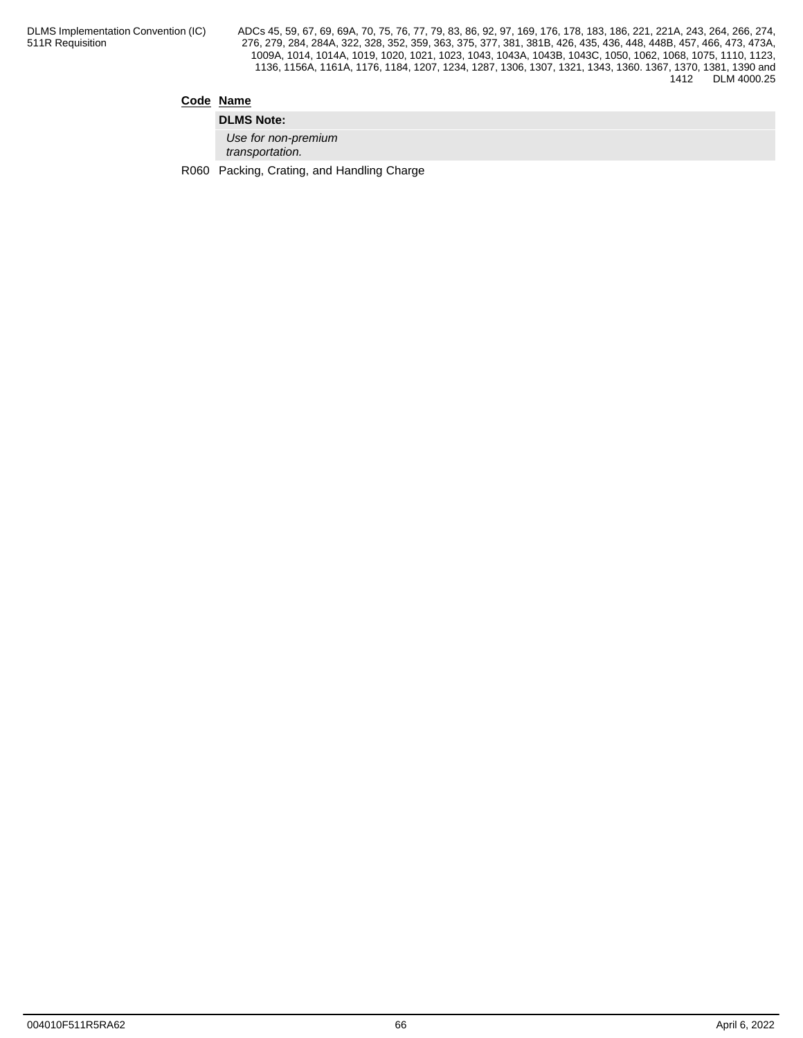# **Code Name**

**DLMS Note:** *Use for non-premium transportation.*

R060 Packing, Crating, and Handling Charge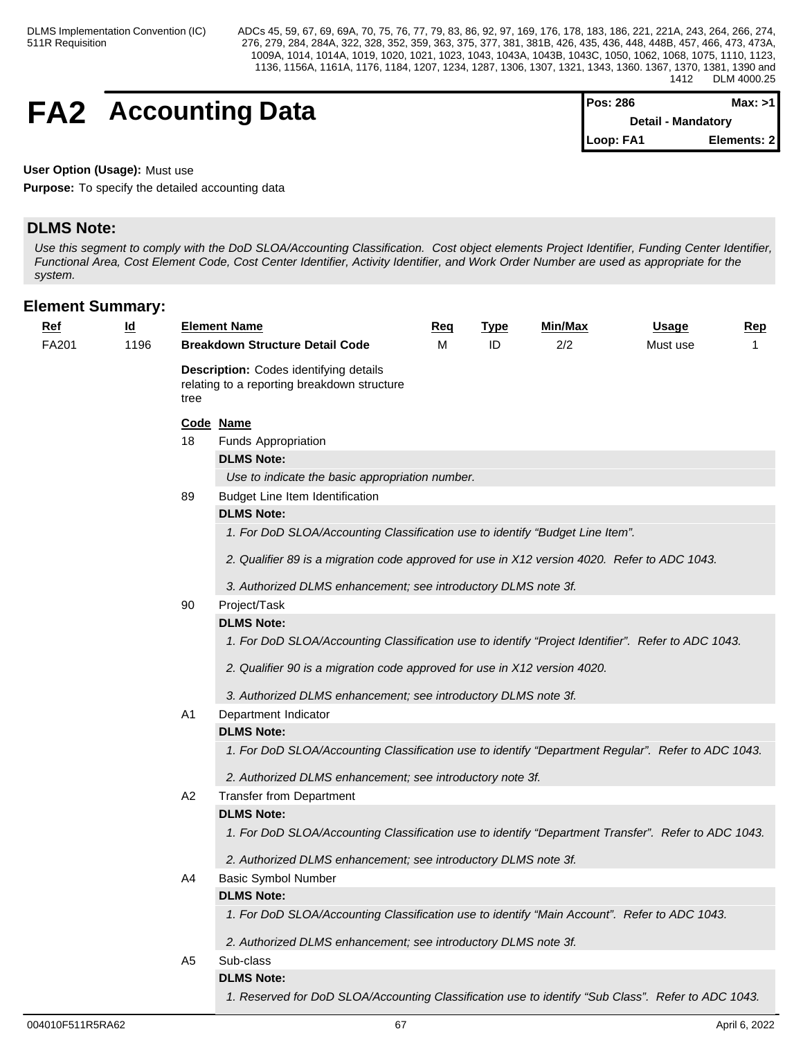# **FA2** Accounting Data

| IPos: 286                 | Max: >1     |  |
|---------------------------|-------------|--|
| <b>Detail - Mandatory</b> |             |  |
| Loop: FA1                 | Elements: 2 |  |

**User Option (Usage):** Must use

**Purpose:** To specify the detailed accounting data

# **DLMS Note:**

*Use this segment to comply with the DoD SLOA/Accounting Classification. Cost object elements Project Identifier, Funding Center Identifier, Functional Area, Cost Element Code, Cost Center Identifier, Activity Identifier, and Work Order Number are used as appropriate for the system.*

| <u>Ref</u> | $\underline{\mathsf{Id}}$ |      | <b>Element Name</b>                                                                                 | <u>Req</u> | <u>Type</u> | <u>Min/Max</u> | <u>Usage</u> | <u>Rep</u>   |
|------------|---------------------------|------|-----------------------------------------------------------------------------------------------------|------------|-------------|----------------|--------------|--------------|
| FA201      | 1196                      |      | <b>Breakdown Structure Detail Code</b>                                                              | М          | ID          | 2/2            | Must use     | $\mathbf{1}$ |
|            |                           | tree | <b>Description:</b> Codes identifying details<br>relating to a reporting breakdown structure        |            |             |                |              |              |
|            |                           |      | Code Name                                                                                           |            |             |                |              |              |
|            |                           | 18   | <b>Funds Appropriation</b>                                                                          |            |             |                |              |              |
|            |                           |      | <b>DLMS Note:</b>                                                                                   |            |             |                |              |              |
|            |                           |      | Use to indicate the basic appropriation number.                                                     |            |             |                |              |              |
|            |                           | 89   | Budget Line Item Identification                                                                     |            |             |                |              |              |
|            |                           |      | <b>DLMS Note:</b>                                                                                   |            |             |                |              |              |
|            |                           |      | 1. For DoD SLOA/Accounting Classification use to identify "Budget Line Item".                       |            |             |                |              |              |
|            |                           |      | 2. Qualifier 89 is a migration code approved for use in X12 version 4020. Refer to ADC 1043.        |            |             |                |              |              |
|            |                           |      | 3. Authorized DLMS enhancement; see introductory DLMS note 3f.                                      |            |             |                |              |              |
|            |                           | 90   | Project/Task                                                                                        |            |             |                |              |              |
|            |                           |      | <b>DLMS Note:</b>                                                                                   |            |             |                |              |              |
|            |                           |      | 1. For DoD SLOA/Accounting Classification use to identify "Project Identifier". Refer to ADC 1043.  |            |             |                |              |              |
|            |                           |      | 2. Qualifier 90 is a migration code approved for use in X12 version 4020.                           |            |             |                |              |              |
|            |                           |      | 3. Authorized DLMS enhancement; see introductory DLMS note 3f.                                      |            |             |                |              |              |
|            |                           | A1   | Department Indicator                                                                                |            |             |                |              |              |
|            |                           |      | <b>DLMS Note:</b>                                                                                   |            |             |                |              |              |
|            |                           |      | 1. For DoD SLOA/Accounting Classification use to identify "Department Regular". Refer to ADC 1043.  |            |             |                |              |              |
|            |                           |      | 2. Authorized DLMS enhancement; see introductory note 3f.                                           |            |             |                |              |              |
|            |                           | A2   | <b>Transfer from Department</b>                                                                     |            |             |                |              |              |
|            |                           |      | <b>DLMS Note:</b>                                                                                   |            |             |                |              |              |
|            |                           |      | 1. For DoD SLOA/Accounting Classification use to identify "Department Transfer". Refer to ADC 1043. |            |             |                |              |              |
|            |                           |      | 2. Authorized DLMS enhancement; see introductory DLMS note 3f.                                      |            |             |                |              |              |
|            |                           | A4   | <b>Basic Symbol Number</b>                                                                          |            |             |                |              |              |
|            |                           |      | <b>DLMS Note:</b>                                                                                   |            |             |                |              |              |
|            |                           |      | 1. For DoD SLOA/Accounting Classification use to identify "Main Account". Refer to ADC 1043.        |            |             |                |              |              |
|            |                           |      | 2. Authorized DLMS enhancement; see introductory DLMS note 3f.                                      |            |             |                |              |              |
|            |                           | A5   | Sub-class                                                                                           |            |             |                |              |              |
|            |                           |      | <b>DLMS Note:</b>                                                                                   |            |             |                |              |              |
|            |                           |      | 1. Reserved for DoD SLOA/Accounting Classification use to identify "Sub Class". Refer to ADC 1043.  |            |             |                |              |              |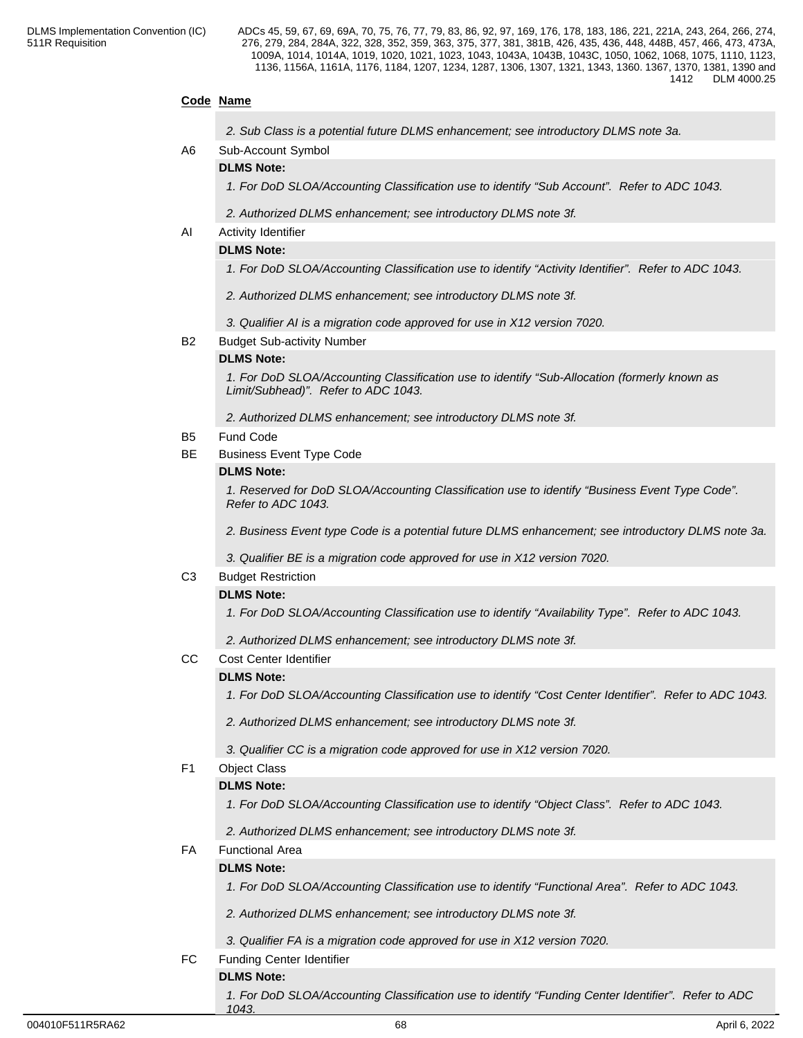# **Code Name**

| 2. Sub Class is a potential future DLMS enhancement; see introductory DLMS note 3a. |  |
|-------------------------------------------------------------------------------------|--|
|-------------------------------------------------------------------------------------|--|

# A6 Sub-Account Symbol

# **DLMS Note:**

*1. For DoD SLOA/Accounting Classification use to identify "Sub Account". Refer to ADC 1043.*

*2. Authorized DLMS enhancement; see introductory DLMS note 3f.*

### AI Activity Identifier

#### **DLMS Note:**

*1. For DoD SLOA/Accounting Classification use to identify "Activity Identifier". Refer to ADC 1043.*

- *2. Authorized DLMS enhancement; see introductory DLMS note 3f.*
- *3. Qualifier AI is a migration code approved for use in X12 version 7020.*

#### B2 Budget Sub-activity Number

#### **DLMS Note:**

*1. For DoD SLOA/Accounting Classification use to identify "Sub-Allocation (formerly known as Limit/Subhead)". Refer to ADC 1043.*

*2. Authorized DLMS enhancement; see introductory DLMS note 3f.*

#### B5 Fund Code

BE Business Event Type Code

#### **DLMS Note:**

*1. Reserved for DoD SLOA/Accounting Classification use to identify "Business Event Type Code". Refer to ADC 1043.*

*2. Business Event type Code is a potential future DLMS enhancement; see introductory DLMS note 3a.*

*3. Qualifier BE is a migration code approved for use in X12 version 7020.*

### C3 Budget Restriction

#### **DLMS Note:**

*1. For DoD SLOA/Accounting Classification use to identify "Availability Type". Refer to ADC 1043.*

*2. Authorized DLMS enhancement; see introductory DLMS note 3f.*

CC Cost Center Identifier

# **DLMS Note:**

*1. For DoD SLOA/Accounting Classification use to identify "Cost Center Identifier". Refer to ADC 1043.*

*2. Authorized DLMS enhancement; see introductory DLMS note 3f.*

*3. Qualifier CC is a migration code approved for use in X12 version 7020.*

### F1 Object Class

#### **DLMS Note:**

*1. For DoD SLOA/Accounting Classification use to identify "Object Class". Refer to ADC 1043.*

*2. Authorized DLMS enhancement; see introductory DLMS note 3f.*

# FA Functional Area

### **DLMS Note:**

*1. For DoD SLOA/Accounting Classification use to identify "Functional Area". Refer to ADC 1043.*

*2. Authorized DLMS enhancement; see introductory DLMS note 3f.*

*3. Qualifier FA is a migration code approved for use in X12 version 7020.*

FC Funding Center Identifier

# **DLMS Note:**

*1. For DoD SLOA/Accounting Classification use to identify "Funding Center Identifier". Refer to ADC 1043.*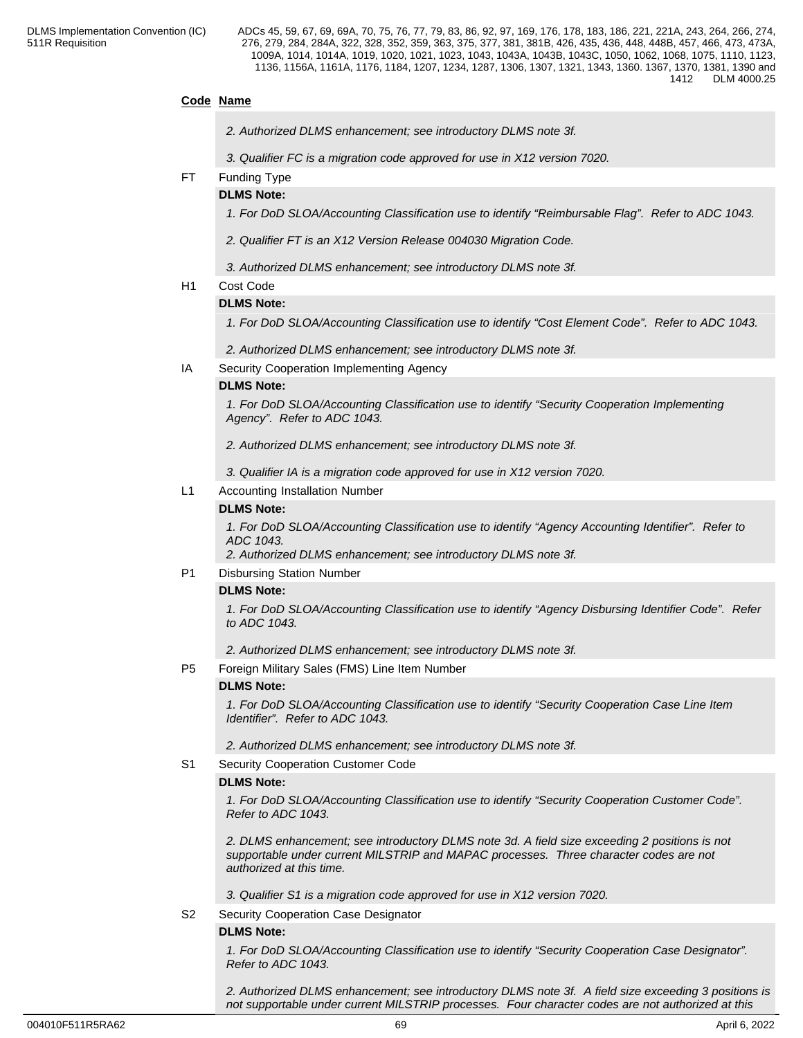# **Code Name**

- *2. Authorized DLMS enhancement; see introductory DLMS note 3f.*
- *3. Qualifier FC is a migration code approved for use in X12 version 7020.*
- FT Funding Type

## **DLMS Note:**

*1. For DoD SLOA/Accounting Classification use to identify "Reimbursable Flag". Refer to ADC 1043.* 

- *2. Qualifier FT is an X12 Version Release 004030 Migration Code.*
- *3. Authorized DLMS enhancement; see introductory DLMS note 3f.*
- H1 Cost Code

### **DLMS Note:**

*1. For DoD SLOA/Accounting Classification use to identify "Cost Element Code". Refer to ADC 1043.*

*2. Authorized DLMS enhancement; see introductory DLMS note 3f.*

IA Security Cooperation Implementing Agency

#### **DLMS Note:**

*1. For DoD SLOA/Accounting Classification use to identify "Security Cooperation Implementing Agency". Refer to ADC 1043.*

*2. Authorized DLMS enhancement; see introductory DLMS note 3f.*

*3. Qualifier IA is a migration code approved for use in X12 version 7020.*

L1 Accounting Installation Number

#### **DLMS Note:**

*1. For DoD SLOA/Accounting Classification use to identify "Agency Accounting Identifier". Refer to ADC 1043.*

*2. Authorized DLMS enhancement; see introductory DLMS note 3f.*

P1 Disbursing Station Number

#### **DLMS Note:**

*1. For DoD SLOA/Accounting Classification use to identify "Agency Disbursing Identifier Code". Refer to ADC 1043.*

*2. Authorized DLMS enhancement; see introductory DLMS note 3f.*

P5 Foreign Military Sales (FMS) Line Item Number

#### **DLMS Note:**

*1. For DoD SLOA/Accounting Classification use to identify "Security Cooperation Case Line Item Identifier". Refer to ADC 1043.*

*2. Authorized DLMS enhancement; see introductory DLMS note 3f.*

S1 Security Cooperation Customer Code

#### **DLMS Note:**

*1. For DoD SLOA/Accounting Classification use to identify "Security Cooperation Customer Code". Refer to ADC 1043.*

*2. DLMS enhancement; see introductory DLMS note 3d. A field size exceeding 2 positions is not supportable under current MILSTRIP and MAPAC processes. Three character codes are not authorized at this time.*

*3. Qualifier S1 is a migration code approved for use in X12 version 7020.*

S2 Security Cooperation Case Designator

#### **DLMS Note:**

*1. For DoD SLOA/Accounting Classification use to identify "Security Cooperation Case Designator". Refer to ADC 1043.*

*2. Authorized DLMS enhancement; see introductory DLMS note 3f. A field size exceeding 3 positions is not supportable under current MILSTRIP processes. Four character codes are not authorized at this*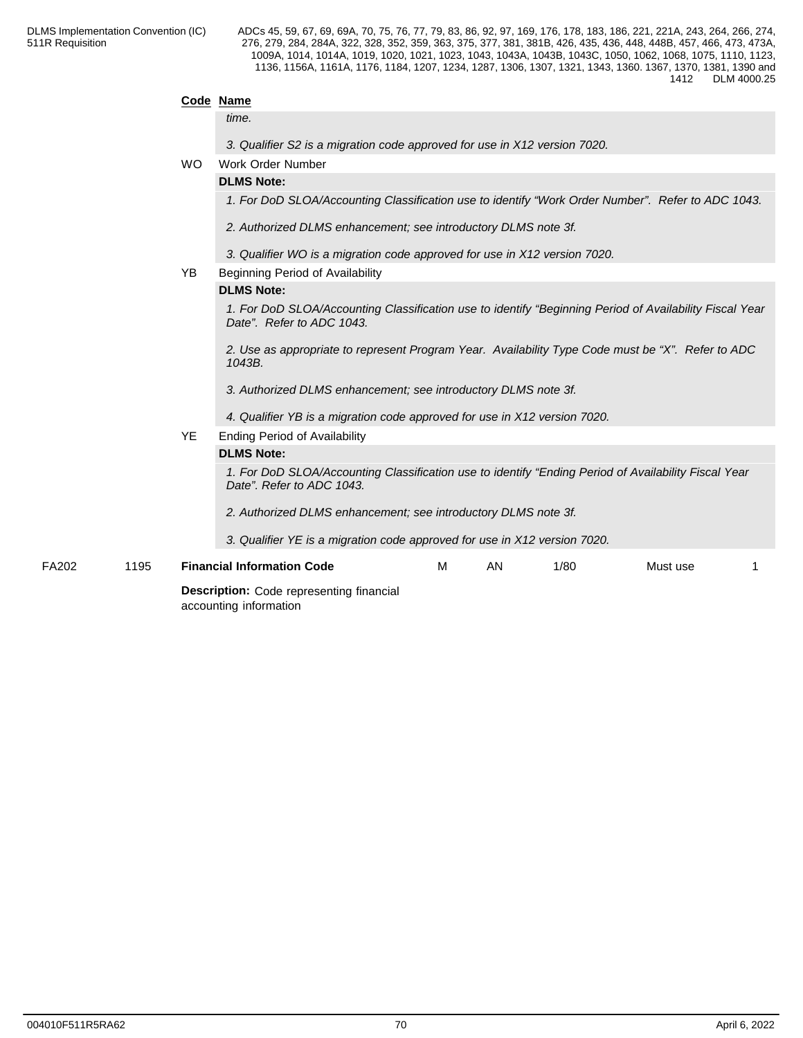**Code Name**

ADCs 45, 59, 67, 69, 69A, 70, 75, 76, 77, 79, 83, 86, 92, 97, 169, 176, 178, 183, 186, 221, 221A, 243, 264, 266, 274, 276, 279, 284, 284A, 322, 328, 352, 359, 363, 375, 377, 381, 381B, 426, 435, 436, 448, 448B, 457, 466, 473, 473A, 1009A, 1014, 1014A, 1019, 1020, 1021, 1023, 1043, 1043A, 1043B, 1043C, 1050, 1062, 1068, 1075, 1110, 1123, 1136, 1156A, 1161A, 1176, 1184, 1207, 1234, 1287, 1306, 1307, 1321, 1343, 1360. 1367, 1370, 1381, 1390 and 1412 DLM 4000.25

|               |           | <b>Description:</b> Code representing financial<br>accounting information                                                         |
|---------------|-----------|-----------------------------------------------------------------------------------------------------------------------------------|
| FA202<br>1195 |           | <b>Financial Information Code</b><br>1/80<br>м<br>AN<br>Must use                                                                  |
|               |           | 3. Qualifier YE is a migration code approved for use in X12 version 7020.                                                         |
|               |           | 2. Authorized DLMS enhancement; see introductory DLMS note 3f.                                                                    |
|               |           | 1. For DoD SLOA/Accounting Classification use to identify "Ending Period of Availability Fiscal Year<br>Date". Refer to ADC 1043. |
|               |           | <b>DLMS Note:</b>                                                                                                                 |
|               | YE        | <b>Ending Period of Availability</b>                                                                                              |
|               |           | 4. Qualifier YB is a migration code approved for use in X12 version 7020.                                                         |
|               |           | 3. Authorized DLMS enhancement; see introductory DLMS note 3f.                                                                    |
|               |           | 1043B.                                                                                                                            |
|               |           | 2. Use as appropriate to represent Program Year. Availability Type Code must be "X". Refer to ADC                                 |
|               |           | Date". Refer to ADC 1043.                                                                                                         |
|               |           | 1. For DoD SLOA/Accounting Classification use to identify "Beginning Period of Availability Fiscal Year                           |
|               |           | <b>DLMS Note:</b>                                                                                                                 |
|               | YB        | Beginning Period of Availability                                                                                                  |
|               |           | 3. Qualifier WO is a migration code approved for use in X12 version 7020.                                                         |
|               |           | 2. Authorized DLMS enhancement; see introductory DLMS note 3f.                                                                    |
|               |           | 1. For DoD SLOA/Accounting Classification use to identify "Work Order Number". Refer to ADC 1043.                                 |
|               |           | <b>DLMS Note:</b>                                                                                                                 |
|               | <b>WO</b> | Work Order Number                                                                                                                 |
|               |           | 3. Qualifier S2 is a migration code approved for use in X12 version 7020.                                                         |
|               |           | time.                                                                                                                             |